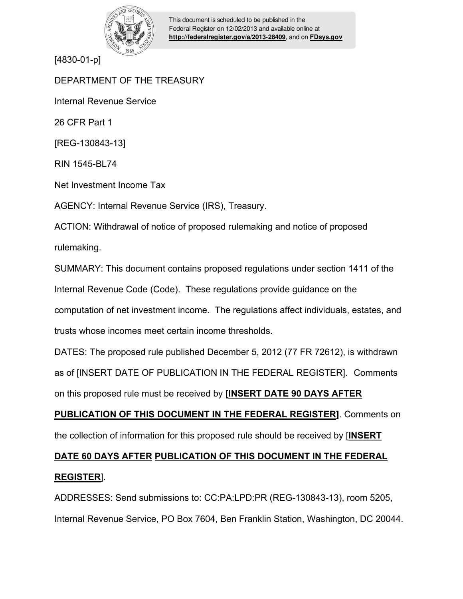

This document is scheduled to be published in the Federal Register on 12/02/2013 and available online at **<http://federalregister.gov/a/2013-28409>**, and on **[FDsys.gov](http://federalregister.gov/a/2013-28409.pdf)**

[4830-01-p]

DEPARTMENT OF THE TREASURY Internal Revenue Service

26 CFR Part 1

[REG-130843-13]

RIN 1545-BL74

Net Investment Income Tax

AGENCY: Internal Revenue Service (IRS), Treasury.

ACTION: Withdrawal of notice of proposed rulemaking and notice of proposed rulemaking.

SUMMARY: This document contains proposed regulations under section 1411 of the Internal Revenue Code (Code). These regulations provide guidance on the computation of net investment income. The regulations affect individuals, estates, and trusts whose incomes meet certain income thresholds.

DATES: The proposed rule published December 5, 2012 (77 FR 72612), is withdrawn as of [INSERT DATE OF PUBLICATION IN THE FEDERAL REGISTER]. Comments on this proposed rule must be received by **[INSERT DATE 90 DAYS AFTER** 

**PUBLICATION OF THIS DOCUMENT IN THE FEDERAL REGISTER]**. Comments on the collection of information for this proposed rule should be received by [**INSERT** 

# **DATE 60 DAYS AFTER PUBLICATION OF THIS DOCUMENT IN THE FEDERAL REGISTER**].

ADDRESSES: Send submissions to: CC:PA:LPD:PR (REG-130843-13), room 5205, Internal Revenue Service, PO Box 7604, Ben Franklin Station, Washington, DC 20044.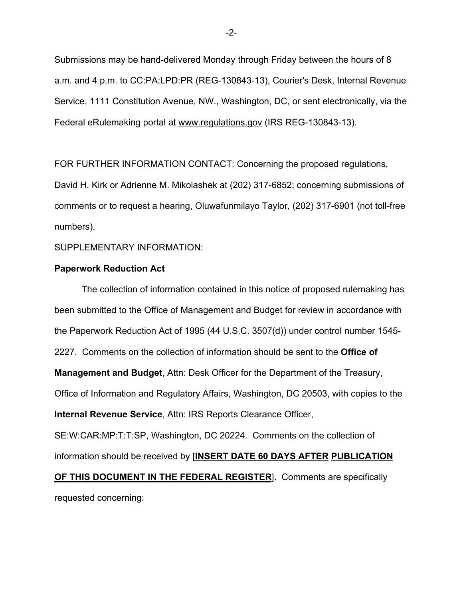Submissions may be hand-delivered Monday through Friday between the hours of 8 a.m. and 4 p.m. to CC:PA:LPD:PR (REG-130843-13), Courier's Desk, Internal Revenue Service, 1111 Constitution Avenue, NW., Washington, DC, or sent electronically, via the Federal eRulemaking portal at www.regulations.gov (IRS REG-130843-13).

FOR FURTHER INFORMATION CONTACT: Concerning the proposed regulations, David H. Kirk or Adrienne M. Mikolashek at (202) 317-6852; concerning submissions of comments or to request a hearing, Oluwafunmilayo Taylor, (202) 317-6901 (not toll-free numbers).

SUPPLEMENTARY INFORMATION:

#### **Paperwork Reduction Act**

The collection of information contained in this notice of proposed rulemaking has been submitted to the Office of Management and Budget for review in accordance with the Paperwork Reduction Act of 1995 (44 U.S.C. 3507(d)) under control number 1545- 2227. Comments on the collection of information should be sent to the **Office of Management and Budget**, Attn: Desk Officer for the Department of the Treasury, Office of Information and Regulatory Affairs, Washington, DC 20503, with copies to the **Internal Revenue Service**, Attn: IRS Reports Clearance Officer, SE:W:CAR:MP:T:T:SP, Washington, DC 20224. Comments on the collection of information should be received by [**INSERT DATE 60 DAYS AFTER PUBLICATION** 

**OF THIS DOCUMENT IN THE FEDERAL REGISTER**]. Comments are specifically requested concerning:

-2-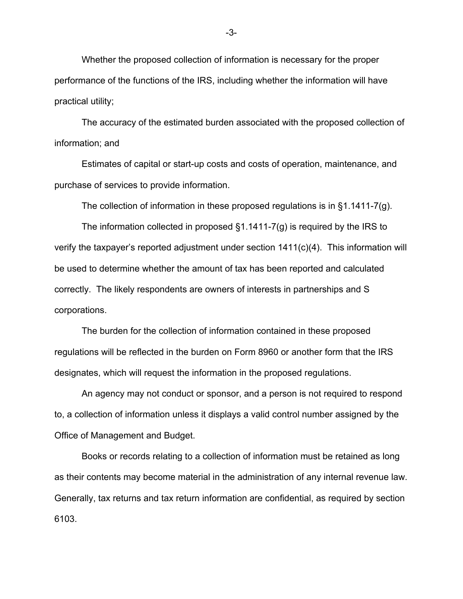Whether the proposed collection of information is necessary for the proper performance of the functions of the IRS, including whether the information will have practical utility;

The accuracy of the estimated burden associated with the proposed collection of information; and

Estimates of capital or start-up costs and costs of operation, maintenance, and purchase of services to provide information.

The collection of information in these proposed regulations is in §1.1411-7(g).

The information collected in proposed §1.1411-7(g) is required by the IRS to verify the taxpayer's reported adjustment under section 1411(c)(4). This information will be used to determine whether the amount of tax has been reported and calculated correctly. The likely respondents are owners of interests in partnerships and S corporations.

The burden for the collection of information contained in these proposed regulations will be reflected in the burden on Form 8960 or another form that the IRS designates, which will request the information in the proposed regulations.

An agency may not conduct or sponsor, and a person is not required to respond to, a collection of information unless it displays a valid control number assigned by the Office of Management and Budget.

Books or records relating to a collection of information must be retained as long as their contents may become material in the administration of any internal revenue law. Generally, tax returns and tax return information are confidential, as required by section 6103.

-3-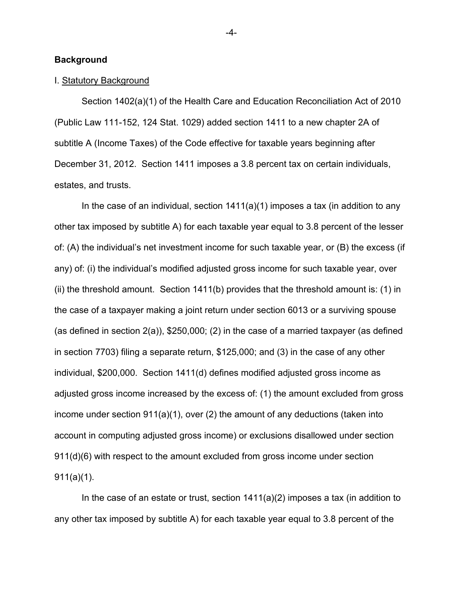#### **Background**

#### I. Statutory Background

Section 1402(a)(1) of the Health Care and Education Reconciliation Act of 2010 (Public Law 111-152, 124 Stat. 1029) added section 1411 to a new chapter 2A of subtitle A (Income Taxes) of the Code effective for taxable years beginning after December 31, 2012. Section 1411 imposes a 3.8 percent tax on certain individuals, estates, and trusts.

In the case of an individual, section 1411(a)(1) imposes a tax (in addition to any other tax imposed by subtitle A) for each taxable year equal to 3.8 percent of the lesser of: (A) the individual's net investment income for such taxable year, or (B) the excess (if any) of: (i) the individual's modified adjusted gross income for such taxable year, over (ii) the threshold amount. Section 1411(b) provides that the threshold amount is: (1) in the case of a taxpayer making a joint return under section 6013 or a surviving spouse (as defined in section 2(a)), \$250,000; (2) in the case of a married taxpayer (as defined in section 7703) filing a separate return, \$125,000; and (3) in the case of any other individual, \$200,000. Section 1411(d) defines modified adjusted gross income as adjusted gross income increased by the excess of: (1) the amount excluded from gross income under section 911(a)(1), over (2) the amount of any deductions (taken into account in computing adjusted gross income) or exclusions disallowed under section 911(d)(6) with respect to the amount excluded from gross income under section 911(a)(1).

In the case of an estate or trust, section 1411(a)(2) imposes a tax (in addition to any other tax imposed by subtitle A) for each taxable year equal to 3.8 percent of the

-4-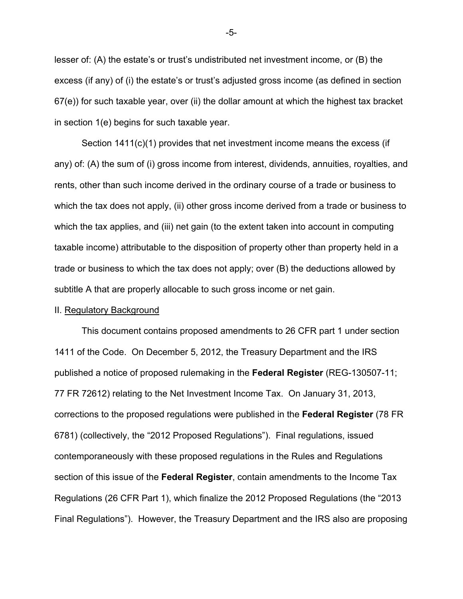lesser of: (A) the estate's or trust's undistributed net investment income, or (B) the excess (if any) of (i) the estate's or trust's adjusted gross income (as defined in section 67(e)) for such taxable year, over (ii) the dollar amount at which the highest tax bracket in section 1(e) begins for such taxable year.

Section 1411(c)(1) provides that net investment income means the excess (if any) of: (A) the sum of (i) gross income from interest, dividends, annuities, royalties, and rents, other than such income derived in the ordinary course of a trade or business to which the tax does not apply, (ii) other gross income derived from a trade or business to which the tax applies, and (iii) net gain (to the extent taken into account in computing taxable income) attributable to the disposition of property other than property held in a trade or business to which the tax does not apply; over (B) the deductions allowed by subtitle A that are properly allocable to such gross income or net gain.

#### II. Regulatory Background

This document contains proposed amendments to 26 CFR part 1 under section 1411 of the Code. On December 5, 2012, the Treasury Department and the IRS published a notice of proposed rulemaking in the **Federal Register** (REG-130507-11; 77 FR 72612) relating to the Net Investment Income Tax. On January 31, 2013, corrections to the proposed regulations were published in the **Federal Register** (78 FR 6781) (collectively, the "2012 Proposed Regulations"). Final regulations, issued contemporaneously with these proposed regulations in the Rules and Regulations section of this issue of the **Federal Register**, contain amendments to the Income Tax Regulations (26 CFR Part 1), which finalize the 2012 Proposed Regulations (the "2013 Final Regulations"). However, the Treasury Department and the IRS also are proposing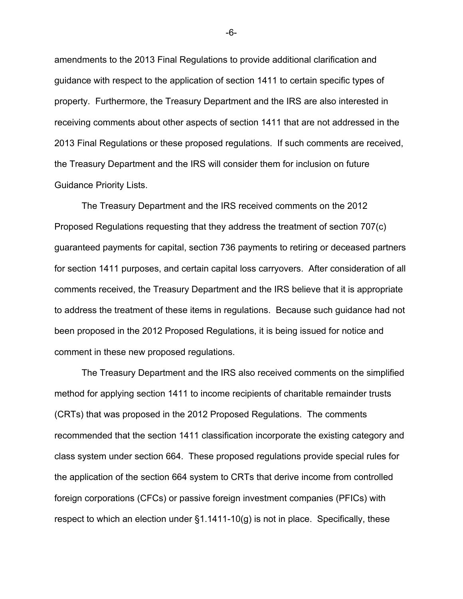amendments to the 2013 Final Regulations to provide additional clarification and guidance with respect to the application of section 1411 to certain specific types of property. Furthermore, the Treasury Department and the IRS are also interested in receiving comments about other aspects of section 1411 that are not addressed in the 2013 Final Regulations or these proposed regulations. If such comments are received, the Treasury Department and the IRS will consider them for inclusion on future Guidance Priority Lists.

The Treasury Department and the IRS received comments on the 2012 Proposed Regulations requesting that they address the treatment of section 707(c) guaranteed payments for capital, section 736 payments to retiring or deceased partners for section 1411 purposes, and certain capital loss carryovers. After consideration of all comments received, the Treasury Department and the IRS believe that it is appropriate to address the treatment of these items in regulations. Because such guidance had not been proposed in the 2012 Proposed Regulations, it is being issued for notice and comment in these new proposed regulations.

The Treasury Department and the IRS also received comments on the simplified method for applying section 1411 to income recipients of charitable remainder trusts (CRTs) that was proposed in the 2012 Proposed Regulations. The comments recommended that the section 1411 classification incorporate the existing category and class system under section 664. These proposed regulations provide special rules for the application of the section 664 system to CRTs that derive income from controlled foreign corporations (CFCs) or passive foreign investment companies (PFICs) with respect to which an election under  $\S1.1411-10(g)$  is not in place. Specifically, these

-6-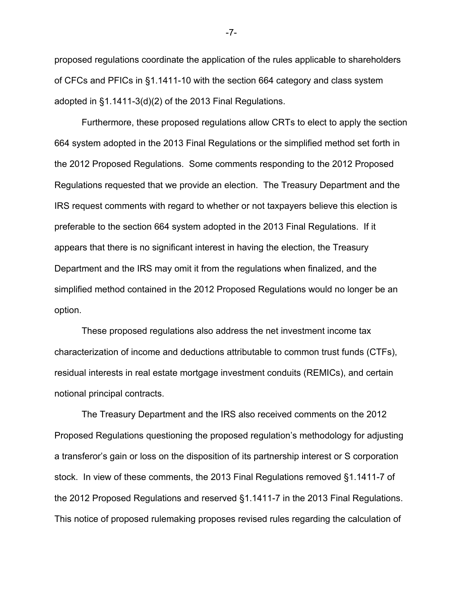proposed regulations coordinate the application of the rules applicable to shareholders of CFCs and PFICs in §1.1411-10 with the section 664 category and class system adopted in §1.1411-3(d)(2) of the 2013 Final Regulations.

Furthermore, these proposed regulations allow CRTs to elect to apply the section 664 system adopted in the 2013 Final Regulations or the simplified method set forth in the 2012 Proposed Regulations. Some comments responding to the 2012 Proposed Regulations requested that we provide an election. The Treasury Department and the IRS request comments with regard to whether or not taxpayers believe this election is preferable to the section 664 system adopted in the 2013 Final Regulations. If it appears that there is no significant interest in having the election, the Treasury Department and the IRS may omit it from the regulations when finalized, and the simplified method contained in the 2012 Proposed Regulations would no longer be an option.

These proposed regulations also address the net investment income tax characterization of income and deductions attributable to common trust funds (CTFs), residual interests in real estate mortgage investment conduits (REMICs), and certain notional principal contracts.

 The Treasury Department and the IRS also received comments on the 2012 Proposed Regulations questioning the proposed regulation's methodology for adjusting a transferor's gain or loss on the disposition of its partnership interest or S corporation stock. In view of these comments, the 2013 Final Regulations removed §1.1411-7 of the 2012 Proposed Regulations and reserved §1.1411-7 in the 2013 Final Regulations. This notice of proposed rulemaking proposes revised rules regarding the calculation of

-7-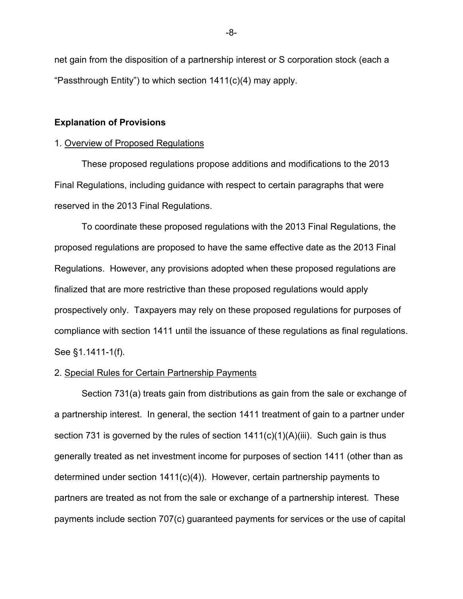net gain from the disposition of a partnership interest or S corporation stock (each a "Passthrough Entity") to which section 1411(c)(4) may apply.

#### **Explanation of Provisions**

#### 1. Overview of Proposed Regulations

These proposed regulations propose additions and modifications to the 2013 Final Regulations, including guidance with respect to certain paragraphs that were reserved in the 2013 Final Regulations.

To coordinate these proposed regulations with the 2013 Final Regulations, the proposed regulations are proposed to have the same effective date as the 2013 Final Regulations. However, any provisions adopted when these proposed regulations are finalized that are more restrictive than these proposed regulations would apply prospectively only. Taxpayers may rely on these proposed regulations for purposes of compliance with section 1411 until the issuance of these regulations as final regulations. See §1.1411-1(f).

#### 2. Special Rules for Certain Partnership Payments

Section 731(a) treats gain from distributions as gain from the sale or exchange of a partnership interest. In general, the section 1411 treatment of gain to a partner under section 731 is governed by the rules of section  $1411(c)(1)(A)(iii)$ . Such gain is thus generally treated as net investment income for purposes of section 1411 (other than as determined under section 1411(c)(4)). However, certain partnership payments to partners are treated as not from the sale or exchange of a partnership interest. These payments include section 707(c) guaranteed payments for services or the use of capital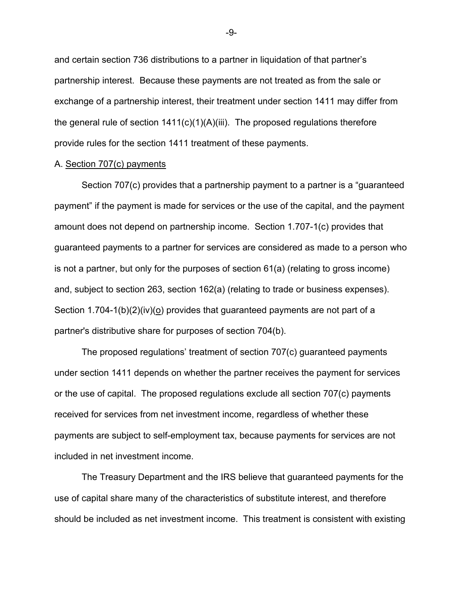and certain section 736 distributions to a partner in liquidation of that partner's partnership interest. Because these payments are not treated as from the sale or exchange of a partnership interest, their treatment under section 1411 may differ from the general rule of section 1411(c)(1)(A)(iii). The proposed regulations therefore provide rules for the section 1411 treatment of these payments.

#### A. Section 707(c) payments

Section 707(c) provides that a partnership payment to a partner is a "guaranteed payment" if the payment is made for services or the use of the capital, and the payment amount does not depend on partnership income. Section 1.707-1(c) provides that guaranteed payments to a partner for services are considered as made to a person who is not a partner, but only for the purposes of section 61(a) (relating to gross income) and, subject to section 263, section 162(a) (relating to trade or business expenses). Section 1.704-1(b)(2)(iv)(o) provides that guaranteed payments are not part of a partner's distributive share for purposes of section 704(b).

The proposed regulations' treatment of section 707(c) guaranteed payments under section 1411 depends on whether the partner receives the payment for services or the use of capital. The proposed regulations exclude all section 707(c) payments received for services from net investment income, regardless of whether these payments are subject to self-employment tax, because payments for services are not included in net investment income.

The Treasury Department and the IRS believe that guaranteed payments for the use of capital share many of the characteristics of substitute interest, and therefore should be included as net investment income. This treatment is consistent with existing

-9-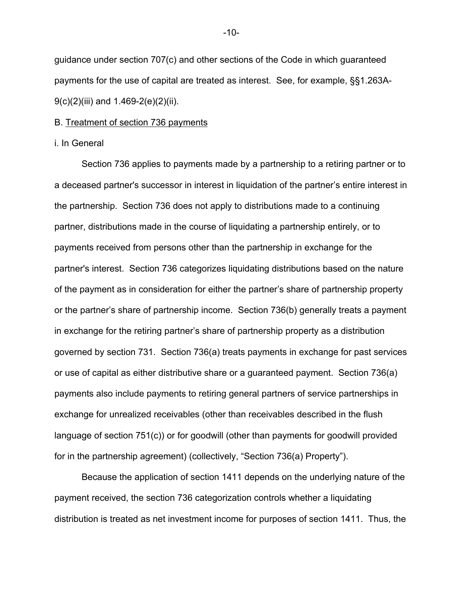guidance under section 707(c) and other sections of the Code in which guaranteed payments for the use of capital are treated as interest. See, for example, §§1.263A-9(c)(2)(iii) and 1.469-2(e)(2)(ii).

#### B. Treatment of section 736 payments

#### i. In General

Section 736 applies to payments made by a partnership to a retiring partner or to a deceased partner's successor in interest in liquidation of the partner's entire interest in the partnership. Section 736 does not apply to distributions made to a continuing partner, distributions made in the course of liquidating a partnership entirely, or to payments received from persons other than the partnership in exchange for the partner's interest. Section 736 categorizes liquidating distributions based on the nature of the payment as in consideration for either the partner's share of partnership property or the partner's share of partnership income. Section 736(b) generally treats a payment in exchange for the retiring partner's share of partnership property as a distribution governed by section 731. Section 736(a) treats payments in exchange for past services or use of capital as either distributive share or a guaranteed payment. Section 736(a) payments also include payments to retiring general partners of service partnerships in exchange for unrealized receivables (other than receivables described in the flush language of section 751(c)) or for goodwill (other than payments for goodwill provided for in the partnership agreement) (collectively, "Section 736(a) Property").

Because the application of section 1411 depends on the underlying nature of the payment received, the section 736 categorization controls whether a liquidating distribution is treated as net investment income for purposes of section 1411. Thus, the

-10-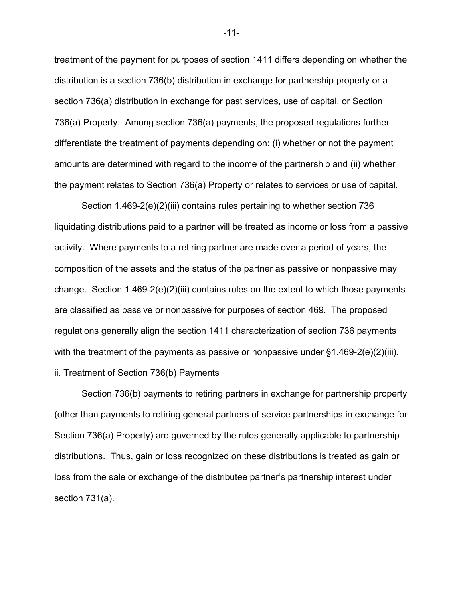treatment of the payment for purposes of section 1411 differs depending on whether the distribution is a section 736(b) distribution in exchange for partnership property or a section 736(a) distribution in exchange for past services, use of capital, or Section 736(a) Property. Among section 736(a) payments, the proposed regulations further differentiate the treatment of payments depending on: (i) whether or not the payment amounts are determined with regard to the income of the partnership and (ii) whether the payment relates to Section 736(a) Property or relates to services or use of capital.

Section 1.469-2(e)(2)(iii) contains rules pertaining to whether section 736 liquidating distributions paid to a partner will be treated as income or loss from a passive activity. Where payments to a retiring partner are made over a period of years, the composition of the assets and the status of the partner as passive or nonpassive may change. Section 1.469-2(e)(2)(iii) contains rules on the extent to which those payments are classified as passive or nonpassive for purposes of section 469. The proposed regulations generally align the section 1411 characterization of section 736 payments with the treatment of the payments as passive or nonpassive under  $\S 1.469-2(e)(2)(iii)$ . ii. Treatment of Section 736(b) Payments

Section 736(b) payments to retiring partners in exchange for partnership property (other than payments to retiring general partners of service partnerships in exchange for Section 736(a) Property) are governed by the rules generally applicable to partnership distributions. Thus, gain or loss recognized on these distributions is treated as gain or loss from the sale or exchange of the distributee partner's partnership interest under section 731(a).

-11-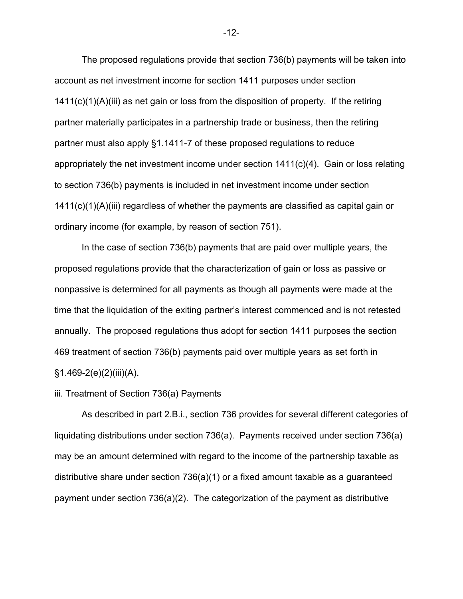The proposed regulations provide that section 736(b) payments will be taken into account as net investment income for section 1411 purposes under section 1411(c)(1)(A)(iii) as net gain or loss from the disposition of property. If the retiring partner materially participates in a partnership trade or business, then the retiring partner must also apply §1.1411-7 of these proposed regulations to reduce appropriately the net investment income under section  $1411(c)(4)$ . Gain or loss relating to section 736(b) payments is included in net investment income under section 1411(c)(1)(A)(iii) regardless of whether the payments are classified as capital gain or ordinary income (for example, by reason of section 751).

In the case of section 736(b) payments that are paid over multiple years, the proposed regulations provide that the characterization of gain or loss as passive or nonpassive is determined for all payments as though all payments were made at the time that the liquidation of the exiting partner's interest commenced and is not retested annually. The proposed regulations thus adopt for section 1411 purposes the section 469 treatment of section 736(b) payments paid over multiple years as set forth in  $§1.469-2(e)(2)(iii)(A).$ 

#### iii. Treatment of Section 736(a) Payments

 As described in part 2.B.i., section 736 provides for several different categories of liquidating distributions under section 736(a). Payments received under section 736(a) may be an amount determined with regard to the income of the partnership taxable as distributive share under section 736(a)(1) or a fixed amount taxable as a guaranteed payment under section 736(a)(2). The categorization of the payment as distributive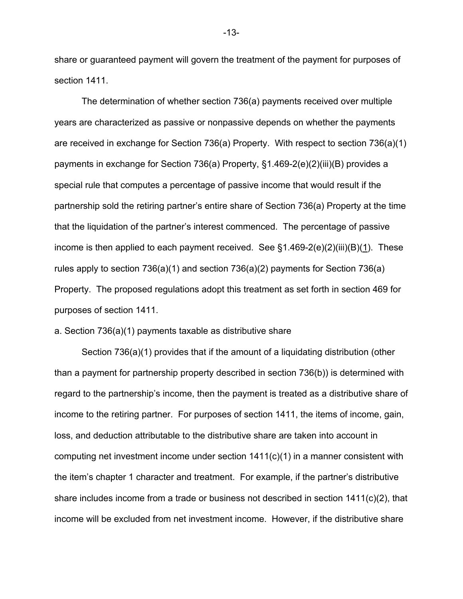share or guaranteed payment will govern the treatment of the payment for purposes of section 1411.

The determination of whether section 736(a) payments received over multiple years are characterized as passive or nonpassive depends on whether the payments are received in exchange for Section 736(a) Property. With respect to section 736(a)(1) payments in exchange for Section 736(a) Property, §1.469-2(e)(2)(iii)(B) provides a special rule that computes a percentage of passive income that would result if the partnership sold the retiring partner's entire share of Section 736(a) Property at the time that the liquidation of the partner's interest commenced. The percentage of passive income is then applied to each payment received. See  $\S1.469-2(e)(2)(iii)(B)(1)$ . These rules apply to section 736(a)(1) and section 736(a)(2) payments for Section 736(a) Property. The proposed regulations adopt this treatment as set forth in section 469 for purposes of section 1411.

#### a. Section 736(a)(1) payments taxable as distributive share

Section 736(a)(1) provides that if the amount of a liquidating distribution (other than a payment for partnership property described in section 736(b)) is determined with regard to the partnership's income, then the payment is treated as a distributive share of income to the retiring partner. For purposes of section 1411, the items of income, gain, loss, and deduction attributable to the distributive share are taken into account in computing net investment income under section 1411(c)(1) in a manner consistent with the item's chapter 1 character and treatment. For example, if the partner's distributive share includes income from a trade or business not described in section 1411(c)(2), that income will be excluded from net investment income. However, if the distributive share

-13-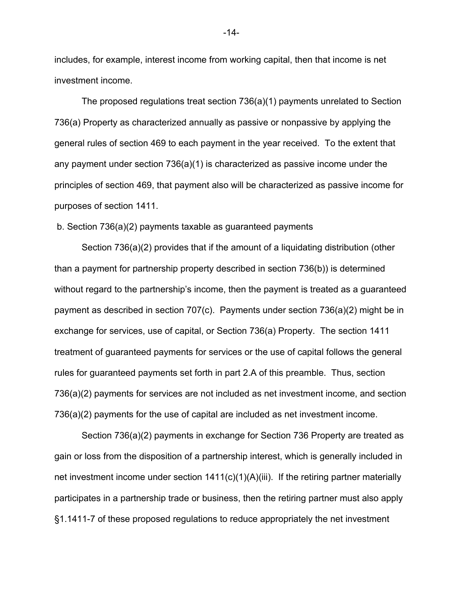includes, for example, interest income from working capital, then that income is net investment income.

The proposed regulations treat section 736(a)(1) payments unrelated to Section 736(a) Property as characterized annually as passive or nonpassive by applying the general rules of section 469 to each payment in the year received. To the extent that any payment under section 736(a)(1) is characterized as passive income under the principles of section 469, that payment also will be characterized as passive income for purposes of section 1411.

#### b. Section 736(a)(2) payments taxable as guaranteed payments

Section 736(a)(2) provides that if the amount of a liquidating distribution (other than a payment for partnership property described in section 736(b)) is determined without regard to the partnership's income, then the payment is treated as a guaranteed payment as described in section 707(c). Payments under section 736(a)(2) might be in exchange for services, use of capital, or Section 736(a) Property. The section 1411 treatment of guaranteed payments for services or the use of capital follows the general rules for guaranteed payments set forth in part 2.A of this preamble. Thus, section 736(a)(2) payments for services are not included as net investment income, and section 736(a)(2) payments for the use of capital are included as net investment income.

Section 736(a)(2) payments in exchange for Section 736 Property are treated as gain or loss from the disposition of a partnership interest, which is generally included in net investment income under section 1411(c)(1)(A)(iii). If the retiring partner materially participates in a partnership trade or business, then the retiring partner must also apply §1.1411-7 of these proposed regulations to reduce appropriately the net investment

-14-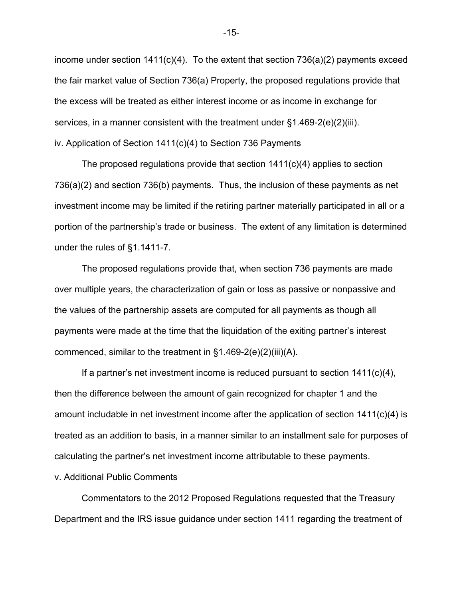income under section  $1411(c)(4)$ . To the extent that section  $736(a)(2)$  payments exceed the fair market value of Section 736(a) Property, the proposed regulations provide that the excess will be treated as either interest income or as income in exchange for services, in a manner consistent with the treatment under §1.469-2(e)(2)(iii). iv. Application of Section 1411(c)(4) to Section 736 Payments

The proposed regulations provide that section  $1411(c)(4)$  applies to section 736(a)(2) and section 736(b) payments. Thus, the inclusion of these payments as net investment income may be limited if the retiring partner materially participated in all or a portion of the partnership's trade or business. The extent of any limitation is determined under the rules of §1.1411-7.

The proposed regulations provide that, when section 736 payments are made over multiple years, the characterization of gain or loss as passive or nonpassive and the values of the partnership assets are computed for all payments as though all payments were made at the time that the liquidation of the exiting partner's interest commenced, similar to the treatment in §1.469-2(e)(2)(iii)(A).

If a partner's net investment income is reduced pursuant to section  $1411(c)(4)$ , then the difference between the amount of gain recognized for chapter 1 and the amount includable in net investment income after the application of section 1411(c)(4) is treated as an addition to basis, in a manner similar to an installment sale for purposes of calculating the partner's net investment income attributable to these payments.

v. Additional Public Comments

Commentators to the 2012 Proposed Regulations requested that the Treasury Department and the IRS issue guidance under section 1411 regarding the treatment of

-15-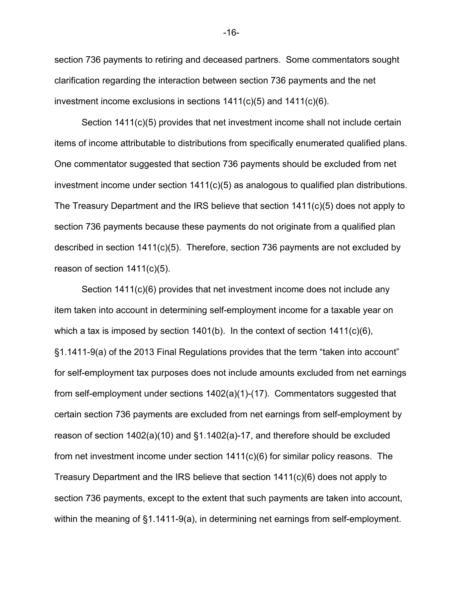section 736 payments to retiring and deceased partners. Some commentators sought clarification regarding the interaction between section 736 payments and the net investment income exclusions in sections 1411(c)(5) and 1411(c)(6).

Section 1411(c)(5) provides that net investment income shall not include certain items of income attributable to distributions from specifically enumerated qualified plans. One commentator suggested that section 736 payments should be excluded from net investment income under section 1411(c)(5) as analogous to qualified plan distributions. The Treasury Department and the IRS believe that section 1411(c)(5) does not apply to section 736 payments because these payments do not originate from a qualified plan described in section  $1411(c)(5)$ . Therefore, section 736 payments are not excluded by reason of section 1411(c)(5).

Section 1411(c)(6) provides that net investment income does not include any item taken into account in determining self-employment income for a taxable year on which a tax is imposed by section 1401(b). In the context of section 1411(c)(6), §1.1411-9(a) of the 2013 Final Regulations provides that the term "taken into account" for self-employment tax purposes does not include amounts excluded from net earnings from self-employment under sections 1402(a)(1)-(17). Commentators suggested that certain section 736 payments are excluded from net earnings from self-employment by reason of section 1402(a)(10) and §1.1402(a)-17, and therefore should be excluded from net investment income under section 1411(c)(6) for similar policy reasons. The Treasury Department and the IRS believe that section 1411(c)(6) does not apply to section 736 payments, except to the extent that such payments are taken into account, within the meaning of §1.1411-9(a), in determining net earnings from self-employment.

-16-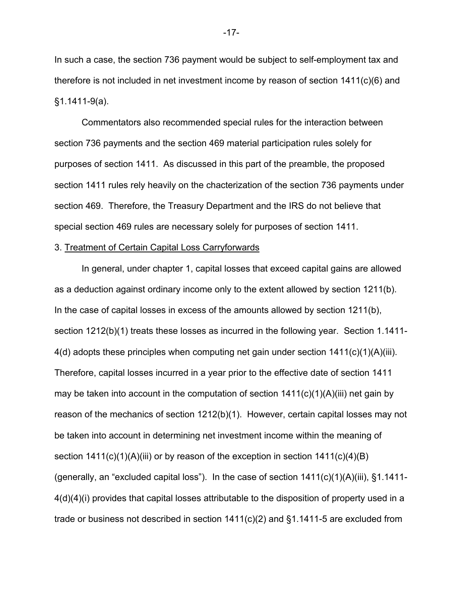In such a case, the section 736 payment would be subject to self-employment tax and therefore is not included in net investment income by reason of section 1411(c)(6) and §1.1411-9(a).

Commentators also recommended special rules for the interaction between section 736 payments and the section 469 material participation rules solely for purposes of section 1411. As discussed in this part of the preamble, the proposed section 1411 rules rely heavily on the chacterization of the section 736 payments under section 469. Therefore, the Treasury Department and the IRS do not believe that special section 469 rules are necessary solely for purposes of section 1411.

#### 3. Treatment of Certain Capital Loss Carryforwards

In general, under chapter 1, capital losses that exceed capital gains are allowed as a deduction against ordinary income only to the extent allowed by section 1211(b). In the case of capital losses in excess of the amounts allowed by section 1211(b), section 1212(b)(1) treats these losses as incurred in the following year. Section 1.1411-4(d) adopts these principles when computing net gain under section 1411(c)(1)(A)(iii). Therefore, capital losses incurred in a year prior to the effective date of section 1411 may be taken into account in the computation of section  $1411(c)(1)(A)(iii)$  net gain by reason of the mechanics of section 1212(b)(1). However, certain capital losses may not be taken into account in determining net investment income within the meaning of section  $1411(c)(1)(A)(iii)$  or by reason of the exception in section  $1411(c)(4)(B)$ (generally, an "excluded capital loss"). In the case of section 1411(c)(1)(A)(iii), §1.1411- 4(d)(4)(i) provides that capital losses attributable to the disposition of property used in a trade or business not described in section 1411(c)(2) and §1.1411-5 are excluded from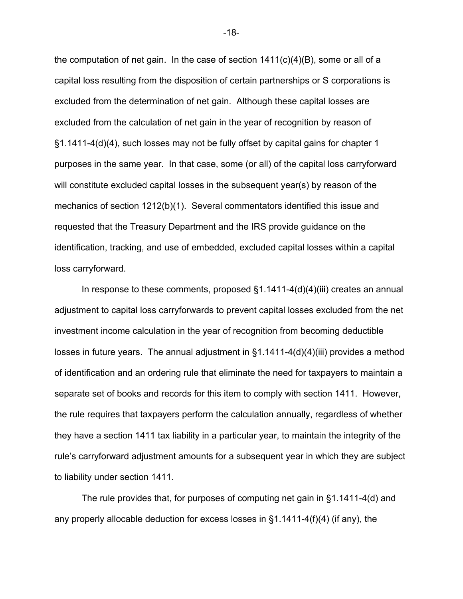the computation of net gain. In the case of section  $1411(c)(4)(B)$ , some or all of a capital loss resulting from the disposition of certain partnerships or S corporations is excluded from the determination of net gain. Although these capital losses are excluded from the calculation of net gain in the year of recognition by reason of §1.1411-4(d)(4), such losses may not be fully offset by capital gains for chapter 1 purposes in the same year. In that case, some (or all) of the capital loss carryforward will constitute excluded capital losses in the subsequent year(s) by reason of the mechanics of section 1212(b)(1). Several commentators identified this issue and requested that the Treasury Department and the IRS provide guidance on the identification, tracking, and use of embedded, excluded capital losses within a capital loss carryforward.

In response to these comments, proposed §1.1411-4(d)(4)(iii) creates an annual adjustment to capital loss carryforwards to prevent capital losses excluded from the net investment income calculation in the year of recognition from becoming deductible losses in future years. The annual adjustment in §1.1411-4(d)(4)(iii) provides a method of identification and an ordering rule that eliminate the need for taxpayers to maintain a separate set of books and records for this item to comply with section 1411. However, the rule requires that taxpayers perform the calculation annually, regardless of whether they have a section 1411 tax liability in a particular year, to maintain the integrity of the rule's carryforward adjustment amounts for a subsequent year in which they are subject to liability under section 1411.

The rule provides that, for purposes of computing net gain in §1.1411-4(d) and any properly allocable deduction for excess losses in §1.1411-4(f)(4) (if any), the

-18-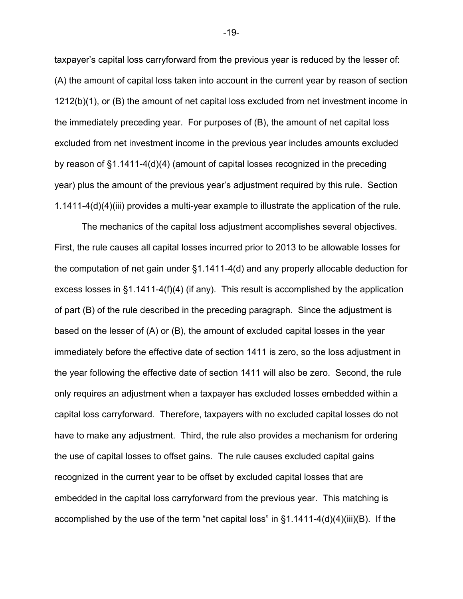taxpayer's capital loss carryforward from the previous year is reduced by the lesser of: (A) the amount of capital loss taken into account in the current year by reason of section 1212(b)(1), or (B) the amount of net capital loss excluded from net investment income in the immediately preceding year. For purposes of (B), the amount of net capital loss excluded from net investment income in the previous year includes amounts excluded by reason of §1.1411-4(d)(4) (amount of capital losses recognized in the preceding year) plus the amount of the previous year's adjustment required by this rule. Section 1.1411-4(d)(4)(iii) provides a multi-year example to illustrate the application of the rule.

The mechanics of the capital loss adjustment accomplishes several objectives. First, the rule causes all capital losses incurred prior to 2013 to be allowable losses for the computation of net gain under §1.1411-4(d) and any properly allocable deduction for excess losses in §1.1411-4(f)(4) (if any). This result is accomplished by the application of part (B) of the rule described in the preceding paragraph. Since the adjustment is based on the lesser of (A) or (B), the amount of excluded capital losses in the year immediately before the effective date of section 1411 is zero, so the loss adjustment in the year following the effective date of section 1411 will also be zero. Second, the rule only requires an adjustment when a taxpayer has excluded losses embedded within a capital loss carryforward. Therefore, taxpayers with no excluded capital losses do not have to make any adjustment. Third, the rule also provides a mechanism for ordering the use of capital losses to offset gains. The rule causes excluded capital gains recognized in the current year to be offset by excluded capital losses that are embedded in the capital loss carryforward from the previous year. This matching is accomplished by the use of the term "net capital loss" in §1.1411-4(d)(4)(iii)(B). If the

-19-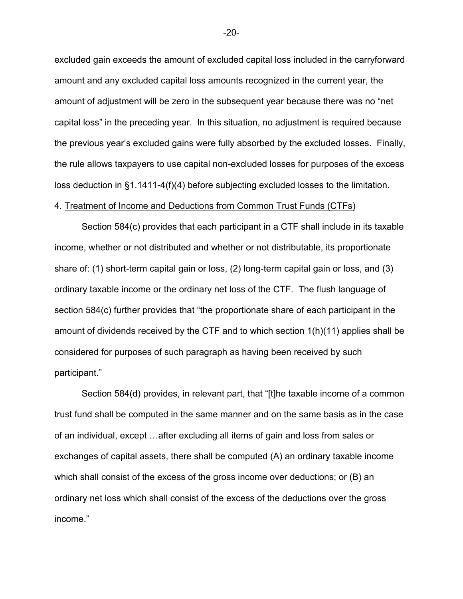excluded gain exceeds the amount of excluded capital loss included in the carryforward amount and any excluded capital loss amounts recognized in the current year, the amount of adjustment will be zero in the subsequent year because there was no "net capital loss" in the preceding year. In this situation, no adjustment is required because the previous year's excluded gains were fully absorbed by the excluded losses. Finally, the rule allows taxpayers to use capital non-excluded losses for purposes of the excess loss deduction in §1.1411-4(f)(4) before subjecting excluded losses to the limitation.

#### 4. Treatment of Income and Deductions from Common Trust Funds (CTFs)

Section 584(c) provides that each participant in a CTF shall include in its taxable income, whether or not distributed and whether or not distributable, its proportionate share of: (1) short-term capital gain or loss, (2) long-term capital gain or loss, and (3) ordinary taxable income or the ordinary net loss of the CTF. The flush language of section 584(c) further provides that "the proportionate share of each participant in the amount of dividends received by the CTF and to which section 1(h)(11) applies shall be considered for purposes of such paragraph as having been received by such participant."

Section 584(d) provides, in relevant part, that "[t]he taxable income of a common trust fund shall be computed in the same manner and on the same basis as in the case of an individual, except …after excluding all items of gain and loss from sales or exchanges of capital assets, there shall be computed (A) an ordinary taxable income which shall consist of the excess of the gross income over deductions; or (B) an ordinary net loss which shall consist of the excess of the deductions over the gross income."

-20-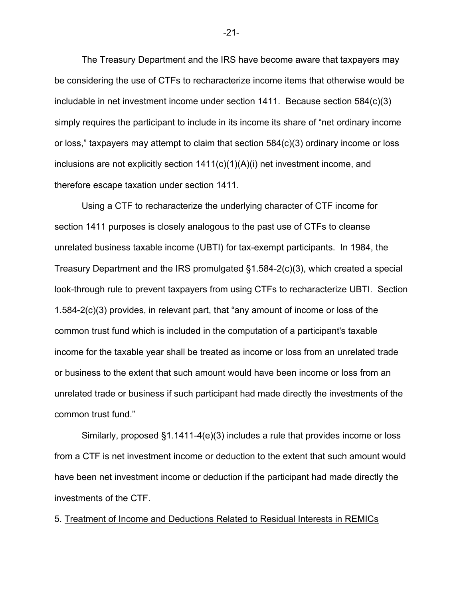The Treasury Department and the IRS have become aware that taxpayers may be considering the use of CTFs to recharacterize income items that otherwise would be includable in net investment income under section 1411. Because section 584(c)(3) simply requires the participant to include in its income its share of "net ordinary income or loss," taxpayers may attempt to claim that section 584(c)(3) ordinary income or loss inclusions are not explicitly section  $1411(c)(1)(A)(i)$  net investment income, and therefore escape taxation under section 1411.

Using a CTF to recharacterize the underlying character of CTF income for section 1411 purposes is closely analogous to the past use of CTFs to cleanse unrelated business taxable income (UBTI) for tax-exempt participants. In 1984, the Treasury Department and the IRS promulgated §1.584-2(c)(3), which created a special look-through rule to prevent taxpayers from using CTFs to recharacterize UBTI. Section 1.584-2(c)(3) provides, in relevant part, that "any amount of income or loss of the common trust fund which is included in the computation of a participant's taxable income for the taxable year shall be treated as income or loss from an unrelated trade or business to the extent that such amount would have been income or loss from an unrelated trade or business if such participant had made directly the investments of the common trust fund."

Similarly, proposed §1.1411-4(e)(3) includes a rule that provides income or loss from a CTF is net investment income or deduction to the extent that such amount would have been net investment income or deduction if the participant had made directly the investments of the CTF.

5. Treatment of Income and Deductions Related to Residual Interests in REMICs

-21-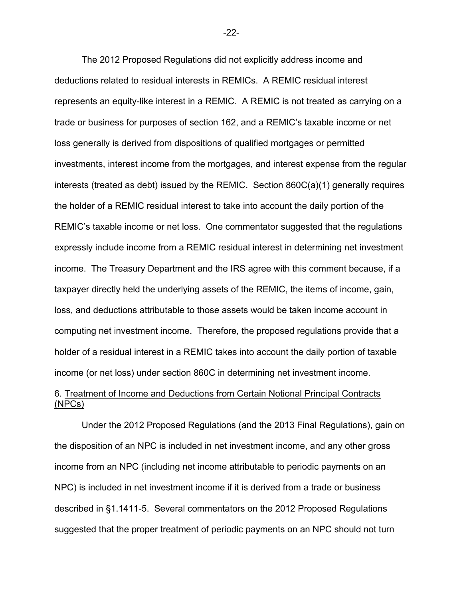The 2012 Proposed Regulations did not explicitly address income and deductions related to residual interests in REMICs. A REMIC residual interest represents an equity-like interest in a REMIC. A REMIC is not treated as carrying on a trade or business for purposes of section 162, and a REMIC's taxable income or net loss generally is derived from dispositions of qualified mortgages or permitted investments, interest income from the mortgages, and interest expense from the regular interests (treated as debt) issued by the REMIC. Section 860C(a)(1) generally requires the holder of a REMIC residual interest to take into account the daily portion of the REMIC's taxable income or net loss. One commentator suggested that the regulations expressly include income from a REMIC residual interest in determining net investment income. The Treasury Department and the IRS agree with this comment because, if a taxpayer directly held the underlying assets of the REMIC, the items of income, gain, loss, and deductions attributable to those assets would be taken income account in computing net investment income. Therefore, the proposed regulations provide that a holder of a residual interest in a REMIC takes into account the daily portion of taxable income (or net loss) under section 860C in determining net investment income.

# 6. Treatment of Income and Deductions from Certain Notional Principal Contracts (NPCs)

Under the 2012 Proposed Regulations (and the 2013 Final Regulations), gain on the disposition of an NPC is included in net investment income, and any other gross income from an NPC (including net income attributable to periodic payments on an NPC) is included in net investment income if it is derived from a trade or business described in §1.1411-5. Several commentators on the 2012 Proposed Regulations suggested that the proper treatment of periodic payments on an NPC should not turn

-22-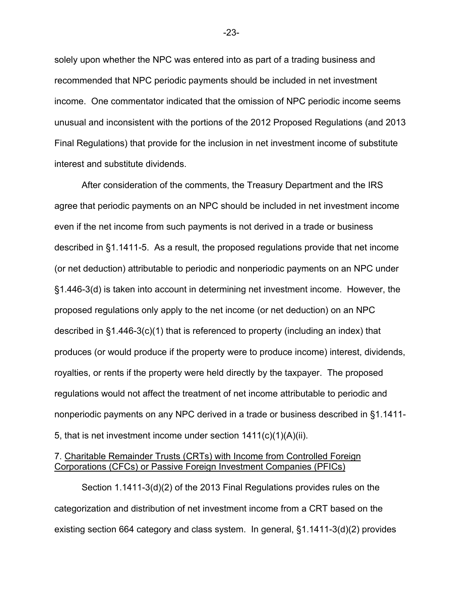solely upon whether the NPC was entered into as part of a trading business and recommended that NPC periodic payments should be included in net investment income. One commentator indicated that the omission of NPC periodic income seems unusual and inconsistent with the portions of the 2012 Proposed Regulations (and 2013 Final Regulations) that provide for the inclusion in net investment income of substitute interest and substitute dividends.

After consideration of the comments, the Treasury Department and the IRS agree that periodic payments on an NPC should be included in net investment income even if the net income from such payments is not derived in a trade or business described in §1.1411-5. As a result, the proposed regulations provide that net income (or net deduction) attributable to periodic and nonperiodic payments on an NPC under §1.446-3(d) is taken into account in determining net investment income. However, the proposed regulations only apply to the net income (or net deduction) on an NPC described in §1.446-3(c)(1) that is referenced to property (including an index) that produces (or would produce if the property were to produce income) interest, dividends, royalties, or rents if the property were held directly by the taxpayer. The proposed regulations would not affect the treatment of net income attributable to periodic and nonperiodic payments on any NPC derived in a trade or business described in §1.1411- 5, that is net investment income under section 1411(c)(1)(A)(ii).

### 7. Charitable Remainder Trusts (CRTs) with Income from Controlled Foreign Corporations (CFCs) or Passive Foreign Investment Companies (PFICs)

Section 1.1411-3(d)(2) of the 2013 Final Regulations provides rules on the categorization and distribution of net investment income from a CRT based on the existing section 664 category and class system. In general, §1.1411-3(d)(2) provides

-23-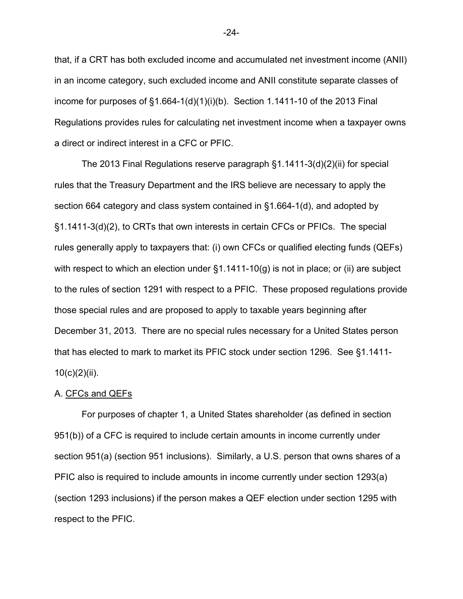that, if a CRT has both excluded income and accumulated net investment income (ANII) in an income category, such excluded income and ANII constitute separate classes of income for purposes of  $\S1.664-1(d)(1)(i)(b)$ . Section 1.1411-10 of the 2013 Final Regulations provides rules for calculating net investment income when a taxpayer owns a direct or indirect interest in a CFC or PFIC.

The 2013 Final Regulations reserve paragraph §1.1411-3(d)(2)(ii) for special rules that the Treasury Department and the IRS believe are necessary to apply the section 664 category and class system contained in §1.664-1(d), and adopted by §1.1411-3(d)(2), to CRTs that own interests in certain CFCs or PFICs. The special rules generally apply to taxpayers that: (i) own CFCs or qualified electing funds (QEFs) with respect to which an election under  $\S1.1411-10(q)$  is not in place; or (ii) are subject to the rules of section 1291 with respect to a PFIC. These proposed regulations provide those special rules and are proposed to apply to taxable years beginning after December 31, 2013. There are no special rules necessary for a United States person that has elected to mark to market its PFIC stock under section 1296. See §1.1411-  $10(c)(2)(ii)$ .

#### A. CFCs and QEFs

For purposes of chapter 1, a United States shareholder (as defined in section 951(b)) of a CFC is required to include certain amounts in income currently under section 951(a) (section 951 inclusions). Similarly, a U.S. person that owns shares of a PFIC also is required to include amounts in income currently under section 1293(a) (section 1293 inclusions) if the person makes a QEF election under section 1295 with respect to the PFIC.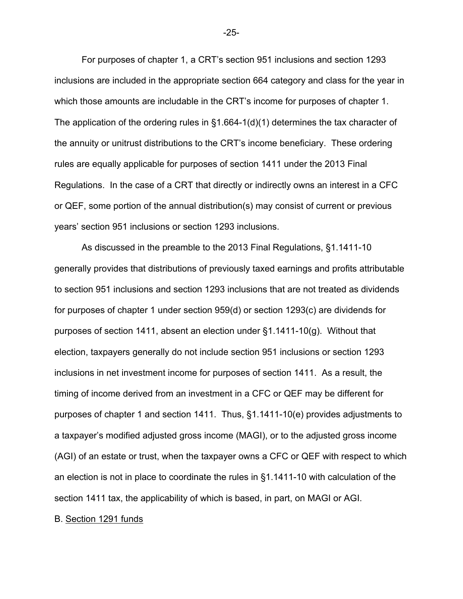For purposes of chapter 1, a CRT's section 951 inclusions and section 1293 inclusions are included in the appropriate section 664 category and class for the year in which those amounts are includable in the CRT's income for purposes of chapter 1. The application of the ordering rules in §1.664-1(d)(1) determines the tax character of the annuity or unitrust distributions to the CRT's income beneficiary. These ordering rules are equally applicable for purposes of section 1411 under the 2013 Final Regulations. In the case of a CRT that directly or indirectly owns an interest in a CFC or QEF, some portion of the annual distribution(s) may consist of current or previous years' section 951 inclusions or section 1293 inclusions.

As discussed in the preamble to the 2013 Final Regulations, §1.1411-10 generally provides that distributions of previously taxed earnings and profits attributable to section 951 inclusions and section 1293 inclusions that are not treated as dividends for purposes of chapter 1 under section 959(d) or section 1293(c) are dividends for purposes of section 1411, absent an election under §1.1411-10(g). Without that election, taxpayers generally do not include section 951 inclusions or section 1293 inclusions in net investment income for purposes of section 1411. As a result, the timing of income derived from an investment in a CFC or QEF may be different for purposes of chapter 1 and section 1411. Thus, §1.1411-10(e) provides adjustments to a taxpayer's modified adjusted gross income (MAGI), or to the adjusted gross income (AGI) of an estate or trust, when the taxpayer owns a CFC or QEF with respect to which an election is not in place to coordinate the rules in §1.1411-10 with calculation of the section 1411 tax, the applicability of which is based, in part, on MAGI or AGI.

B. Section 1291 funds

-25-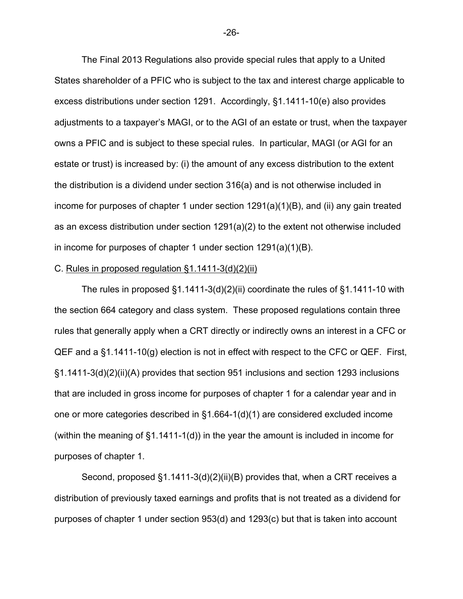The Final 2013 Regulations also provide special rules that apply to a United States shareholder of a PFIC who is subject to the tax and interest charge applicable to excess distributions under section 1291. Accordingly, §1.1411-10(e) also provides adjustments to a taxpayer's MAGI, or to the AGI of an estate or trust, when the taxpayer owns a PFIC and is subject to these special rules. In particular, MAGI (or AGI for an estate or trust) is increased by: (i) the amount of any excess distribution to the extent the distribution is a dividend under section 316(a) and is not otherwise included in income for purposes of chapter 1 under section 1291(a)(1)(B), and (ii) any gain treated as an excess distribution under section 1291(a)(2) to the extent not otherwise included in income for purposes of chapter 1 under section 1291(a)(1)(B).

#### C. Rules in proposed regulation §1.1411-3(d)(2)(ii)

The rules in proposed §1.1411-3(d)(2)(ii) coordinate the rules of §1.1411-10 with the section 664 category and class system. These proposed regulations contain three rules that generally apply when a CRT directly or indirectly owns an interest in a CFC or QEF and a §1.1411-10(g) election is not in effect with respect to the CFC or QEF. First, §1.1411-3(d)(2)(ii)(A) provides that section 951 inclusions and section 1293 inclusions that are included in gross income for purposes of chapter 1 for a calendar year and in one or more categories described in §1.664-1(d)(1) are considered excluded income (within the meaning of §1.1411-1(d)) in the year the amount is included in income for purposes of chapter 1.

Second, proposed §1.1411-3(d)(2)(ii)(B) provides that, when a CRT receives a distribution of previously taxed earnings and profits that is not treated as a dividend for purposes of chapter 1 under section 953(d) and 1293(c) but that is taken into account

-26-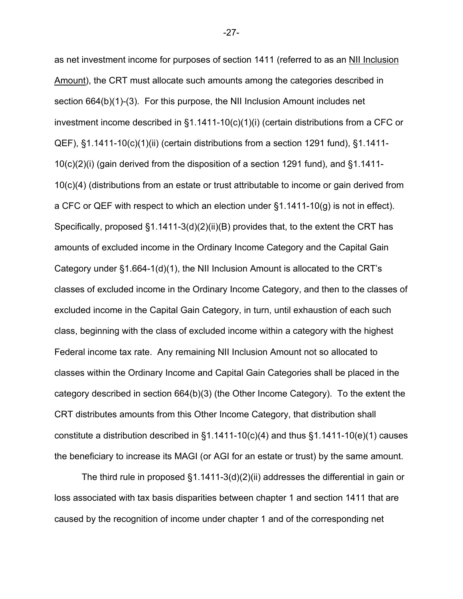as net investment income for purposes of section 1411 (referred to as an NII Inclusion Amount), the CRT must allocate such amounts among the categories described in section 664(b)(1)-(3). For this purpose, the NII Inclusion Amount includes net investment income described in §1.1411-10(c)(1)(i) (certain distributions from a CFC or QEF), §1.1411-10(c)(1)(ii) (certain distributions from a section 1291 fund), §1.1411- 10(c)(2)(i) (gain derived from the disposition of a section 1291 fund), and §1.1411- 10(c)(4) (distributions from an estate or trust attributable to income or gain derived from a CFC or QEF with respect to which an election under §1.1411-10(g) is not in effect). Specifically, proposed §1.1411-3(d)(2)(ii)(B) provides that, to the extent the CRT has amounts of excluded income in the Ordinary Income Category and the Capital Gain Category under §1.664-1(d)(1), the NII Inclusion Amount is allocated to the CRT's classes of excluded income in the Ordinary Income Category, and then to the classes of excluded income in the Capital Gain Category, in turn, until exhaustion of each such class, beginning with the class of excluded income within a category with the highest Federal income tax rate. Any remaining NII Inclusion Amount not so allocated to classes within the Ordinary Income and Capital Gain Categories shall be placed in the category described in section 664(b)(3) (the Other Income Category). To the extent the CRT distributes amounts from this Other Income Category, that distribution shall constitute a distribution described in  $\S1.1411-10(c)(4)$  and thus  $\S1.1411-10(e)(1)$  causes the beneficiary to increase its MAGI (or AGI for an estate or trust) by the same amount.

The third rule in proposed §1.1411-3(d)(2)(ii) addresses the differential in gain or loss associated with tax basis disparities between chapter 1 and section 1411 that are caused by the recognition of income under chapter 1 and of the corresponding net

-27-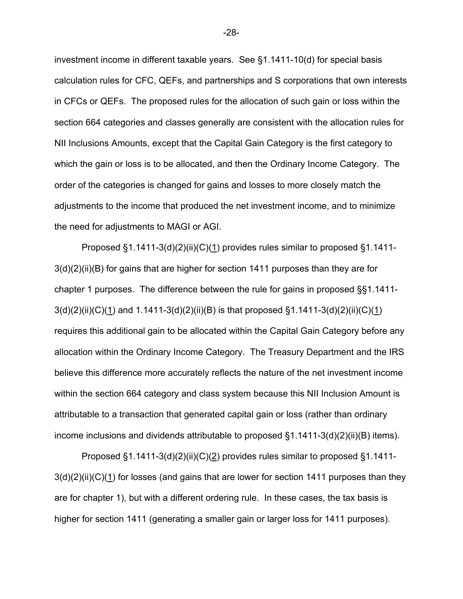investment income in different taxable years. See §1.1411-10(d) for special basis calculation rules for CFC, QEFs, and partnerships and S corporations that own interests in CFCs or QEFs. The proposed rules for the allocation of such gain or loss within the section 664 categories and classes generally are consistent with the allocation rules for NII Inclusions Amounts, except that the Capital Gain Category is the first category to which the gain or loss is to be allocated, and then the Ordinary Income Category. The order of the categories is changed for gains and losses to more closely match the adjustments to the income that produced the net investment income, and to minimize the need for adjustments to MAGI or AGI.

Proposed §1.1411-3(d)(2)(ii)(C)(1) provides rules similar to proposed §1.1411-3(d)(2)(ii)(B) for gains that are higher for section 1411 purposes than they are for chapter 1 purposes. The difference between the rule for gains in proposed §§1.1411-  $3(d)(2)(ii)(C)(1)$  and  $1.1411-3(d)(2)(ii)(B)$  is that proposed  $§1.1411-3(d)(2)(ii)(C)(1)$ requires this additional gain to be allocated within the Capital Gain Category before any allocation within the Ordinary Income Category. The Treasury Department and the IRS believe this difference more accurately reflects the nature of the net investment income within the section 664 category and class system because this NII Inclusion Amount is attributable to a transaction that generated capital gain or loss (rather than ordinary income inclusions and dividends attributable to proposed  $\S1.1411-3(d)(2)(ii)(B)$  items).

Proposed §1.1411-3(d)(2)(ii)(C)(2) provides rules similar to proposed §1.1411- $3(d)(2)(ii)(C)(1)$  for losses (and gains that are lower for section 1411 purposes than they are for chapter 1), but with a different ordering rule. In these cases, the tax basis is higher for section 1411 (generating a smaller gain or larger loss for 1411 purposes).

-28-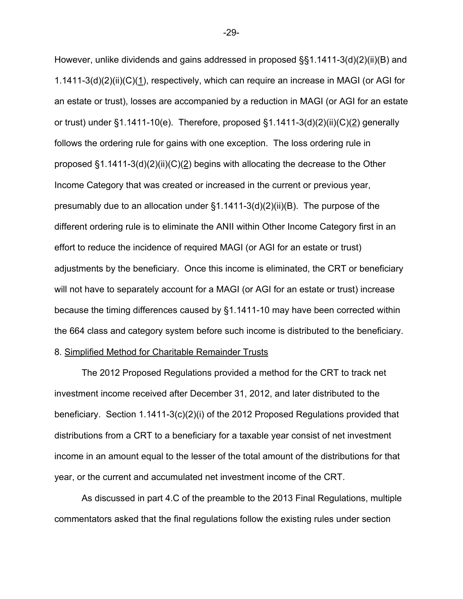However, unlike dividends and gains addressed in proposed §§1.1411-3(d)(2)(ii)(B) and 1.1411-3(d)(2)(ii)(C)(1), respectively, which can require an increase in MAGI (or AGI for an estate or trust), losses are accompanied by a reduction in MAGI (or AGI for an estate or trust) under  $\S1.1411-10(e)$ . Therefore, proposed  $\S1.1411-3(d)(2)(ii)(C)(2)$  generally follows the ordering rule for gains with one exception. The loss ordering rule in proposed  $\S1.1411-3(d)(2)(ii)(C)(2)$  begins with allocating the decrease to the Other Income Category that was created or increased in the current or previous year, presumably due to an allocation under §1.1411-3(d)(2)(ii)(B). The purpose of the different ordering rule is to eliminate the ANII within Other Income Category first in an effort to reduce the incidence of required MAGI (or AGI for an estate or trust) adjustments by the beneficiary. Once this income is eliminated, the CRT or beneficiary will not have to separately account for a MAGI (or AGI for an estate or trust) increase because the timing differences caused by §1.1411-10 may have been corrected within the 664 class and category system before such income is distributed to the beneficiary.

# 8. Simplified Method for Charitable Remainder Trusts

The 2012 Proposed Regulations provided a method for the CRT to track net investment income received after December 31, 2012, and later distributed to the beneficiary. Section 1.1411-3(c)(2)(i) of the 2012 Proposed Regulations provided that distributions from a CRT to a beneficiary for a taxable year consist of net investment income in an amount equal to the lesser of the total amount of the distributions for that year, or the current and accumulated net investment income of the CRT.

As discussed in part 4.C of the preamble to the 2013 Final Regulations, multiple commentators asked that the final regulations follow the existing rules under section

-29-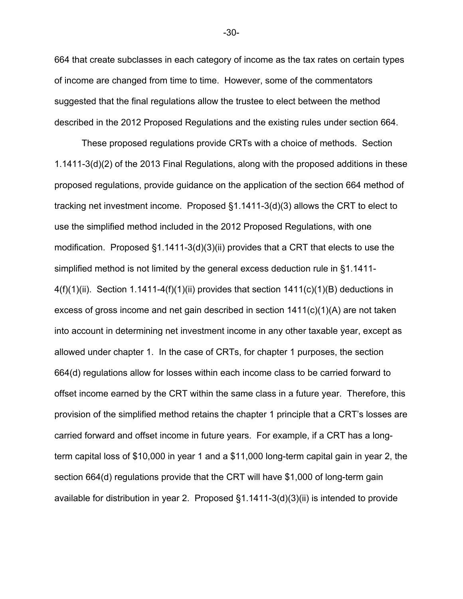664 that create subclasses in each category of income as the tax rates on certain types of income are changed from time to time. However, some of the commentators suggested that the final regulations allow the trustee to elect between the method described in the 2012 Proposed Regulations and the existing rules under section 664.

These proposed regulations provide CRTs with a choice of methods. Section 1.1411-3(d)(2) of the 2013 Final Regulations, along with the proposed additions in these proposed regulations, provide guidance on the application of the section 664 method of tracking net investment income. Proposed §1.1411-3(d)(3) allows the CRT to elect to use the simplified method included in the 2012 Proposed Regulations, with one modification. Proposed §1.1411-3(d)(3)(ii) provides that a CRT that elects to use the simplified method is not limited by the general excess deduction rule in §1.1411-  $4(f)(1)(ii)$ . Section 1.1411-4 $(f)(1)(ii)$  provides that section 1411 $(c)(1)(B)$  deductions in excess of gross income and net gain described in section 1411(c)(1)(A) are not taken into account in determining net investment income in any other taxable year, except as allowed under chapter 1. In the case of CRTs, for chapter 1 purposes, the section 664(d) regulations allow for losses within each income class to be carried forward to offset income earned by the CRT within the same class in a future year. Therefore, this provision of the simplified method retains the chapter 1 principle that a CRT's losses are carried forward and offset income in future years. For example, if a CRT has a longterm capital loss of \$10,000 in year 1 and a \$11,000 long-term capital gain in year 2, the section 664(d) regulations provide that the CRT will have \$1,000 of long-term gain available for distribution in year 2. Proposed §1.1411-3(d)(3)(ii) is intended to provide

-30-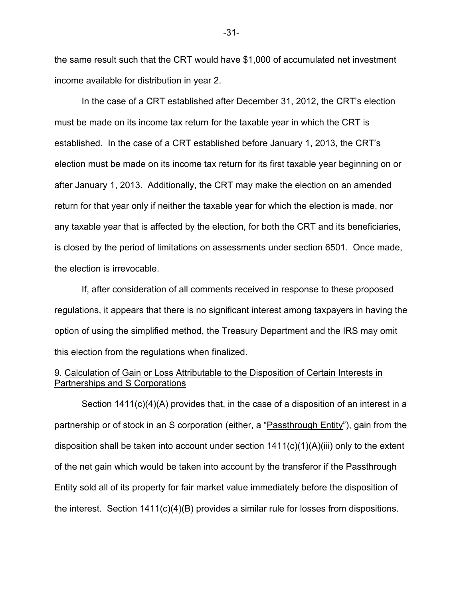the same result such that the CRT would have \$1,000 of accumulated net investment income available for distribution in year 2.

In the case of a CRT established after December 31, 2012, the CRT's election must be made on its income tax return for the taxable year in which the CRT is established. In the case of a CRT established before January 1, 2013, the CRT's election must be made on its income tax return for its first taxable year beginning on or after January 1, 2013. Additionally, the CRT may make the election on an amended return for that year only if neither the taxable year for which the election is made, nor any taxable year that is affected by the election, for both the CRT and its beneficiaries, is closed by the period of limitations on assessments under section 6501. Once made, the election is irrevocable.

If, after consideration of all comments received in response to these proposed regulations, it appears that there is no significant interest among taxpayers in having the option of using the simplified method, the Treasury Department and the IRS may omit this election from the regulations when finalized.

# 9. Calculation of Gain or Loss Attributable to the Disposition of Certain Interests in Partnerships and S Corporations

Section 1411(c)(4)(A) provides that, in the case of a disposition of an interest in a partnership or of stock in an S corporation (either, a "Passthrough Entity"), gain from the disposition shall be taken into account under section 1411(c)(1)(A)(iii) only to the extent of the net gain which would be taken into account by the transferor if the Passthrough Entity sold all of its property for fair market value immediately before the disposition of the interest. Section 1411(c)(4)(B) provides a similar rule for losses from dispositions.

-31-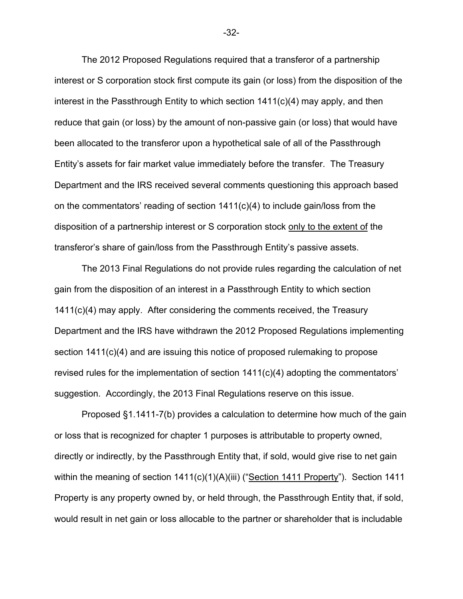The 2012 Proposed Regulations required that a transferor of a partnership interest or S corporation stock first compute its gain (or loss) from the disposition of the interest in the Passthrough Entity to which section 1411(c)(4) may apply, and then reduce that gain (or loss) by the amount of non-passive gain (or loss) that would have been allocated to the transferor upon a hypothetical sale of all of the Passthrough Entity's assets for fair market value immediately before the transfer. The Treasury Department and the IRS received several comments questioning this approach based on the commentators' reading of section 1411(c)(4) to include gain/loss from the disposition of a partnership interest or S corporation stock only to the extent of the transferor's share of gain/loss from the Passthrough Entity's passive assets.

The 2013 Final Regulations do not provide rules regarding the calculation of net gain from the disposition of an interest in a Passthrough Entity to which section 1411(c)(4) may apply. After considering the comments received, the Treasury Department and the IRS have withdrawn the 2012 Proposed Regulations implementing section 1411(c)(4) and are issuing this notice of proposed rulemaking to propose revised rules for the implementation of section  $1411(c)(4)$  adopting the commentators' suggestion. Accordingly, the 2013 Final Regulations reserve on this issue.

Proposed §1.1411-7(b) provides a calculation to determine how much of the gain or loss that is recognized for chapter 1 purposes is attributable to property owned, directly or indirectly, by the Passthrough Entity that, if sold, would give rise to net gain within the meaning of section 1411(c)(1)(A)(iii) ("Section 1411 Property"). Section 1411 Property is any property owned by, or held through, the Passthrough Entity that, if sold, would result in net gain or loss allocable to the partner or shareholder that is includable

-32-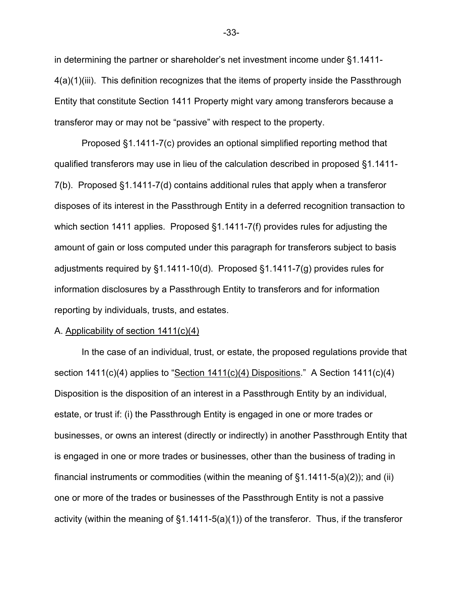in determining the partner or shareholder's net investment income under §1.1411- 4(a)(1)(iii). This definition recognizes that the items of property inside the Passthrough Entity that constitute Section 1411 Property might vary among transferors because a transferor may or may not be "passive" with respect to the property.

Proposed §1.1411-7(c) provides an optional simplified reporting method that qualified transferors may use in lieu of the calculation described in proposed §1.1411- 7(b). Proposed §1.1411-7(d) contains additional rules that apply when a transferor disposes of its interest in the Passthrough Entity in a deferred recognition transaction to which section 1411 applies. Proposed §1.1411-7(f) provides rules for adjusting the amount of gain or loss computed under this paragraph for transferors subject to basis adjustments required by §1.1411-10(d). Proposed §1.1411-7(g) provides rules for information disclosures by a Passthrough Entity to transferors and for information reporting by individuals, trusts, and estates.

#### A. Applicability of section 1411(c)(4)

In the case of an individual, trust, or estate, the proposed regulations provide that section 1411(c)(4) applies to "Section 1411(c)(4) Dispositions." A Section 1411(c)(4) Disposition is the disposition of an interest in a Passthrough Entity by an individual, estate, or trust if: (i) the Passthrough Entity is engaged in one or more trades or businesses, or owns an interest (directly or indirectly) in another Passthrough Entity that is engaged in one or more trades or businesses, other than the business of trading in financial instruments or commodities (within the meaning of  $\S1.1411-5(a)(2)$ ); and (ii) one or more of the trades or businesses of the Passthrough Entity is not a passive activity (within the meaning of §1.1411-5(a)(1)) of the transferor. Thus, if the transferor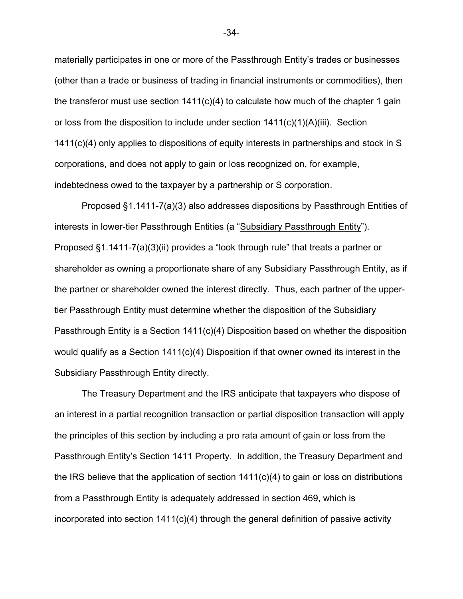materially participates in one or more of the Passthrough Entity's trades or businesses (other than a trade or business of trading in financial instruments or commodities), then the transferor must use section  $1411(c)(4)$  to calculate how much of the chapter 1 gain or loss from the disposition to include under section 1411(c)(1)(A)(iii). Section 1411(c)(4) only applies to dispositions of equity interests in partnerships and stock in S corporations, and does not apply to gain or loss recognized on, for example, indebtedness owed to the taxpayer by a partnership or S corporation.

Proposed §1.1411-7(a)(3) also addresses dispositions by Passthrough Entities of interests in lower-tier Passthrough Entities (a "Subsidiary Passthrough Entity"). Proposed §1.1411-7(a)(3)(ii) provides a "look through rule" that treats a partner or shareholder as owning a proportionate share of any Subsidiary Passthrough Entity, as if the partner or shareholder owned the interest directly. Thus, each partner of the uppertier Passthrough Entity must determine whether the disposition of the Subsidiary Passthrough Entity is a Section 1411(c)(4) Disposition based on whether the disposition would qualify as a Section 1411(c)(4) Disposition if that owner owned its interest in the Subsidiary Passthrough Entity directly.

The Treasury Department and the IRS anticipate that taxpayers who dispose of an interest in a partial recognition transaction or partial disposition transaction will apply the principles of this section by including a pro rata amount of gain or loss from the Passthrough Entity's Section 1411 Property. In addition, the Treasury Department and the IRS believe that the application of section 1411(c)(4) to gain or loss on distributions from a Passthrough Entity is adequately addressed in section 469, which is incorporated into section 1411(c)(4) through the general definition of passive activity

-34-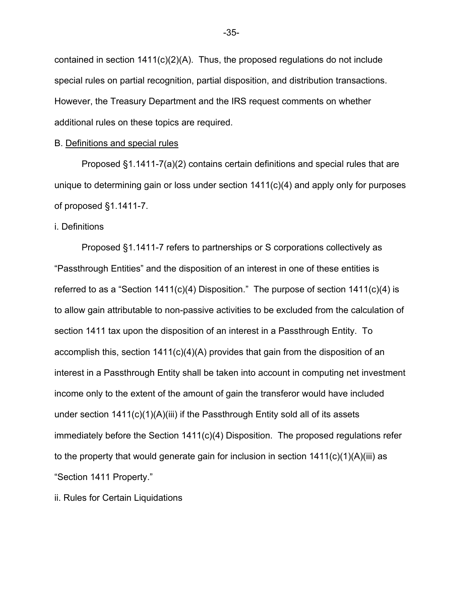contained in section 1411(c)(2)(A). Thus, the proposed regulations do not include special rules on partial recognition, partial disposition, and distribution transactions. However, the Treasury Department and the IRS request comments on whether additional rules on these topics are required.

#### B. Definitions and special rules

 Proposed §1.1411-7(a)(2) contains certain definitions and special rules that are unique to determining gain or loss under section 1411(c)(4) and apply only for purposes of proposed §1.1411-7.

#### i. Definitions

Proposed §1.1411-7 refers to partnerships or S corporations collectively as "Passthrough Entities" and the disposition of an interest in one of these entities is referred to as a "Section  $1411(c)(4)$  Disposition." The purpose of section  $1411(c)(4)$  is to allow gain attributable to non-passive activities to be excluded from the calculation of section 1411 tax upon the disposition of an interest in a Passthrough Entity. To accomplish this, section 1411(c)(4)(A) provides that gain from the disposition of an interest in a Passthrough Entity shall be taken into account in computing net investment income only to the extent of the amount of gain the transferor would have included under section 1411(c)(1)(A)(iii) if the Passthrough Entity sold all of its assets immediately before the Section  $1411(c)(4)$  Disposition. The proposed regulations refer to the property that would generate gain for inclusion in section  $1411(c)(1)(A)(iii)$  as "Section 1411 Property."

ii. Rules for Certain Liquidations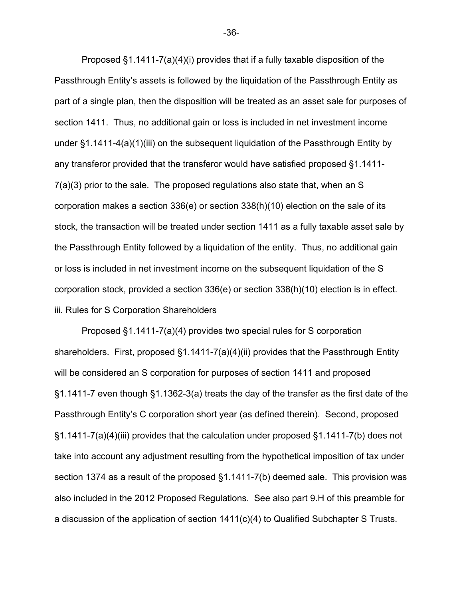Proposed §1.1411-7(a)(4)(i) provides that if a fully taxable disposition of the Passthrough Entity's assets is followed by the liquidation of the Passthrough Entity as part of a single plan, then the disposition will be treated as an asset sale for purposes of section 1411. Thus, no additional gain or loss is included in net investment income under §1.1411-4(a)(1)(iii) on the subsequent liquidation of the Passthrough Entity by any transferor provided that the transferor would have satisfied proposed §1.1411- 7(a)(3) prior to the sale. The proposed regulations also state that, when an S corporation makes a section 336(e) or section 338(h)(10) election on the sale of its stock, the transaction will be treated under section 1411 as a fully taxable asset sale by the Passthrough Entity followed by a liquidation of the entity. Thus, no additional gain or loss is included in net investment income on the subsequent liquidation of the S corporation stock, provided a section 336(e) or section 338(h)(10) election is in effect. iii. Rules for S Corporation Shareholders

Proposed §1.1411-7(a)(4) provides two special rules for S corporation shareholders. First, proposed §1.1411-7(a)(4)(ii) provides that the Passthrough Entity will be considered an S corporation for purposes of section 1411 and proposed §1.1411-7 even though §1.1362-3(a) treats the day of the transfer as the first date of the Passthrough Entity's C corporation short year (as defined therein). Second, proposed §1.1411-7(a)(4)(iii) provides that the calculation under proposed §1.1411-7(b) does not take into account any adjustment resulting from the hypothetical imposition of tax under section 1374 as a result of the proposed §1.1411-7(b) deemed sale. This provision was also included in the 2012 Proposed Regulations. See also part 9.H of this preamble for a discussion of the application of section 1411(c)(4) to Qualified Subchapter S Trusts.

-36-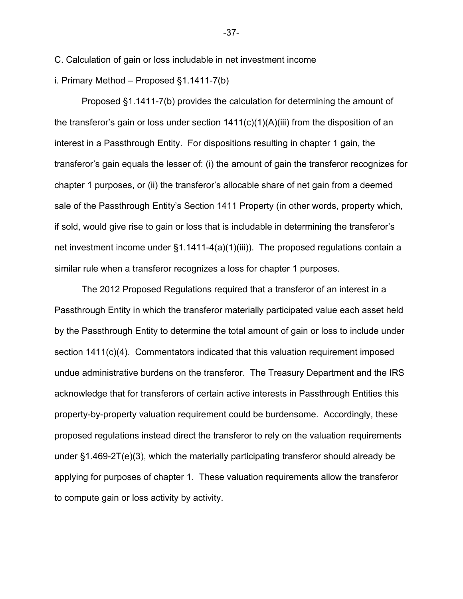## C. Calculation of gain or loss includable in net investment income

i. Primary Method – Proposed §1.1411-7(b)

Proposed §1.1411-7(b) provides the calculation for determining the amount of the transferor's gain or loss under section  $1411(c)(1)(A)(iii)$  from the disposition of an interest in a Passthrough Entity. For dispositions resulting in chapter 1 gain, the transferor's gain equals the lesser of: (i) the amount of gain the transferor recognizes for chapter 1 purposes, or (ii) the transferor's allocable share of net gain from a deemed sale of the Passthrough Entity's Section 1411 Property (in other words, property which, if sold, would give rise to gain or loss that is includable in determining the transferor's net investment income under  $\S1.1411-4(a)(1)(iii)$ . The proposed regulations contain a similar rule when a transferor recognizes a loss for chapter 1 purposes.

The 2012 Proposed Regulations required that a transferor of an interest in a Passthrough Entity in which the transferor materially participated value each asset held by the Passthrough Entity to determine the total amount of gain or loss to include under section 1411(c)(4). Commentators indicated that this valuation requirement imposed undue administrative burdens on the transferor. The Treasury Department and the IRS acknowledge that for transferors of certain active interests in Passthrough Entities this property-by-property valuation requirement could be burdensome. Accordingly, these proposed regulations instead direct the transferor to rely on the valuation requirements under §1.469-2T(e)(3), which the materially participating transferor should already be applying for purposes of chapter 1. These valuation requirements allow the transferor to compute gain or loss activity by activity.

#### -37-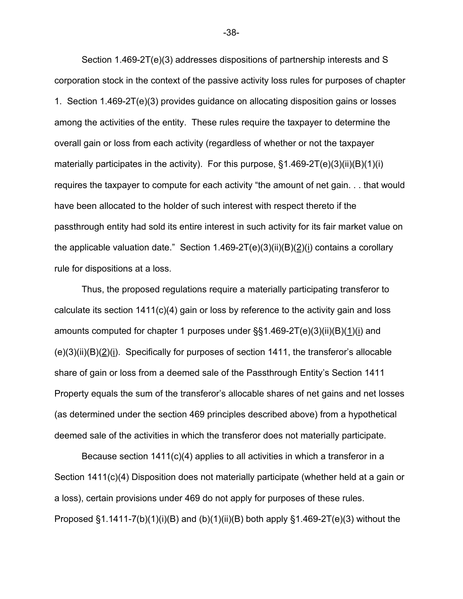Section 1.469-2T(e)(3) addresses dispositions of partnership interests and S corporation stock in the context of the passive activity loss rules for purposes of chapter 1. Section 1.469-2T(e)(3) provides guidance on allocating disposition gains or losses among the activities of the entity. These rules require the taxpayer to determine the overall gain or loss from each activity (regardless of whether or not the taxpayer materially participates in the activity). For this purpose,  $\S$ 1.469-2T(e)(3)(ii)(B)(1)(i) requires the taxpayer to compute for each activity "the amount of net gain. . . that would have been allocated to the holder of such interest with respect thereto if the passthrough entity had sold its entire interest in such activity for its fair market value on the applicable valuation date." Section  $1.469-2T(e)(3)(ii)(B)(2)(i)$  contains a corollary rule for dispositions at a loss.

Thus, the proposed regulations require a materially participating transferor to calculate its section 1411(c)(4) gain or loss by reference to the activity gain and loss amounts computed for chapter 1 purposes under  $\S$ §1.469-2T(e)(3)(ii)(B)(1)(i) and  $(e)(3)(ii)(B)(2)(i)$ . Specifically for purposes of section 1411, the transferor's allocable share of gain or loss from a deemed sale of the Passthrough Entity's Section 1411 Property equals the sum of the transferor's allocable shares of net gains and net losses (as determined under the section 469 principles described above) from a hypothetical deemed sale of the activities in which the transferor does not materially participate.

Because section 1411(c)(4) applies to all activities in which a transferor in a Section 1411(c)(4) Disposition does not materially participate (whether held at a gain or a loss), certain provisions under 469 do not apply for purposes of these rules. Proposed  $\S1.1411$ -7(b)(1)(i)(B) and (b)(1)(ii)(B) both apply  $\S1.469$ -2T(e)(3) without the

-38-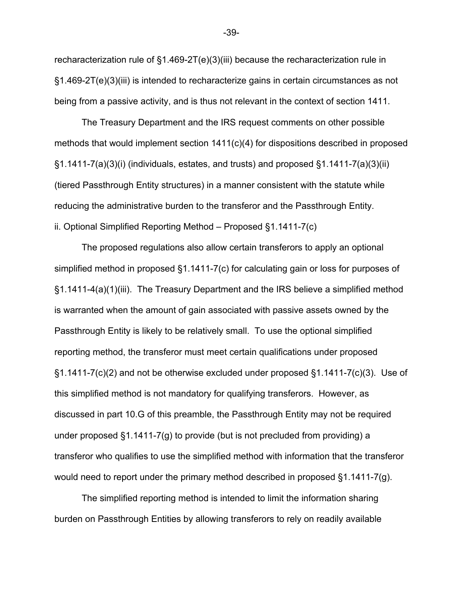recharacterization rule of §1.469-2T(e)(3)(iii) because the recharacterization rule in §1.469-2T(e)(3)(iii) is intended to recharacterize gains in certain circumstances as not being from a passive activity, and is thus not relevant in the context of section 1411.

The Treasury Department and the IRS request comments on other possible methods that would implement section 1411(c)(4) for dispositions described in proposed §1.1411-7(a)(3)(i) (individuals, estates, and trusts) and proposed §1.1411-7(a)(3)(ii) (tiered Passthrough Entity structures) in a manner consistent with the statute while reducing the administrative burden to the transferor and the Passthrough Entity. ii. Optional Simplified Reporting Method – Proposed §1.1411-7(c)

The proposed regulations also allow certain transferors to apply an optional simplified method in proposed §1.1411-7(c) for calculating gain or loss for purposes of §1.1411-4(a)(1)(iii). The Treasury Department and the IRS believe a simplified method is warranted when the amount of gain associated with passive assets owned by the Passthrough Entity is likely to be relatively small. To use the optional simplified reporting method, the transferor must meet certain qualifications under proposed  $\S1.1411$ -7(c)(2) and not be otherwise excluded under proposed  $\S1.1411$ -7(c)(3). Use of this simplified method is not mandatory for qualifying transferors. However, as discussed in part 10.G of this preamble, the Passthrough Entity may not be required under proposed §1.1411-7(g) to provide (but is not precluded from providing) a transferor who qualifies to use the simplified method with information that the transferor would need to report under the primary method described in proposed §1.1411-7(g).

 The simplified reporting method is intended to limit the information sharing burden on Passthrough Entities by allowing transferors to rely on readily available

-39-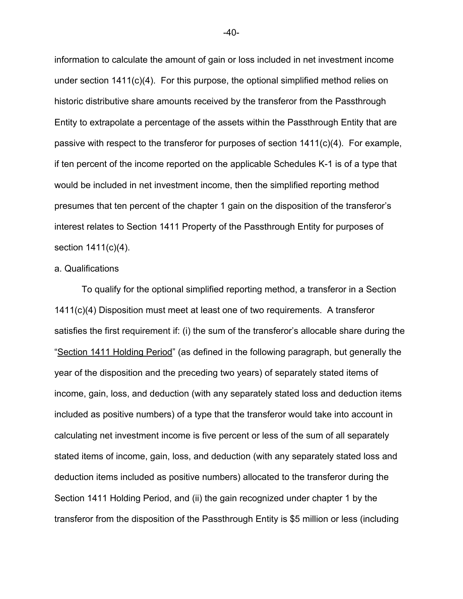information to calculate the amount of gain or loss included in net investment income under section 1411(c)(4). For this purpose, the optional simplified method relies on historic distributive share amounts received by the transferor from the Passthrough Entity to extrapolate a percentage of the assets within the Passthrough Entity that are passive with respect to the transferor for purposes of section  $1411(c)(4)$ . For example, if ten percent of the income reported on the applicable Schedules K-1 is of a type that would be included in net investment income, then the simplified reporting method presumes that ten percent of the chapter 1 gain on the disposition of the transferor's interest relates to Section 1411 Property of the Passthrough Entity for purposes of section 1411(c)(4).

## a. Qualifications

To qualify for the optional simplified reporting method, a transferor in a Section 1411(c)(4) Disposition must meet at least one of two requirements. A transferor satisfies the first requirement if: (i) the sum of the transferor's allocable share during the "Section 1411 Holding Period" (as defined in the following paragraph, but generally the year of the disposition and the preceding two years) of separately stated items of income, gain, loss, and deduction (with any separately stated loss and deduction items included as positive numbers) of a type that the transferor would take into account in calculating net investment income is five percent or less of the sum of all separately stated items of income, gain, loss, and deduction (with any separately stated loss and deduction items included as positive numbers) allocated to the transferor during the Section 1411 Holding Period, and (ii) the gain recognized under chapter 1 by the transferor from the disposition of the Passthrough Entity is \$5 million or less (including

-40-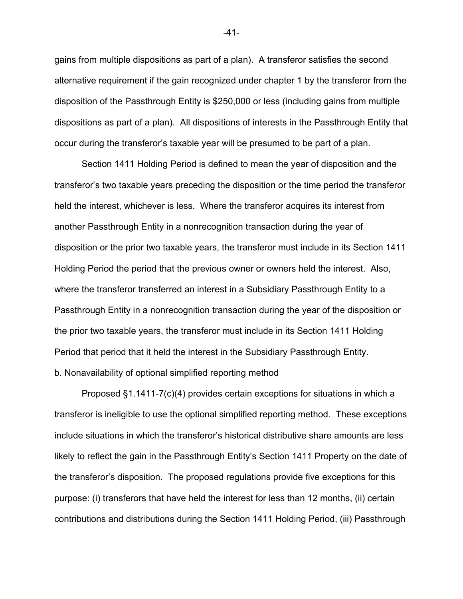gains from multiple dispositions as part of a plan). A transferor satisfies the second alternative requirement if the gain recognized under chapter 1 by the transferor from the disposition of the Passthrough Entity is \$250,000 or less (including gains from multiple dispositions as part of a plan). All dispositions of interests in the Passthrough Entity that occur during the transferor's taxable year will be presumed to be part of a plan.

Section 1411 Holding Period is defined to mean the year of disposition and the transferor's two taxable years preceding the disposition or the time period the transferor held the interest, whichever is less. Where the transferor acquires its interest from another Passthrough Entity in a nonrecognition transaction during the year of disposition or the prior two taxable years, the transferor must include in its Section 1411 Holding Period the period that the previous owner or owners held the interest. Also, where the transferor transferred an interest in a Subsidiary Passthrough Entity to a Passthrough Entity in a nonrecognition transaction during the year of the disposition or the prior two taxable years, the transferor must include in its Section 1411 Holding Period that period that it held the interest in the Subsidiary Passthrough Entity. b. Nonavailability of optional simplified reporting method

Proposed §1.1411-7(c)(4) provides certain exceptions for situations in which a transferor is ineligible to use the optional simplified reporting method. These exceptions include situations in which the transferor's historical distributive share amounts are less likely to reflect the gain in the Passthrough Entity's Section 1411 Property on the date of the transferor's disposition. The proposed regulations provide five exceptions for this purpose: (i) transferors that have held the interest for less than 12 months, (ii) certain contributions and distributions during the Section 1411 Holding Period, (iii) Passthrough

-41-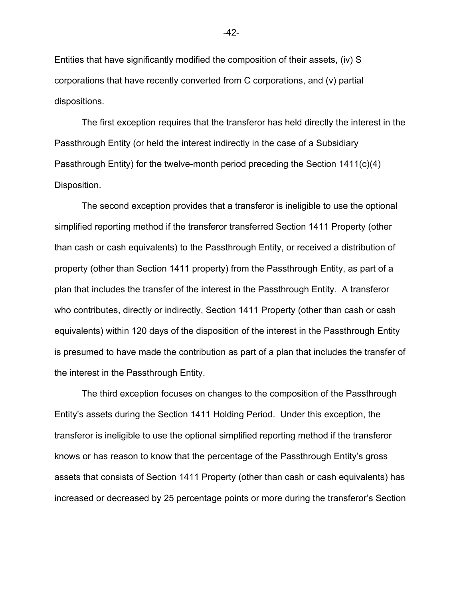Entities that have significantly modified the composition of their assets, (iv) S corporations that have recently converted from C corporations, and (v) partial dispositions.

The first exception requires that the transferor has held directly the interest in the Passthrough Entity (or held the interest indirectly in the case of a Subsidiary Passthrough Entity) for the twelve-month period preceding the Section 1411(c)(4) Disposition.

The second exception provides that a transferor is ineligible to use the optional simplified reporting method if the transferor transferred Section 1411 Property (other than cash or cash equivalents) to the Passthrough Entity, or received a distribution of property (other than Section 1411 property) from the Passthrough Entity, as part of a plan that includes the transfer of the interest in the Passthrough Entity. A transferor who contributes, directly or indirectly, Section 1411 Property (other than cash or cash equivalents) within 120 days of the disposition of the interest in the Passthrough Entity is presumed to have made the contribution as part of a plan that includes the transfer of the interest in the Passthrough Entity.

The third exception focuses on changes to the composition of the Passthrough Entity's assets during the Section 1411 Holding Period. Under this exception, the transferor is ineligible to use the optional simplified reporting method if the transferor knows or has reason to know that the percentage of the Passthrough Entity's gross assets that consists of Section 1411 Property (other than cash or cash equivalents) has increased or decreased by 25 percentage points or more during the transferor's Section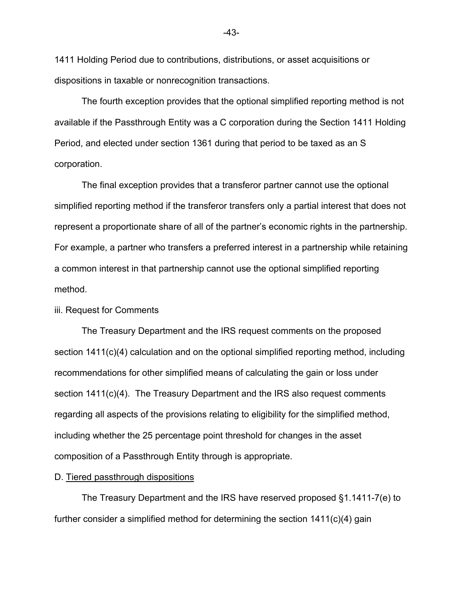1411 Holding Period due to contributions, distributions, or asset acquisitions or dispositions in taxable or nonrecognition transactions.

The fourth exception provides that the optional simplified reporting method is not available if the Passthrough Entity was a C corporation during the Section 1411 Holding Period, and elected under section 1361 during that period to be taxed as an S corporation.

The final exception provides that a transferor partner cannot use the optional simplified reporting method if the transferor transfers only a partial interest that does not represent a proportionate share of all of the partner's economic rights in the partnership. For example, a partner who transfers a preferred interest in a partnership while retaining a common interest in that partnership cannot use the optional simplified reporting method.

## iii. Request for Comments

The Treasury Department and the IRS request comments on the proposed section 1411(c)(4) calculation and on the optional simplified reporting method, including recommendations for other simplified means of calculating the gain or loss under section 1411(c)(4). The Treasury Department and the IRS also request comments regarding all aspects of the provisions relating to eligibility for the simplified method, including whether the 25 percentage point threshold for changes in the asset composition of a Passthrough Entity through is appropriate.

## D. Tiered passthrough dispositions

The Treasury Department and the IRS have reserved proposed §1.1411-7(e) to further consider a simplified method for determining the section 1411(c)(4) gain

-43-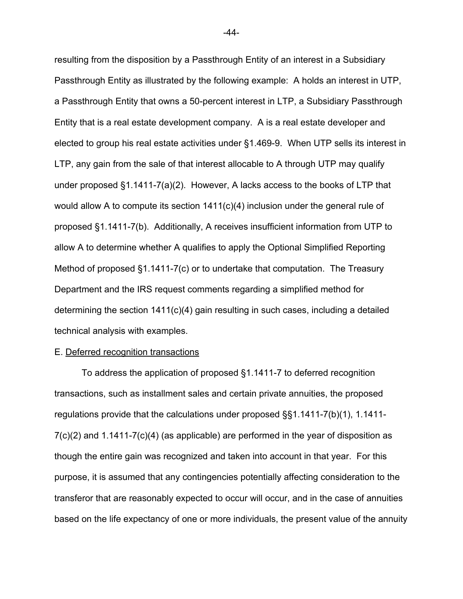resulting from the disposition by a Passthrough Entity of an interest in a Subsidiary Passthrough Entity as illustrated by the following example: A holds an interest in UTP, a Passthrough Entity that owns a 50-percent interest in LTP, a Subsidiary Passthrough Entity that is a real estate development company. A is a real estate developer and elected to group his real estate activities under §1.469-9. When UTP sells its interest in LTP, any gain from the sale of that interest allocable to A through UTP may qualify under proposed §1.1411-7(a)(2). However, A lacks access to the books of LTP that would allow A to compute its section 1411(c)(4) inclusion under the general rule of proposed §1.1411-7(b). Additionally, A receives insufficient information from UTP to allow A to determine whether A qualifies to apply the Optional Simplified Reporting Method of proposed §1.1411-7(c) or to undertake that computation. The Treasury Department and the IRS request comments regarding a simplified method for determining the section 1411(c)(4) gain resulting in such cases, including a detailed technical analysis with examples.

#### E. Deferred recognition transactions

To address the application of proposed §1.1411-7 to deferred recognition transactions, such as installment sales and certain private annuities, the proposed regulations provide that the calculations under proposed §§1.1411-7(b)(1), 1.1411-  $7(c)(2)$  and 1.1411-7 $(c)(4)$  (as applicable) are performed in the year of disposition as though the entire gain was recognized and taken into account in that year. For this purpose, it is assumed that any contingencies potentially affecting consideration to the transferor that are reasonably expected to occur will occur, and in the case of annuities based on the life expectancy of one or more individuals, the present value of the annuity

-44-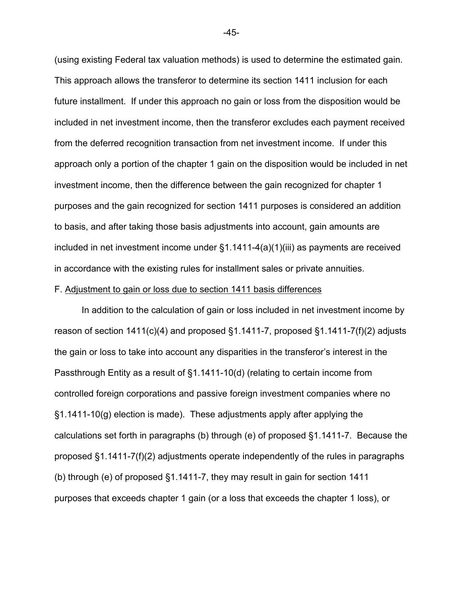(using existing Federal tax valuation methods) is used to determine the estimated gain. This approach allows the transferor to determine its section 1411 inclusion for each future installment. If under this approach no gain or loss from the disposition would be included in net investment income, then the transferor excludes each payment received from the deferred recognition transaction from net investment income. If under this approach only a portion of the chapter 1 gain on the disposition would be included in net investment income, then the difference between the gain recognized for chapter 1 purposes and the gain recognized for section 1411 purposes is considered an addition to basis, and after taking those basis adjustments into account, gain amounts are included in net investment income under §1.1411-4(a)(1)(iii) as payments are received in accordance with the existing rules for installment sales or private annuities.

## F. Adjustment to gain or loss due to section 1411 basis differences

In addition to the calculation of gain or loss included in net investment income by reason of section  $1411(c)(4)$  and proposed  $\S1.1411-7$ , proposed  $\S1.1411-7(f)(2)$  adjusts the gain or loss to take into account any disparities in the transferor's interest in the Passthrough Entity as a result of §1.1411-10(d) (relating to certain income from controlled foreign corporations and passive foreign investment companies where no §1.1411-10(g) election is made). These adjustments apply after applying the calculations set forth in paragraphs (b) through (e) of proposed §1.1411-7. Because the proposed §1.1411-7(f)(2) adjustments operate independently of the rules in paragraphs (b) through (e) of proposed §1.1411-7, they may result in gain for section 1411 purposes that exceeds chapter 1 gain (or a loss that exceeds the chapter 1 loss), or

-45-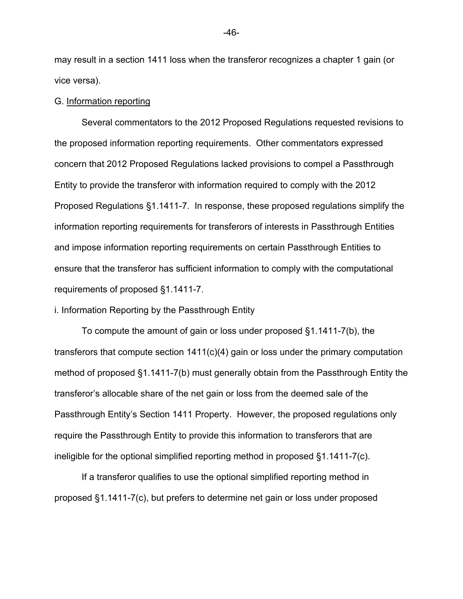may result in a section 1411 loss when the transferor recognizes a chapter 1 gain (or vice versa).

## G. Information reporting

 Several commentators to the 2012 Proposed Regulations requested revisions to the proposed information reporting requirements. Other commentators expressed concern that 2012 Proposed Regulations lacked provisions to compel a Passthrough Entity to provide the transferor with information required to comply with the 2012 Proposed Regulations §1.1411-7. In response, these proposed regulations simplify the information reporting requirements for transferors of interests in Passthrough Entities and impose information reporting requirements on certain Passthrough Entities to ensure that the transferor has sufficient information to comply with the computational requirements of proposed §1.1411-7.

i. Information Reporting by the Passthrough Entity

To compute the amount of gain or loss under proposed §1.1411-7(b), the transferors that compute section 1411(c)(4) gain or loss under the primary computation method of proposed §1.1411-7(b) must generally obtain from the Passthrough Entity the transferor's allocable share of the net gain or loss from the deemed sale of the Passthrough Entity's Section 1411 Property. However, the proposed regulations only require the Passthrough Entity to provide this information to transferors that are ineligible for the optional simplified reporting method in proposed §1.1411-7(c).

If a transferor qualifies to use the optional simplified reporting method in proposed §1.1411-7(c), but prefers to determine net gain or loss under proposed

-46-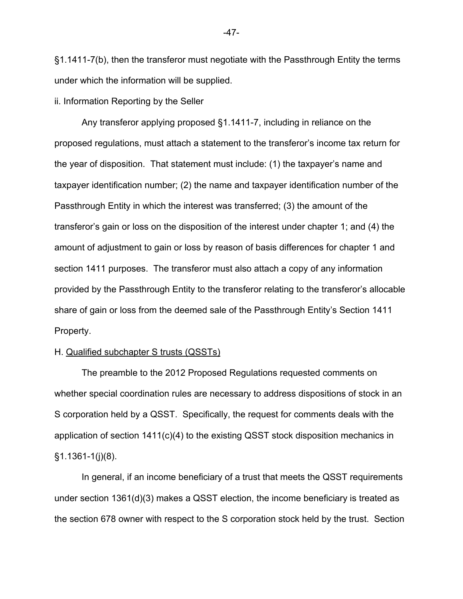§1.1411-7(b), then the transferor must negotiate with the Passthrough Entity the terms under which the information will be supplied.

## ii. Information Reporting by the Seller

Any transferor applying proposed §1.1411-7, including in reliance on the proposed regulations, must attach a statement to the transferor's income tax return for the year of disposition. That statement must include: (1) the taxpayer's name and taxpayer identification number; (2) the name and taxpayer identification number of the Passthrough Entity in which the interest was transferred; (3) the amount of the transferor's gain or loss on the disposition of the interest under chapter 1; and (4) the amount of adjustment to gain or loss by reason of basis differences for chapter 1 and section 1411 purposes. The transferor must also attach a copy of any information provided by the Passthrough Entity to the transferor relating to the transferor's allocable share of gain or loss from the deemed sale of the Passthrough Entity's Section 1411 Property.

## H. Qualified subchapter S trusts (QSSTs)

The preamble to the 2012 Proposed Regulations requested comments on whether special coordination rules are necessary to address dispositions of stock in an S corporation held by a QSST. Specifically, the request for comments deals with the application of section 1411(c)(4) to the existing QSST stock disposition mechanics in  $§1.1361-1(j)(8)$ .

In general, if an income beneficiary of a trust that meets the QSST requirements under section 1361(d)(3) makes a QSST election, the income beneficiary is treated as the section 678 owner with respect to the S corporation stock held by the trust. Section

-47-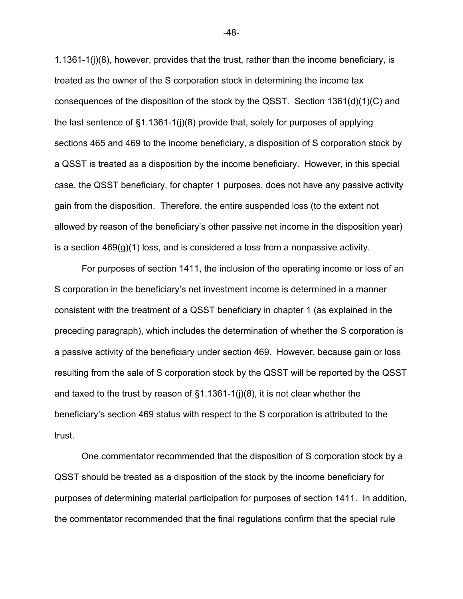1.1361-1(j)(8), however, provides that the trust, rather than the income beneficiary, is treated as the owner of the S corporation stock in determining the income tax consequences of the disposition of the stock by the QSST. Section 1361(d)(1)(C) and the last sentence of §1.1361-1(j)(8) provide that, solely for purposes of applying sections 465 and 469 to the income beneficiary, a disposition of S corporation stock by a QSST is treated as a disposition by the income beneficiary. However, in this special case, the QSST beneficiary, for chapter 1 purposes, does not have any passive activity gain from the disposition. Therefore, the entire suspended loss (to the extent not allowed by reason of the beneficiary's other passive net income in the disposition year) is a section  $469(q)(1)$  loss, and is considered a loss from a nonpassive activity.

For purposes of section 1411, the inclusion of the operating income or loss of an S corporation in the beneficiary's net investment income is determined in a manner consistent with the treatment of a QSST beneficiary in chapter 1 (as explained in the preceding paragraph), which includes the determination of whether the S corporation is a passive activity of the beneficiary under section 469. However, because gain or loss resulting from the sale of S corporation stock by the QSST will be reported by the QSST and taxed to the trust by reason of  $\S1.1361-1(j)(8)$ , it is not clear whether the beneficiary's section 469 status with respect to the S corporation is attributed to the trust.

One commentator recommended that the disposition of S corporation stock by a QSST should be treated as a disposition of the stock by the income beneficiary for purposes of determining material participation for purposes of section 1411. In addition, the commentator recommended that the final regulations confirm that the special rule

-48-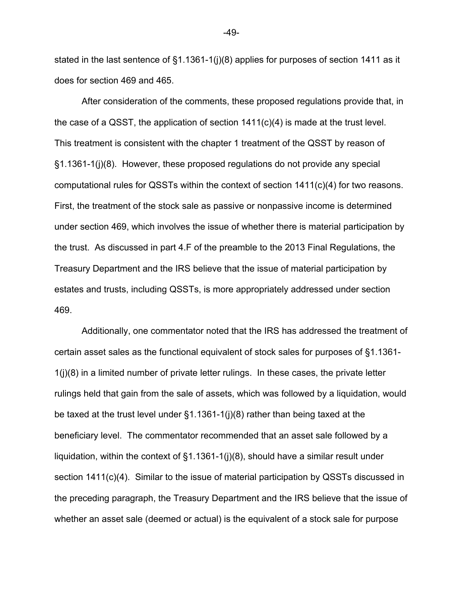stated in the last sentence of §1.1361-1(j)(8) applies for purposes of section 1411 as it does for section 469 and 465.

After consideration of the comments, these proposed regulations provide that, in the case of a QSST, the application of section  $1411(c)(4)$  is made at the trust level. This treatment is consistent with the chapter 1 treatment of the QSST by reason of §1.1361-1(j)(8). However, these proposed regulations do not provide any special computational rules for QSSTs within the context of section 1411(c)(4) for two reasons. First, the treatment of the stock sale as passive or nonpassive income is determined under section 469, which involves the issue of whether there is material participation by the trust. As discussed in part 4.F of the preamble to the 2013 Final Regulations, the Treasury Department and the IRS believe that the issue of material participation by estates and trusts, including QSSTs, is more appropriately addressed under section 469.

Additionally, one commentator noted that the IRS has addressed the treatment of certain asset sales as the functional equivalent of stock sales for purposes of §1.1361- 1(j)(8) in a limited number of private letter rulings. In these cases, the private letter rulings held that gain from the sale of assets, which was followed by a liquidation, would be taxed at the trust level under §1.1361-1(j)(8) rather than being taxed at the beneficiary level. The commentator recommended that an asset sale followed by a liquidation, within the context of §1.1361-1(j)(8), should have a similar result under section 1411(c)(4). Similar to the issue of material participation by QSSTs discussed in the preceding paragraph, the Treasury Department and the IRS believe that the issue of whether an asset sale (deemed or actual) is the equivalent of a stock sale for purpose

-49-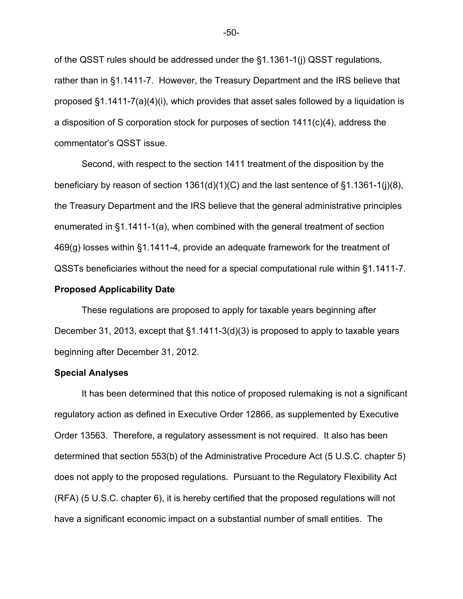of the QSST rules should be addressed under the §1.1361-1(j) QSST regulations, rather than in §1.1411-7. However, the Treasury Department and the IRS believe that proposed §1.1411-7(a)(4)(i), which provides that asset sales followed by a liquidation is a disposition of S corporation stock for purposes of section 1411(c)(4), address the commentator's QSST issue.

Second, with respect to the section 1411 treatment of the disposition by the beneficiary by reason of section 1361(d)(1)(C) and the last sentence of §1.1361-1(j)(8), the Treasury Department and the IRS believe that the general administrative principles enumerated in §1.1411-1(a), when combined with the general treatment of section 469(g) losses within §1.1411-4, provide an adequate framework for the treatment of QSSTs beneficiaries without the need for a special computational rule within §1.1411-7.

## **Proposed Applicability Date**

These regulations are proposed to apply for taxable years beginning after December 31, 2013, except that §1.1411-3(d)(3) is proposed to apply to taxable years beginning after December 31, 2012.

## **Special Analyses**

It has been determined that this notice of proposed rulemaking is not a significant regulatory action as defined in Executive Order 12866, as supplemented by Executive Order 13563. Therefore, a regulatory assessment is not required. It also has been determined that section 553(b) of the Administrative Procedure Act (5 U.S.C. chapter 5) does not apply to the proposed regulations. Pursuant to the Regulatory Flexibility Act (RFA) (5 U.S.C. chapter 6), it is hereby certified that the proposed regulations will not have a significant economic impact on a substantial number of small entities. The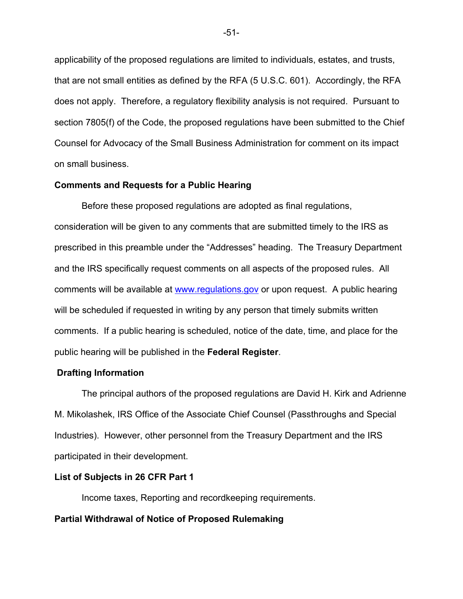applicability of the proposed regulations are limited to individuals, estates, and trusts, that are not small entities as defined by the RFA (5 U.S.C. 601). Accordingly, the RFA does not apply. Therefore, a regulatory flexibility analysis is not required. Pursuant to section 7805(f) of the Code, the proposed regulations have been submitted to the Chief Counsel for Advocacy of the Small Business Administration for comment on its impact on small business.

## **Comments and Requests for a Public Hearing**

Before these proposed regulations are adopted as final regulations, consideration will be given to any comments that are submitted timely to the IRS as prescribed in this preamble under the "Addresses" heading. The Treasury Department and the IRS specifically request comments on all aspects of the proposed rules. All comments will be available at www.regulations.gov or upon request. A public hearing will be scheduled if requested in writing by any person that timely submits written comments. If a public hearing is scheduled, notice of the date, time, and place for the public hearing will be published in the **Federal Register**.

## **Drafting Information**

The principal authors of the proposed regulations are David H. Kirk and Adrienne M. Mikolashek, IRS Office of the Associate Chief Counsel (Passthroughs and Special Industries). However, other personnel from the Treasury Department and the IRS participated in their development.

## **List of Subjects in 26 CFR Part 1**

Income taxes, Reporting and recordkeeping requirements.

## **Partial Withdrawal of Notice of Proposed Rulemaking**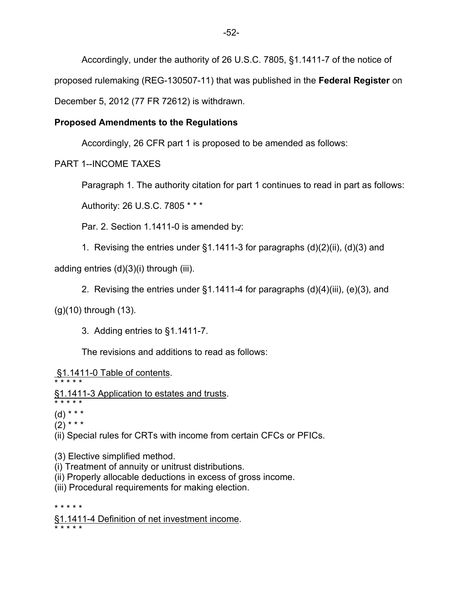Accordingly, under the authority of 26 U.S.C. 7805, §1.1411-7 of the notice of proposed rulemaking (REG-130507-11) that was published in the **Federal Register** on December 5, 2012 (77 FR 72612) is withdrawn.

# **Proposed Amendments to the Regulations**

Accordingly, 26 CFR part 1 is proposed to be amended as follows:

PART 1--INCOME TAXES

Paragraph 1. The authority citation for part 1 continues to read in part as follows:

Authority: 26 U.S.C. 7805 \* \* \*

Par. 2. Section 1.1411-0 is amended by:

1. Revising the entries under §1.1411-3 for paragraphs (d)(2)(ii), (d)(3) and

adding entries (d)(3)(i) through (iii).

2. Revising the entries under §1.1411-4 for paragraphs (d)(4)(iii), (e)(3), and

(g)(10) through (13).

3. Adding entries to §1.1411-7.

The revisions and additions to read as follows:

§1.1411-0 Table of contents.

- \* \* \* \* \* §1.1411-3 Application to estates and trusts.
- \* \* \* \* \*

 $(d)$  \* \* \*  $(2)$  \* \* \*

(ii) Special rules for CRTs with income from certain CFCs or PFICs.

(3) Elective simplified method.

- (i) Treatment of annuity or unitrust distributions.
- (ii) Properly allocable deductions in excess of gross income.
- (iii) Procedural requirements for making election.

\* \* \* \* \*

§1.1411-4 Definition of net investment income. \* \* \* \* \*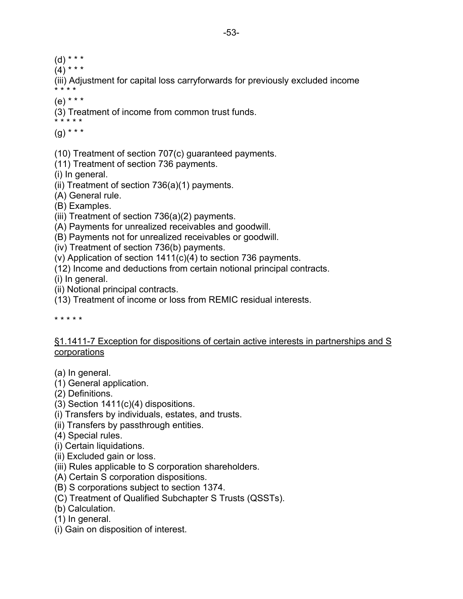- $(d)$  \* \* \*
- $(4)^{***}$

(iii) Adjustment for capital loss carryforwards for previously excluded income \* \* \* \*

(e) \* \* \*

(3) Treatment of income from common trust funds. \* \* \* \* \*

(g) \* \* \*

(10) Treatment of section 707(c) guaranteed payments.

(11) Treatment of section 736 payments.

(i) In general.

(ii) Treatment of section 736(a)(1) payments.

(A) General rule.

(B) Examples.

(iii) Treatment of section 736(a)(2) payments.

(A) Payments for unrealized receivables and goodwill.

(B) Payments not for unrealized receivables or goodwill.

(iv) Treatment of section 736(b) payments.

(v) Application of section 1411(c)(4) to section 736 payments.

(12) Income and deductions from certain notional principal contracts.

(i) In general.

(ii) Notional principal contracts.

(13) Treatment of income or loss from REMIC residual interests.

\* \* \* \* \*

## §1.1411-7 Exception for dispositions of certain active interests in partnerships and S **corporations**

(a) In general.

- (1) General application.
- (2) Definitions.
- (3) Section 1411(c)(4) dispositions.
- (i) Transfers by individuals, estates, and trusts.
- (ii) Transfers by passthrough entities.
- (4) Special rules.
- (i) Certain liquidations.
- (ii) Excluded gain or loss.
- (iii) Rules applicable to S corporation shareholders.
- (A) Certain S corporation dispositions.
- (B) S corporations subject to section 1374.
- (C) Treatment of Qualified Subchapter S Trusts (QSSTs).
- (b) Calculation.
- (1) In general.
- (i) Gain on disposition of interest.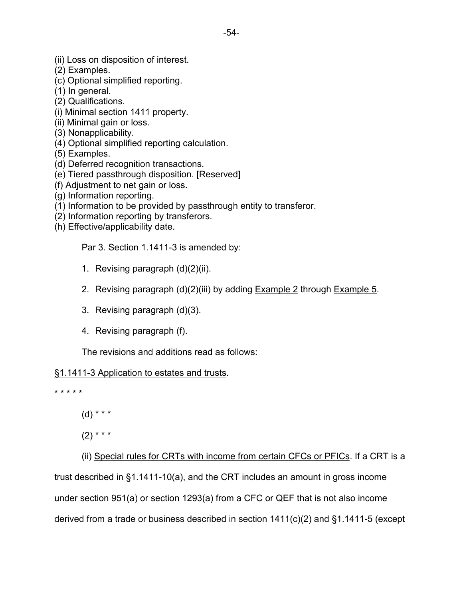- (2) Examples.
- (c) Optional simplified reporting.
- (1) In general.
- (2) Qualifications.
- (i) Minimal section 1411 property.
- (ii) Minimal gain or loss.
- (3) Nonapplicability.
- (4) Optional simplified reporting calculation.
- (5) Examples.
- (d) Deferred recognition transactions.
- (e) Tiered passthrough disposition. [Reserved]
- (f) Adjustment to net gain or loss.
- (g) Information reporting.
- (1) Information to be provided by passthrough entity to transferor.
- (2) Information reporting by transferors.
- (h) Effective/applicability date.

Par 3. Section 1.1411-3 is amended by:

- 1. Revising paragraph (d)(2)(ii).
- 2. Revising paragraph (d)(2)(iii) by adding **Example 2** through **Example 5.**
- 3. Revising paragraph (d)(3).
- 4. Revising paragraph (f).

The revisions and additions read as follows:

# §1.1411-3 Application to estates and trusts.

\* \* \* \* \*

 $(d)$  \* \* \*

 $(2)$  \* \* \*

(ii) Special rules for CRTs with income from certain CFCs or PFICs. If a CRT is a trust described in §1.1411-10(a), and the CRT includes an amount in gross income under section 951(a) or section 1293(a) from a CFC or QEF that is not also income derived from a trade or business described in section 1411(c)(2) and §1.1411-5 (except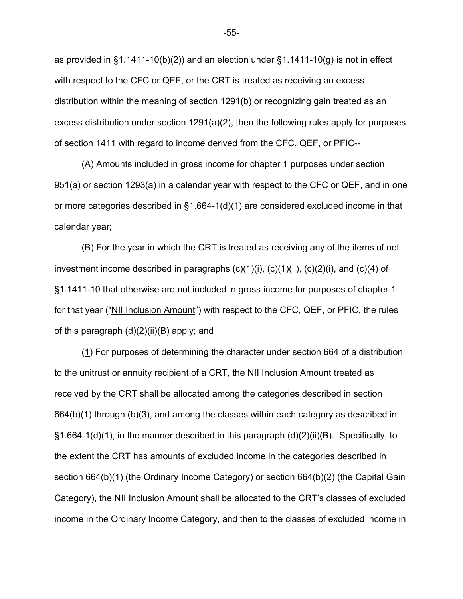as provided in  $\S1.1411-10(b)(2)$  and an election under  $\S1.1411-10(g)$  is not in effect with respect to the CFC or QEF, or the CRT is treated as receiving an excess distribution within the meaning of section 1291(b) or recognizing gain treated as an excess distribution under section 1291(a)(2), then the following rules apply for purposes of section 1411 with regard to income derived from the CFC, QEF, or PFIC--

(A) Amounts included in gross income for chapter 1 purposes under section 951(a) or section 1293(a) in a calendar year with respect to the CFC or QEF, and in one or more categories described in §1.664-1(d)(1) are considered excluded income in that calendar year;

(B) For the year in which the CRT is treated as receiving any of the items of net investment income described in paragraphs  $(c)(1)(i)$ ,  $(c)(1)(ii)$ ,  $(c)(2)(i)$ , and  $(c)(4)$  of §1.1411-10 that otherwise are not included in gross income for purposes of chapter 1 for that year ("NII Inclusion Amount") with respect to the CFC, QEF, or PFIC, the rules of this paragraph (d)(2)(ii)(B) apply; and

(1) For purposes of determining the character under section 664 of a distribution to the unitrust or annuity recipient of a CRT, the NII Inclusion Amount treated as received by the CRT shall be allocated among the categories described in section 664(b)(1) through (b)(3), and among the classes within each category as described in §1.664-1(d)(1), in the manner described in this paragraph (d)(2)(ii)(B). Specifically, to the extent the CRT has amounts of excluded income in the categories described in section 664(b)(1) (the Ordinary Income Category) or section 664(b)(2) (the Capital Gain Category), the NII Inclusion Amount shall be allocated to the CRT's classes of excluded income in the Ordinary Income Category, and then to the classes of excluded income in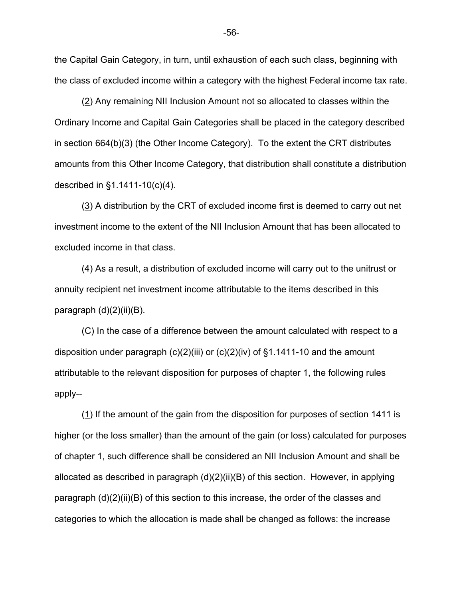the Capital Gain Category, in turn, until exhaustion of each such class, beginning with the class of excluded income within a category with the highest Federal income tax rate.

(2) Any remaining NII Inclusion Amount not so allocated to classes within the Ordinary Income and Capital Gain Categories shall be placed in the category described in section 664(b)(3) (the Other Income Category). To the extent the CRT distributes amounts from this Other Income Category, that distribution shall constitute a distribution described in §1.1411-10(c)(4).

(3) A distribution by the CRT of excluded income first is deemed to carry out net investment income to the extent of the NII Inclusion Amount that has been allocated to excluded income in that class.

(4) As a result, a distribution of excluded income will carry out to the unitrust or annuity recipient net investment income attributable to the items described in this paragraph (d)(2)(ii)(B).

(C) In the case of a difference between the amount calculated with respect to a disposition under paragraph  $(c)(2)(iii)$  or  $(c)(2)(iv)$  of  $§1.1411-10$  and the amount attributable to the relevant disposition for purposes of chapter 1, the following rules apply--

 (1) If the amount of the gain from the disposition for purposes of section 1411 is higher (or the loss smaller) than the amount of the gain (or loss) calculated for purposes of chapter 1, such difference shall be considered an NII Inclusion Amount and shall be allocated as described in paragraph (d)(2)(ii)(B) of this section. However, in applying paragraph (d)(2)(ii)(B) of this section to this increase, the order of the classes and categories to which the allocation is made shall be changed as follows: the increase

-56-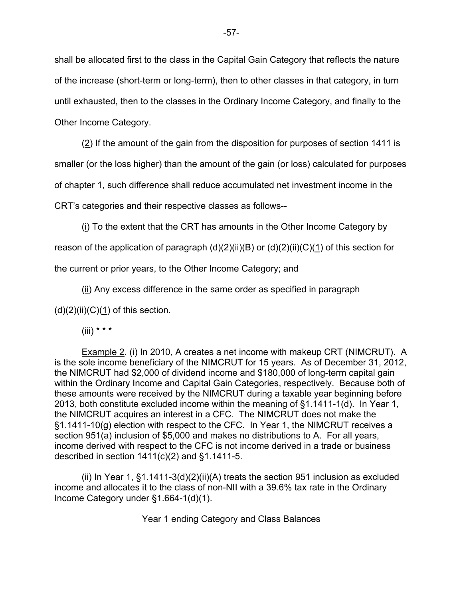shall be allocated first to the class in the Capital Gain Category that reflects the nature of the increase (short-term or long-term), then to other classes in that category, in turn until exhausted, then to the classes in the Ordinary Income Category, and finally to the Other Income Category.

 (2) If the amount of the gain from the disposition for purposes of section 1411 is smaller (or the loss higher) than the amount of the gain (or loss) calculated for purposes of chapter 1, such difference shall reduce accumulated net investment income in the CRT's categories and their respective classes as follows--

(i) To the extent that the CRT has amounts in the Other Income Category by

reason of the application of paragraph  $(d)(2)(ii)(B)$  or  $(d)(2)(ii)(C)(1)$  of this section for

the current or prior years, to the Other Income Category; and

 $(i)$  Any excess difference in the same order as specified in paragraph

 $(d)(2)(ii)(C)(1)$  of this section.

 $(iii)$  \* \* \*

Example 2. (i) In 2010, A creates a net income with makeup CRT (NIMCRUT). A is the sole income beneficiary of the NIMCRUT for 15 years. As of December 31, 2012, the NIMCRUT had \$2,000 of dividend income and \$180,000 of long-term capital gain within the Ordinary Income and Capital Gain Categories, respectively. Because both of these amounts were received by the NIMCRUT during a taxable year beginning before 2013, both constitute excluded income within the meaning of §1.1411-1(d). In Year 1, the NIMCRUT acquires an interest in a CFC. The NIMCRUT does not make the §1.1411-10(g) election with respect to the CFC. In Year 1, the NIMCRUT receives a section 951(a) inclusion of \$5,000 and makes no distributions to A. For all years, income derived with respect to the CFC is not income derived in a trade or business described in section 1411(c)(2) and §1.1411-5.

(ii) In Year 1,  $\S1.1411-3(d)(2)(ii)(A)$  treats the section 951 inclusion as excluded income and allocates it to the class of non-NII with a 39.6% tax rate in the Ordinary Income Category under §1.664-1(d)(1).

Year 1 ending Category and Class Balances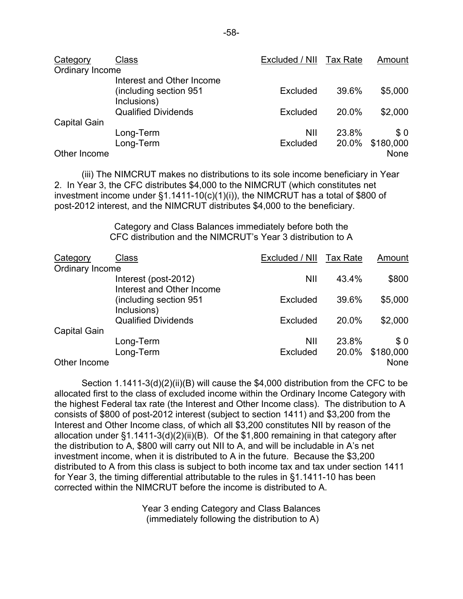| Category        | Class                                 | Excluded / NII Tax Rate |       | Amount    |
|-----------------|---------------------------------------|-------------------------|-------|-----------|
| Ordinary Income |                                       |                         |       |           |
|                 | Interest and Other Income             |                         |       |           |
|                 | (including section 951<br>Inclusions) | Excluded                | 39.6% | \$5,000   |
|                 | <b>Qualified Dividends</b>            | Excluded                | 20.0% | \$2,000   |
| Capital Gain    |                                       |                         |       |           |
|                 | Long-Term                             | <b>NII</b>              | 23.8% | \$0       |
|                 | Long-Term                             | Excluded                | 20.0% | \$180,000 |
| Other Income    |                                       |                         |       | None      |

(iii) The NIMCRUT makes no distributions to its sole income beneficiary in Year 2. In Year 3, the CFC distributes \$4,000 to the NIMCRUT (which constitutes net investment income under §1.1411-10(c)(1)(i)), the NIMCRUT has a total of \$800 of post-2012 interest, and the NIMCRUT distributes \$4,000 to the beneficiary.

> Category and Class Balances immediately before both the CFC distribution and the NIMCRUT's Year 3 distribution to A

| Category            | Class                                  | Excluded / NII Tax Rate |       | Amount    |
|---------------------|----------------------------------------|-------------------------|-------|-----------|
| Ordinary Income     |                                        |                         |       |           |
|                     | Interest (post-2012)                   | <b>NII</b>              | 43.4% | \$800     |
|                     | Interest and Other Income              |                         |       |           |
|                     | (including section 951)<br>Inclusions) | Excluded                | 39.6% | \$5,000   |
|                     | <b>Qualified Dividends</b>             | Excluded                | 20.0% | \$2,000   |
| <b>Capital Gain</b> |                                        |                         |       |           |
|                     | Long-Term                              | <b>NII</b>              | 23.8% | \$0       |
|                     | Long-Term                              | Excluded                | 20.0% | \$180,000 |
| Other Income        |                                        |                         |       | None      |

Section 1.1411-3(d)(2)(ii)(B) will cause the \$4,000 distribution from the CFC to be allocated first to the class of excluded income within the Ordinary Income Category with the highest Federal tax rate (the Interest and Other Income class). The distribution to A consists of \$800 of post-2012 interest (subject to section 1411) and \$3,200 from the Interest and Other Income class, of which all \$3,200 constitutes NII by reason of the allocation under §1.1411-3(d)(2)(ii)(B). Of the \$1,800 remaining in that category after the distribution to A, \$800 will carry out NII to A, and will be includable in A's net investment income, when it is distributed to A in the future. Because the \$3,200 distributed to A from this class is subject to both income tax and tax under section 1411 for Year 3, the timing differential attributable to the rules in §1.1411-10 has been corrected within the NIMCRUT before the income is distributed to A.

> Year 3 ending Category and Class Balances (immediately following the distribution to A)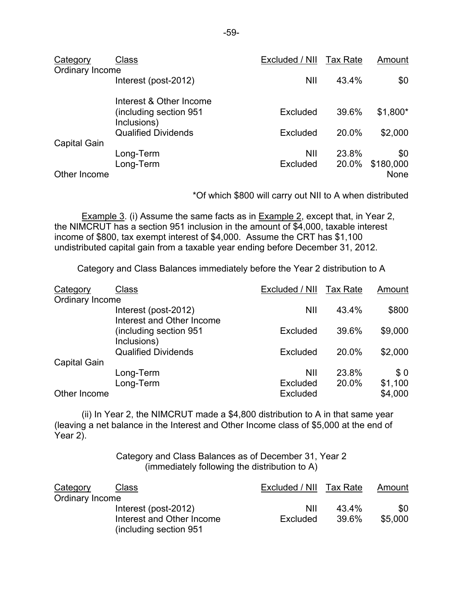| Category            | Class                                 | Excluded / NII | <b>Tax Rate</b> | Amount    |
|---------------------|---------------------------------------|----------------|-----------------|-----------|
| Ordinary Income     |                                       |                |                 |           |
|                     | Interest (post-2012)                  | <b>NII</b>     | 43.4%           | \$0       |
|                     | Interest & Other Income               |                |                 |           |
|                     | including section 951)<br>Inclusions) | Excluded       | 39.6%           | \$1,800*  |
|                     | <b>Qualified Dividends</b>            | Excluded       | 20.0%           | \$2,000   |
| <b>Capital Gain</b> |                                       |                |                 |           |
|                     | Long-Term                             | <b>NII</b>     | 23.8%           | \$0       |
|                     | Long-Term                             | Excluded       | 20.0%           | \$180,000 |
| Other Income        |                                       |                |                 | None      |

\*Of which \$800 will carry out NII to A when distributed

Example 3. (i) Assume the same facts as in Example 2, except that, in Year 2, the NIMCRUT has a section 951 inclusion in the amount of \$4,000, taxable interest income of \$800, tax exempt interest of \$4,000. Assume the CRT has \$1,100 undistributed capital gain from a taxable year ending before December 31, 2012.

Category and Class Balances immediately before the Year 2 distribution to A

| Category            | <b>Class</b>                                      | Excluded / NII Tax Rate |       | Amount  |
|---------------------|---------------------------------------------------|-------------------------|-------|---------|
| Ordinary Income     |                                                   |                         |       |         |
|                     | Interest (post-2012)<br>Interest and Other Income | <b>NII</b>              | 43.4% | \$800   |
|                     | (including section 951)<br>Inclusions)            | Excluded                | 39.6% | \$9,000 |
|                     | <b>Qualified Dividends</b>                        | Excluded                | 20.0% | \$2,000 |
| <b>Capital Gain</b> |                                                   |                         |       |         |
|                     | Long-Term                                         | <b>NII</b>              | 23.8% | \$0     |
|                     | Long-Term                                         | Excluded                | 20.0% | \$1,100 |
| Other Income        |                                                   | Excluded                |       | \$4,000 |

(ii) In Year 2, the NIMCRUT made a \$4,800 distribution to A in that same year (leaving a net balance in the Interest and Other Income class of \$5,000 at the end of Year 2).

> Category and Class Balances as of December 31, Year 2 (immediately following the distribution to A)

| Category        | Class                                                | Excluded / NII | Tax Rate | Amount  |
|-----------------|------------------------------------------------------|----------------|----------|---------|
| Ordinary Income |                                                      |                |          |         |
|                 | Interest (post-2012)                                 | NII            | 43.4%    | \$0     |
|                 | Interest and Other Income<br>(including section 951) | Excluded       | 39.6%    | \$5,000 |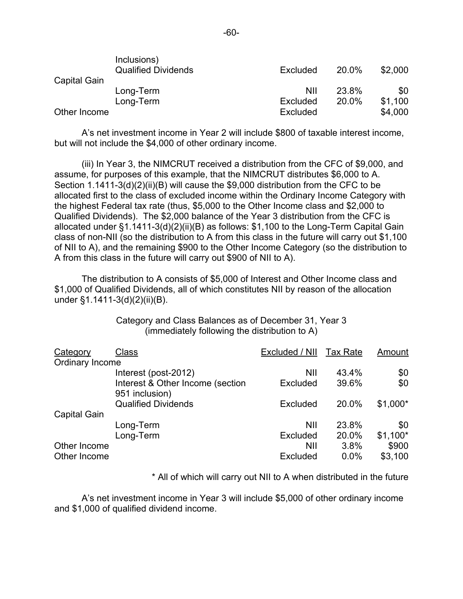| <b>Capital Gain</b> | Inclusions)<br><b>Qualified Dividends</b> | Excluded | 20.0% | \$2,000 |
|---------------------|-------------------------------------------|----------|-------|---------|
|                     | Long-Term                                 | NII      | 23.8% | \$0     |
|                     | Long-Term                                 | Excluded | 20.0% | \$1,100 |
| Other Income        |                                           | Excluded |       | \$4,000 |

 A's net investment income in Year 2 will include \$800 of taxable interest income, but will not include the \$4,000 of other ordinary income.

(iii) In Year 3, the NIMCRUT received a distribution from the CFC of \$9,000, and assume, for purposes of this example, that the NIMCRUT distributes \$6,000 to A. Section 1.1411-3(d)(2)(ii)(B) will cause the \$9,000 distribution from the CFC to be allocated first to the class of excluded income within the Ordinary Income Category with the highest Federal tax rate (thus, \$5,000 to the Other Income class and \$2,000 to Qualified Dividends). The \$2,000 balance of the Year 3 distribution from the CFC is allocated under §1.1411-3(d)(2)(ii)(B) as follows: \$1,100 to the Long-Term Capital Gain class of non-NII (so the distribution to A from this class in the future will carry out \$1,100 of NII to A), and the remaining \$900 to the Other Income Category (so the distribution to A from this class in the future will carry out \$900 of NII to A).

The distribution to A consists of \$5,000 of Interest and Other Income class and \$1,000 of Qualified Dividends, all of which constitutes NII by reason of the allocation under §1.1411-3(d)(2)(ii)(B).

> Category and Class Balances as of December 31, Year 3 (immediately following the distribution to A)

| Category            | Class                                              | Excluded / NII  | Tax Rate | Amount    |
|---------------------|----------------------------------------------------|-----------------|----------|-----------|
| Ordinary Income     |                                                    |                 |          |           |
|                     | Interest (post-2012)                               | <b>NII</b>      | 43.4%    | \$0       |
|                     | Interest & Other Income (section<br>951 inclusion) | <b>Excluded</b> | 39.6%    | \$0       |
|                     | <b>Qualified Dividends</b>                         | Excluded        | 20.0%    | $$1,000*$ |
| <b>Capital Gain</b> |                                                    |                 |          |           |
|                     | Long-Term                                          | <b>NII</b>      | 23.8%    | \$0       |
|                     | Long-Term                                          | Excluded        | 20.0%    | $$1,100*$ |
| Other Income        |                                                    | NII             | 3.8%     | \$900     |
| Other Income        |                                                    | Excluded        | 0.0%     | \$3,100   |

\* All of which will carry out NII to A when distributed in the future

 A's net investment income in Year 3 will include \$5,000 of other ordinary income and \$1,000 of qualified dividend income.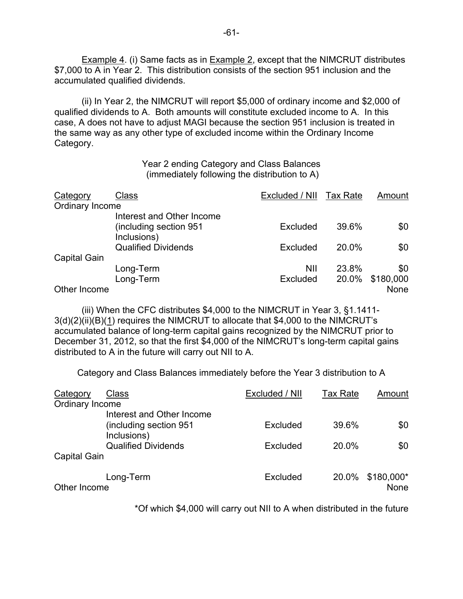**Example 4.** (i) Same facts as in **Example 2, except that the NIMCRUT distributes** \$7,000 to A in Year 2. This distribution consists of the section 951 inclusion and the accumulated qualified dividends.

(ii) In Year 2, the NIMCRUT will report \$5,000 of ordinary income and \$2,000 of qualified dividends to A. Both amounts will constitute excluded income to A. In this case, A does not have to adjust MAGI because the section 951 inclusion is treated in the same way as any other type of excluded income within the Ordinary Income Category.

> Year 2 ending Category and Class Balances (immediately following the distribution to A)

| Category            | Class                      | Excluded / NII Tax Rate |       | Amount      |
|---------------------|----------------------------|-------------------------|-------|-------------|
| Ordinary Income     |                            |                         |       |             |
|                     | Interest and Other Income  |                         |       |             |
|                     | including section 951)     | Excluded                | 39.6% | \$0         |
|                     | Inclusions)                |                         |       |             |
|                     | <b>Qualified Dividends</b> | Excluded                | 20.0% | \$0         |
| <b>Capital Gain</b> |                            |                         |       |             |
|                     | Long-Term                  | <b>NII</b>              | 23.8% | \$0         |
|                     | Long-Term                  | Excluded                | 20.0% | \$180,000   |
| Other Income        |                            |                         |       | <b>None</b> |

(iii) When the CFC distributes \$4,000 to the NIMCRUT in Year 3, §1.1411- 3(d)(2)(ii)(B)(1) requires the NIMCRUT to allocate that \$4,000 to the NIMCRUT's accumulated balance of long-term capital gains recognized by the NIMCRUT prior to December 31, 2012, so that the first \$4,000 of the NIMCRUT's long-term capital gains distributed to A in the future will carry out NII to A.

Category and Class Balances immediately before the Year 3 distribution to A

| Category            | Class                                  | Excluded / NII | <b>Tax Rate</b> | Amount                    |
|---------------------|----------------------------------------|----------------|-----------------|---------------------------|
| Ordinary Income     |                                        |                |                 |                           |
|                     | Interest and Other Income              |                |                 |                           |
|                     | (including section 951)<br>Inclusions) | Excluded       | 39.6%           | \$0                       |
|                     | <b>Qualified Dividends</b>             | Excluded       | 20.0%           | \$0                       |
| <b>Capital Gain</b> |                                        |                |                 |                           |
| Other Income        | Long-Term                              | Excluded       | 20.0%           | \$180,000*<br><b>None</b> |

\*Of which \$4,000 will carry out NII to A when distributed in the future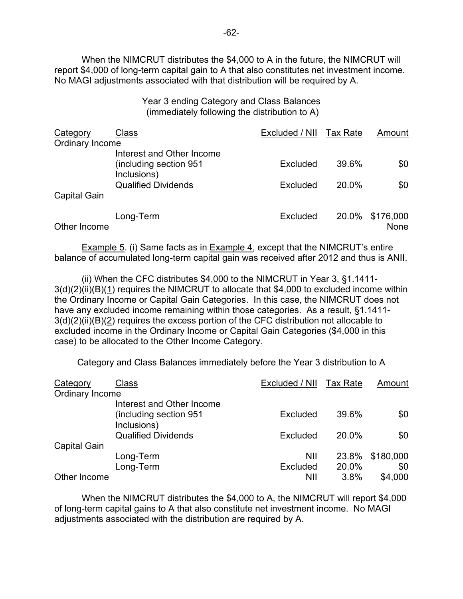When the NIMCRUT distributes the \$4,000 to A in the future, the NIMCRUT will report \$4,000 of long-term capital gain to A that also constitutes net investment income. No MAGI adjustments associated with that distribution will be required by A.

> Year 3 ending Category and Class Balances (immediately following the distribution to A)

| <b>Category</b>     | <b>Class</b>                                                        | Excluded / NII Tax Rate |       | Amount                  |
|---------------------|---------------------------------------------------------------------|-------------------------|-------|-------------------------|
| Ordinary Income     |                                                                     |                         |       |                         |
|                     | Interest and Other Income<br>(including section 951)<br>Inclusions) | Excluded                | 39.6% | \$0                     |
| <b>Capital Gain</b> | <b>Qualified Dividends</b>                                          | Excluded                | 20.0% | \$0                     |
| Other Income        | Long-Term                                                           | Excluded                |       | 20.0% \$176,000<br>None |

Example 5. (i) Same facts as in Example 4, except that the NIMCRUT's entire balance of accumulated long-term capital gain was received after 2012 and thus is ANII.

(ii) When the CFC distributes \$4,000 to the NIMCRUT in Year 3, §1.1411- 3(d)(2)(ii)(B)(1) requires the NIMCRUT to allocate that \$4,000 to excluded income within the Ordinary Income or Capital Gain Categories. In this case, the NIMCRUT does not have any excluded income remaining within those categories. As a result, §1.1411- 3(d)(2)(ii)(B)(2) requires the excess portion of the CFC distribution not allocable to excluded income in the Ordinary Income or Capital Gain Categories (\$4,000 in this case) to be allocated to the Other Income Category.

Category and Class Balances immediately before the Year 3 distribution to A

| Category            | Class                                  | Excluded / NII Tax Rate |       | Amount    |
|---------------------|----------------------------------------|-------------------------|-------|-----------|
| Ordinary Income     |                                        |                         |       |           |
|                     | Interest and Other Income              |                         |       |           |
|                     | (including section 951)<br>Inclusions) | Excluded                | 39.6% | \$0       |
|                     | <b>Qualified Dividends</b>             | Excluded                | 20.0% | \$0       |
| <b>Capital Gain</b> |                                        |                         |       |           |
|                     | Long-Term                              | <b>NII</b>              | 23.8% | \$180,000 |
|                     | Long-Term                              | <b>Excluded</b>         | 20.0% | \$0       |
| Other Income        |                                        | NII                     | 3.8%  | \$4,000   |

When the NIMCRUT distributes the \$4,000 to A, the NIMCRUT will report \$4,000 of long-term capital gains to A that also constitute net investment income. No MAGI adjustments associated with the distribution are required by A.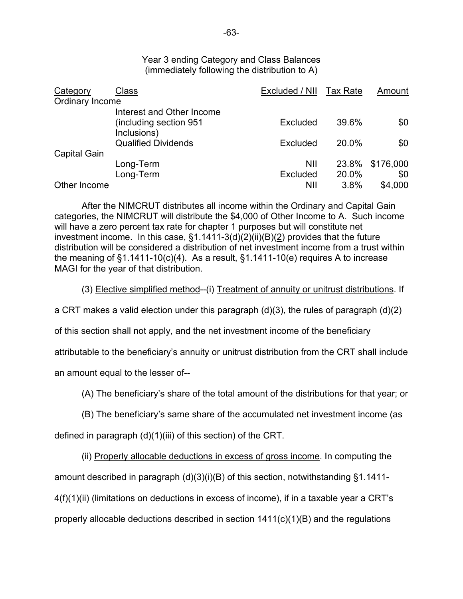Year 3 ending Category and Class Balances (immediately following the distribution to A)

| Category            | Class                                     | Excluded / NII Tax Rate |       | Amount    |
|---------------------|-------------------------------------------|-------------------------|-------|-----------|
| Ordinary Income     |                                           |                         |       |           |
|                     | Interest and Other Income                 |                         |       |           |
|                     | (including section 951)                   | Excluded                | 39.6% | \$0       |
|                     | Inclusions)<br><b>Qualified Dividends</b> | Excluded                | 20.0% | \$0       |
| <b>Capital Gain</b> |                                           |                         |       |           |
|                     | Long-Term                                 | <b>NII</b>              | 23.8% | \$176,000 |
|                     | Long-Term                                 | <b>Excluded</b>         | 20.0% | \$0       |
| Other Income        |                                           | NII                     | 3.8%  | \$4,000   |

After the NIMCRUT distributes all income within the Ordinary and Capital Gain categories, the NIMCRUT will distribute the \$4,000 of Other Income to A. Such income will have a zero percent tax rate for chapter 1 purposes but will constitute net investment income. In this case, §1.1411-3(d)(2)(ii)(B)(2) provides that the future distribution will be considered a distribution of net investment income from a trust within the meaning of  $\S1.1411-10(c)(4)$ . As a result,  $\S1.1411-10(e)$  requires A to increase MAGI for the year of that distribution.

(3) Elective simplified method--(i) Treatment of annuity or unitrust distributions. If

a CRT makes a valid election under this paragraph (d)(3), the rules of paragraph (d)(2)

of this section shall not apply, and the net investment income of the beneficiary

attributable to the beneficiary's annuity or unitrust distribution from the CRT shall include

an amount equal to the lesser of--

(A) The beneficiary's share of the total amount of the distributions for that year; or

(B) The beneficiary's same share of the accumulated net investment income (as

defined in paragraph (d)(1)(iii) of this section) of the CRT.

(ii) Properly allocable deductions in excess of gross income. In computing the

amount described in paragraph (d)(3)(i)(B) of this section, notwithstanding §1.1411-

 $4(f)(1)(ii)$  (limitations on deductions in excess of income), if in a taxable year a CRT's

properly allocable deductions described in section 1411(c)(1)(B) and the regulations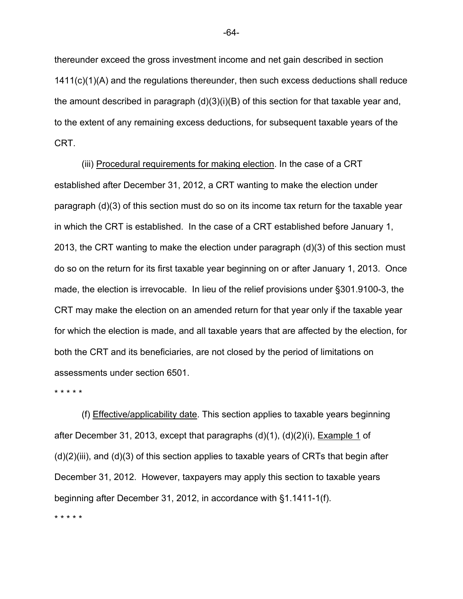thereunder exceed the gross investment income and net gain described in section 1411(c)(1)(A) and the regulations thereunder, then such excess deductions shall reduce the amount described in paragraph (d)(3)(i)(B) of this section for that taxable year and, to the extent of any remaining excess deductions, for subsequent taxable years of the CRT.

(iii) Procedural requirements for making election. In the case of a CRT established after December 31, 2012, a CRT wanting to make the election under paragraph (d)(3) of this section must do so on its income tax return for the taxable year in which the CRT is established. In the case of a CRT established before January 1, 2013, the CRT wanting to make the election under paragraph (d)(3) of this section must do so on the return for its first taxable year beginning on or after January 1, 2013. Once made, the election is irrevocable. In lieu of the relief provisions under §301.9100-3, the CRT may make the election on an amended return for that year only if the taxable year for which the election is made, and all taxable years that are affected by the election, for both the CRT and its beneficiaries, are not closed by the period of limitations on assessments under section 6501.

\* \* \* \* \*

(f) Effective/applicability date. This section applies to taxable years beginning after December 31, 2013, except that paragraphs (d)(1), (d)(2)(i), Example 1 of  $(d)(2)(iii)$ , and  $(d)(3)$  of this section applies to taxable years of CRTs that begin after December 31, 2012. However, taxpayers may apply this section to taxable years beginning after December 31, 2012, in accordance with §1.1411-1(f).

\* \* \* \* \*

-64-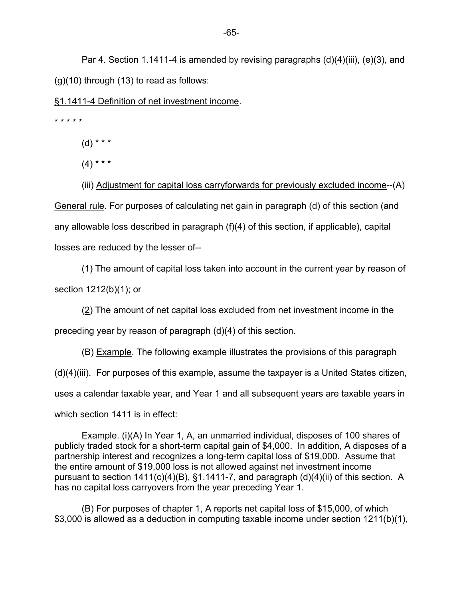Par 4. Section 1.1411-4 is amended by revising paragraphs (d)(4)(iii), (e)(3), and  $(g)(10)$  through  $(13)$  to read as follows:

§1.1411-4 Definition of net investment income.

\* \* \* \* \*

 $(d)$  \* \* \*

 $(4)$  \* \* \*

(iii) Adjustment for capital loss carryforwards for previously excluded income--(A) General rule. For purposes of calculating net gain in paragraph (d) of this section (and any allowable loss described in paragraph (f)(4) of this section, if applicable), capital losses are reduced by the lesser of--

(1) The amount of capital loss taken into account in the current year by reason of section 1212(b)(1); or

(2) The amount of net capital loss excluded from net investment income in the

preceding year by reason of paragraph (d)(4) of this section.

(B) Example. The following example illustrates the provisions of this paragraph  $(d)(4)(iii)$ . For purposes of this example, assume the taxpayer is a United States citizen, uses a calendar taxable year, and Year 1 and all subsequent years are taxable years in which section 1411 is in effect:

Example. (i)(A) In Year 1, A, an unmarried individual, disposes of 100 shares of publicly traded stock for a short-term capital gain of \$4,000. In addition, A disposes of a partnership interest and recognizes a long-term capital loss of \$19,000. Assume that the entire amount of \$19,000 loss is not allowed against net investment income pursuant to section 1411(c)(4)(B), §1.1411-7, and paragraph (d)(4)(ii) of this section. A has no capital loss carryovers from the year preceding Year 1.

(B) For purposes of chapter 1, A reports net capital loss of \$15,000, of which \$3,000 is allowed as a deduction in computing taxable income under section 1211(b)(1),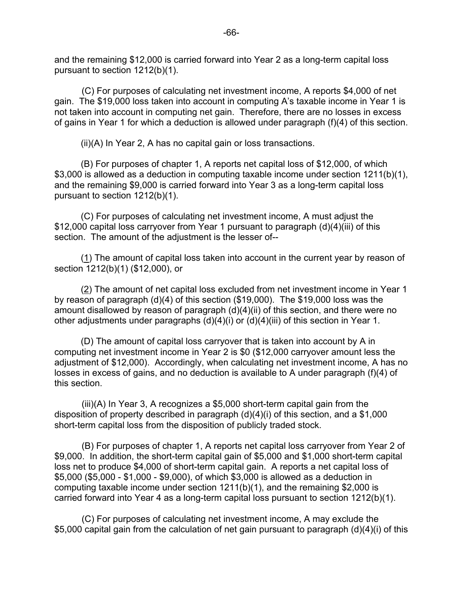and the remaining \$12,000 is carried forward into Year 2 as a long-term capital loss pursuant to section 1212(b)(1).

(C) For purposes of calculating net investment income, A reports \$4,000 of net gain. The \$19,000 loss taken into account in computing A's taxable income in Year 1 is not taken into account in computing net gain. Therefore, there are no losses in excess of gains in Year 1 for which a deduction is allowed under paragraph (f)(4) of this section.

(ii)(A) In Year 2, A has no capital gain or loss transactions.

(B) For purposes of chapter 1, A reports net capital loss of \$12,000, of which \$3,000 is allowed as a deduction in computing taxable income under section 1211(b)(1), and the remaining \$9,000 is carried forward into Year 3 as a long-term capital loss pursuant to section 1212(b)(1).

(C) For purposes of calculating net investment income, A must adjust the \$12,000 capital loss carryover from Year 1 pursuant to paragraph (d)(4)(iii) of this section. The amount of the adjustment is the lesser of--

(1) The amount of capital loss taken into account in the current year by reason of section 1212(b)(1) (\$12,000), or

(2) The amount of net capital loss excluded from net investment income in Year 1 by reason of paragraph (d)(4) of this section (\$19,000). The \$19,000 loss was the amount disallowed by reason of paragraph (d)(4)(ii) of this section, and there were no other adjustments under paragraphs  $(d)(4)(i)$  or  $(d)(4)(iii)$  of this section in Year 1.

(D) The amount of capital loss carryover that is taken into account by A in computing net investment income in Year 2 is \$0 (\$12,000 carryover amount less the adjustment of \$12,000). Accordingly, when calculating net investment income, A has no losses in excess of gains, and no deduction is available to A under paragraph (f)(4) of this section.

(iii)(A) In Year 3, A recognizes a \$5,000 short-term capital gain from the disposition of property described in paragraph (d)(4)(i) of this section, and a \$1,000 short-term capital loss from the disposition of publicly traded stock.

(B) For purposes of chapter 1, A reports net capital loss carryover from Year 2 of \$9,000. In addition, the short-term capital gain of \$5,000 and \$1,000 short-term capital loss net to produce \$4,000 of short-term capital gain. A reports a net capital loss of \$5,000 (\$5,000 - \$1,000 - \$9,000), of which \$3,000 is allowed as a deduction in computing taxable income under section 1211(b)(1), and the remaining \$2,000 is carried forward into Year 4 as a long-term capital loss pursuant to section 1212(b)(1).

(C) For purposes of calculating net investment income, A may exclude the \$5,000 capital gain from the calculation of net gain pursuant to paragraph (d)(4)(i) of this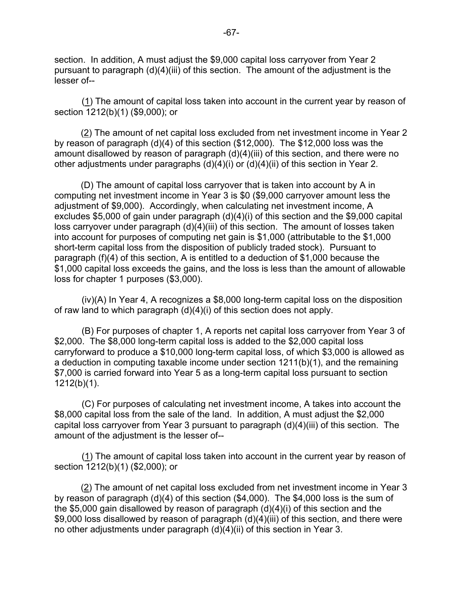section. In addition, A must adjust the \$9,000 capital loss carryover from Year 2 pursuant to paragraph (d)(4)(iii) of this section. The amount of the adjustment is the lesser of--

(1) The amount of capital loss taken into account in the current year by reason of section 1212(b)(1) (\$9,000); or

(2) The amount of net capital loss excluded from net investment income in Year 2 by reason of paragraph (d)(4) of this section (\$12,000). The \$12,000 loss was the amount disallowed by reason of paragraph (d)(4)(iii) of this section, and there were no other adjustments under paragraphs (d)(4)(i) or (d)(4)(ii) of this section in Year 2.

(D) The amount of capital loss carryover that is taken into account by A in computing net investment income in Year 3 is \$0 (\$9,000 carryover amount less the adjustment of \$9,000). Accordingly, when calculating net investment income, A excludes \$5,000 of gain under paragraph (d)(4)(i) of this section and the \$9,000 capital loss carryover under paragraph (d)(4)(iii) of this section. The amount of losses taken into account for purposes of computing net gain is \$1,000 (attributable to the \$1,000 short-term capital loss from the disposition of publicly traded stock). Pursuant to paragraph (f)(4) of this section, A is entitled to a deduction of \$1,000 because the \$1,000 capital loss exceeds the gains, and the loss is less than the amount of allowable loss for chapter 1 purposes (\$3,000).

(iv)(A) In Year 4, A recognizes a \$8,000 long-term capital loss on the disposition of raw land to which paragraph (d)(4)(i) of this section does not apply.

(B) For purposes of chapter 1, A reports net capital loss carryover from Year 3 of \$2,000. The \$8,000 long-term capital loss is added to the \$2,000 capital loss carryforward to produce a \$10,000 long-term capital loss, of which \$3,000 is allowed as a deduction in computing taxable income under section 1211(b)(1), and the remaining \$7,000 is carried forward into Year 5 as a long-term capital loss pursuant to section 1212(b)(1).

(C) For purposes of calculating net investment income, A takes into account the \$8,000 capital loss from the sale of the land. In addition, A must adjust the \$2,000 capital loss carryover from Year 3 pursuant to paragraph (d)(4)(iii) of this section. The amount of the adjustment is the lesser of--

(1) The amount of capital loss taken into account in the current year by reason of section 1212(b)(1) (\$2,000); or

(2) The amount of net capital loss excluded from net investment income in Year 3 by reason of paragraph (d)(4) of this section (\$4,000). The \$4,000 loss is the sum of the \$5,000 gain disallowed by reason of paragraph (d)(4)(i) of this section and the \$9,000 loss disallowed by reason of paragraph (d)(4)(iii) of this section, and there were no other adjustments under paragraph (d)(4)(ii) of this section in Year 3.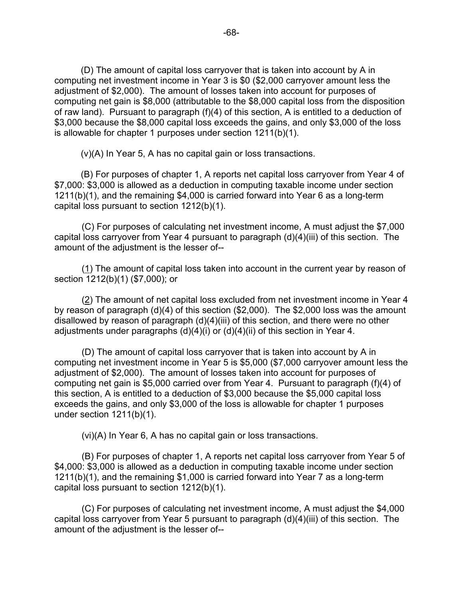(D) The amount of capital loss carryover that is taken into account by A in computing net investment income in Year 3 is \$0 (\$2,000 carryover amount less the adjustment of \$2,000). The amount of losses taken into account for purposes of computing net gain is \$8,000 (attributable to the \$8,000 capital loss from the disposition of raw land). Pursuant to paragraph (f)(4) of this section, A is entitled to a deduction of \$3,000 because the \$8,000 capital loss exceeds the gains, and only \$3,000 of the loss is allowable for chapter 1 purposes under section 1211(b)(1).

(v)(A) In Year 5, A has no capital gain or loss transactions.

(B) For purposes of chapter 1, A reports net capital loss carryover from Year 4 of \$7,000: \$3,000 is allowed as a deduction in computing taxable income under section 1211(b)(1), and the remaining \$4,000 is carried forward into Year 6 as a long-term capital loss pursuant to section 1212(b)(1).

(C) For purposes of calculating net investment income, A must adjust the \$7,000 capital loss carryover from Year 4 pursuant to paragraph (d)(4)(iii) of this section. The amount of the adjustment is the lesser of--

(1) The amount of capital loss taken into account in the current year by reason of section 1212(b)(1) (\$7,000); or

(2) The amount of net capital loss excluded from net investment income in Year 4 by reason of paragraph (d)(4) of this section (\$2,000). The \$2,000 loss was the amount disallowed by reason of paragraph  $(d)(4)(iii)$  of this section, and there were no other adjustments under paragraphs (d)(4)(i) or (d)(4)(ii) of this section in Year 4.

(D) The amount of capital loss carryover that is taken into account by A in computing net investment income in Year 5 is \$5,000 (\$7,000 carryover amount less the adjustment of \$2,000). The amount of losses taken into account for purposes of computing net gain is \$5,000 carried over from Year 4. Pursuant to paragraph (f)(4) of this section, A is entitled to a deduction of \$3,000 because the \$5,000 capital loss exceeds the gains, and only \$3,000 of the loss is allowable for chapter 1 purposes under section 1211(b)(1).

(vi)(A) In Year 6, A has no capital gain or loss transactions.

(B) For purposes of chapter 1, A reports net capital loss carryover from Year 5 of \$4,000: \$3,000 is allowed as a deduction in computing taxable income under section 1211(b)(1), and the remaining \$1,000 is carried forward into Year 7 as a long-term capital loss pursuant to section 1212(b)(1).

(C) For purposes of calculating net investment income, A must adjust the \$4,000 capital loss carryover from Year 5 pursuant to paragraph (d)(4)(iii) of this section. The amount of the adjustment is the lesser of--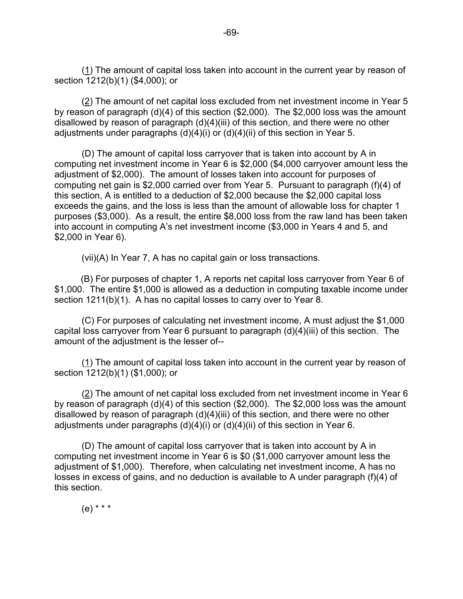(1) The amount of capital loss taken into account in the current year by reason of section 1212(b)(1) (\$4,000); or

(2) The amount of net capital loss excluded from net investment income in Year 5 by reason of paragraph (d)(4) of this section (\$2,000). The \$2,000 loss was the amount disallowed by reason of paragraph (d)(4)(iii) of this section, and there were no other adjustments under paragraphs (d)(4)(i) or (d)(4)(ii) of this section in Year 5.

(D) The amount of capital loss carryover that is taken into account by A in computing net investment income in Year 6 is \$2,000 (\$4,000 carryover amount less the adjustment of \$2,000). The amount of losses taken into account for purposes of computing net gain is \$2,000 carried over from Year 5. Pursuant to paragraph (f)(4) of this section, A is entitled to a deduction of \$2,000 because the \$2,000 capital loss exceeds the gains, and the loss is less than the amount of allowable loss for chapter 1 purposes (\$3,000). As a result, the entire \$8,000 loss from the raw land has been taken into account in computing A's net investment income (\$3,000 in Years 4 and 5, and \$2,000 in Year 6).

(vii)(A) In Year 7, A has no capital gain or loss transactions.

(B) For purposes of chapter 1, A reports net capital loss carryover from Year 6 of \$1,000. The entire \$1,000 is allowed as a deduction in computing taxable income under section 1211(b)(1). A has no capital losses to carry over to Year 8.

(C) For purposes of calculating net investment income, A must adjust the \$1,000 capital loss carryover from Year 6 pursuant to paragraph (d)(4)(iii) of this section. The amount of the adjustment is the lesser of--

(1) The amount of capital loss taken into account in the current year by reason of section 1212(b)(1) (\$1,000); or

(2) The amount of net capital loss excluded from net investment income in Year 6 by reason of paragraph (d)(4) of this section (\$2,000). The \$2,000 loss was the amount disallowed by reason of paragraph (d)(4)(iii) of this section, and there were no other adjustments under paragraphs (d)(4)(i) or (d)(4)(ii) of this section in Year 6.

(D) The amount of capital loss carryover that is taken into account by A in computing net investment income in Year 6 is \$0 (\$1,000 carryover amount less the adjustment of \$1,000). Therefore, when calculating net investment income, A has no losses in excess of gains, and no deduction is available to A under paragraph (f)(4) of this section.

(e) \* \* \*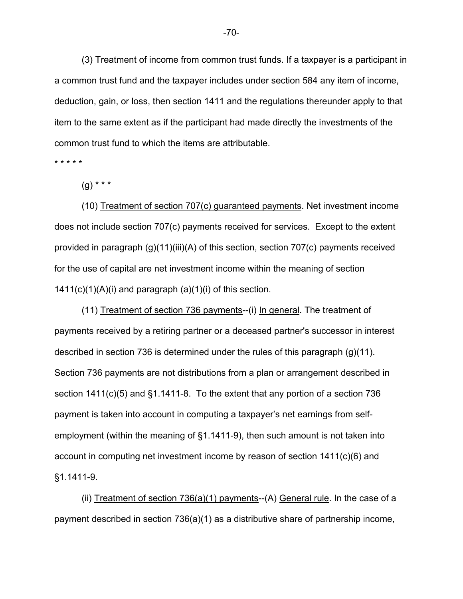(3) Treatment of income from common trust funds. If a taxpayer is a participant in a common trust fund and the taxpayer includes under section 584 any item of income, deduction, gain, or loss, then section 1411 and the regulations thereunder apply to that item to the same extent as if the participant had made directly the investments of the common trust fund to which the items are attributable.

\* \* \* \* \*

 $(g)$  \* \* \*

(10) Treatment of section 707(c) guaranteed payments. Net investment income does not include section 707(c) payments received for services. Except to the extent provided in paragraph (g)(11)(iii)(A) of this section, section 707(c) payments received for the use of capital are net investment income within the meaning of section  $1411(c)(1)(A)(i)$  and paragraph  $(a)(1)(i)$  of this section.

(11) Treatment of section 736 payments--(i) In general. The treatment of payments received by a retiring partner or a deceased partner's successor in interest described in section 736 is determined under the rules of this paragraph (g)(11). Section 736 payments are not distributions from a plan or arrangement described in section 1411(c)(5) and §1.1411-8. To the extent that any portion of a section 736 payment is taken into account in computing a taxpayer's net earnings from selfemployment (within the meaning of §1.1411-9), then such amount is not taken into account in computing net investment income by reason of section 1411(c)(6) and §1.1411-9.

(ii) Treatment of section  $736(a)(1)$  payments--(A) General rule. In the case of a payment described in section 736(a)(1) as a distributive share of partnership income,

-70-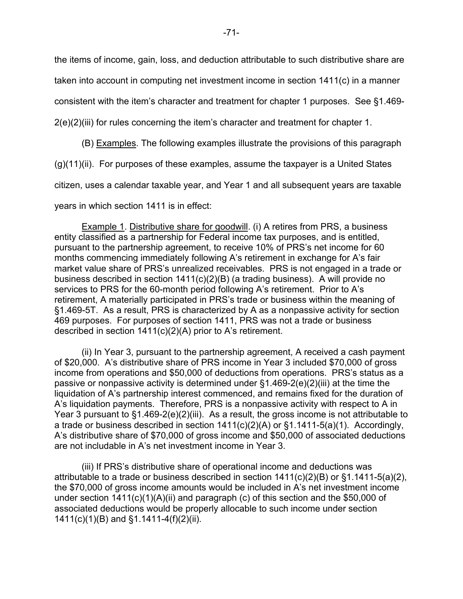the items of income, gain, loss, and deduction attributable to such distributive share are

taken into account in computing net investment income in section 1411(c) in a manner

consistent with the item's character and treatment for chapter 1 purposes. See §1.469-

2(e)(2)(iii) for rules concerning the item's character and treatment for chapter 1.

(B) Examples. The following examples illustrate the provisions of this paragraph

(g)(11)(ii). For purposes of these examples, assume the taxpayer is a United States

citizen, uses a calendar taxable year, and Year 1 and all subsequent years are taxable

years in which section 1411 is in effect:

Example 1. Distributive share for goodwill. (i) A retires from PRS, a business entity classified as a partnership for Federal income tax purposes, and is entitled, pursuant to the partnership agreement, to receive 10% of PRS's net income for 60 months commencing immediately following A's retirement in exchange for A's fair market value share of PRS's unrealized receivables. PRS is not engaged in a trade or business described in section 1411(c)(2)(B) (a trading business). A will provide no services to PRS for the 60-month period following A's retirement. Prior to A's retirement, A materially participated in PRS's trade or business within the meaning of §1.469-5T. As a result, PRS is characterized by A as a nonpassive activity for section 469 purposes. For purposes of section 1411, PRS was not a trade or business described in section 1411(c)(2)(A) prior to A's retirement.

(ii) In Year 3, pursuant to the partnership agreement, A received a cash payment of \$20,000. A's distributive share of PRS income in Year 3 included \$70,000 of gross income from operations and \$50,000 of deductions from operations. PRS's status as a passive or nonpassive activity is determined under §1.469-2(e)(2)(iii) at the time the liquidation of A's partnership interest commenced, and remains fixed for the duration of A's liquidation payments. Therefore, PRS is a nonpassive activity with respect to A in Year 3 pursuant to §1.469-2(e)(2)(iii). As a result, the gross income is not attributable to a trade or business described in section 1411(c)(2)(A) or §1.1411-5(a)(1). Accordingly, A's distributive share of \$70,000 of gross income and \$50,000 of associated deductions are not includable in A's net investment income in Year 3.

(iii) If PRS's distributive share of operational income and deductions was attributable to a trade or business described in section 1411(c)(2)(B) or §1.1411-5(a)(2), the \$70,000 of gross income amounts would be included in A's net investment income under section 1411(c)(1)(A)(ii) and paragraph (c) of this section and the \$50,000 of associated deductions would be properly allocable to such income under section 1411(c)(1)(B) and §1.1411-4(f)(2)(ii).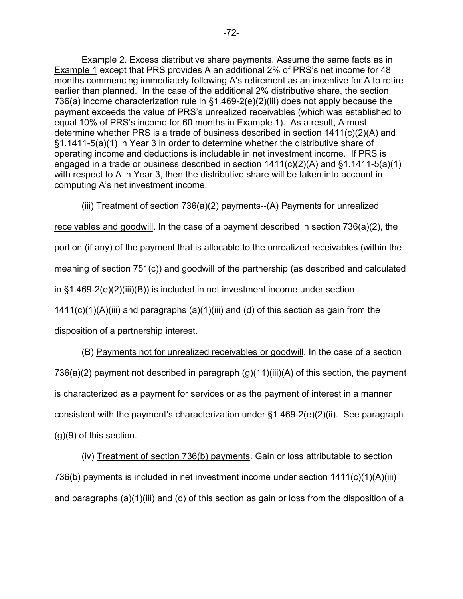Example 2. Excess distributive share payments. Assume the same facts as in Example 1 except that PRS provides A an additional 2% of PRS's net income for 48 months commencing immediately following A's retirement as an incentive for A to retire earlier than planned. In the case of the additional 2% distributive share, the section 736(a) income characterization rule in §1.469-2(e)(2)(iii) does not apply because the payment exceeds the value of PRS's unrealized receivables (which was established to equal 10% of PRS's income for 60 months in Example 1). As a result, A must determine whether PRS is a trade of business described in section 1411(c)(2)(A) and §1.1411-5(a)(1) in Year 3 in order to determine whether the distributive share of operating income and deductions is includable in net investment income. If PRS is engaged in a trade or business described in section 1411(c)(2)(A) and §1.1411-5(a)(1) with respect to A in Year 3, then the distributive share will be taken into account in computing A's net investment income.

## (iii) Treatment of section 736(a)(2) payments--(A) Payments for unrealized

receivables and goodwill. In the case of a payment described in section 736(a)(2), the portion (if any) of the payment that is allocable to the unrealized receivables (within the meaning of section 751(c)) and goodwill of the partnership (as described and calculated in §1.469-2(e)(2)(iii)(B)) is included in net investment income under section  $1411(c)(1)(A)(iii)$  and paragraphs  $(a)(1)(iii)$  and  $(d)$  of this section as gain from the disposition of a partnership interest.

(B) Payments not for unrealized receivables or goodwill. In the case of a section 736(a)(2) payment not described in paragraph (g)(11)(iii)(A) of this section, the payment is characterized as a payment for services or as the payment of interest in a manner consistent with the payment's characterization under §1.469-2(e)(2)(ii). See paragraph (g)(9) of this section.

(iv) Treatment of section 736(b) payments. Gain or loss attributable to section 736(b) payments is included in net investment income under section 1411(c)(1)(A)(iii) and paragraphs (a)(1)(iii) and (d) of this section as gain or loss from the disposition of a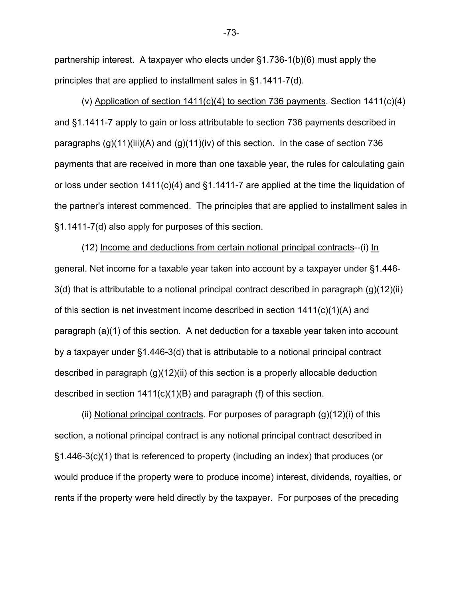partnership interest. A taxpayer who elects under §1.736-1(b)(6) must apply the principles that are applied to installment sales in §1.1411-7(d).

(v) Application of section  $1411(c)(4)$  to section 736 payments. Section  $1411(c)(4)$ and §1.1411-7 apply to gain or loss attributable to section 736 payments described in paragraphs  $(q)(11)(iii)(A)$  and  $(q)(11)(iv)$  of this section. In the case of section 736 payments that are received in more than one taxable year, the rules for calculating gain or loss under section 1411(c)(4) and §1.1411-7 are applied at the time the liquidation of the partner's interest commenced. The principles that are applied to installment sales in §1.1411-7(d) also apply for purposes of this section.

(12) Income and deductions from certain notional principal contracts--(i) In general. Net income for a taxable year taken into account by a taxpayer under §1.446- 3(d) that is attributable to a notional principal contract described in paragraph (g)(12)(ii) of this section is net investment income described in section 1411(c)(1)(A) and paragraph (a)(1) of this section. A net deduction for a taxable year taken into account by a taxpayer under §1.446-3(d) that is attributable to a notional principal contract described in paragraph (g)(12)(ii) of this section is a properly allocable deduction described in section 1411(c)(1)(B) and paragraph (f) of this section.

(ii) Notional principal contracts. For purposes of paragraph (g)(12)(i) of this section, a notional principal contract is any notional principal contract described in §1.446-3(c)(1) that is referenced to property (including an index) that produces (or would produce if the property were to produce income) interest, dividends, royalties, or rents if the property were held directly by the taxpayer. For purposes of the preceding

-73-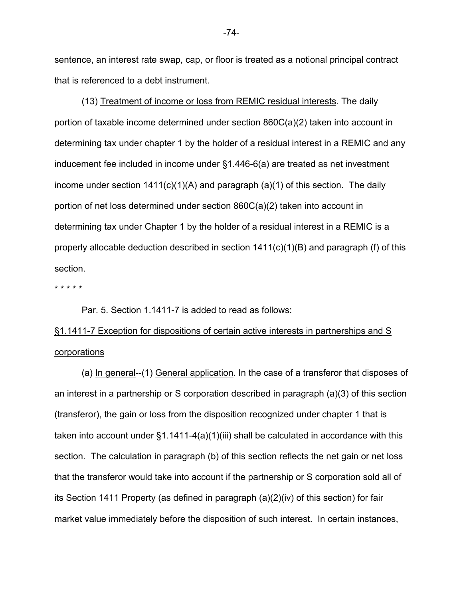sentence, an interest rate swap, cap, or floor is treated as a notional principal contract that is referenced to a debt instrument.

(13) Treatment of income or loss from REMIC residual interests. The daily portion of taxable income determined under section 860C(a)(2) taken into account in determining tax under chapter 1 by the holder of a residual interest in a REMIC and any inducement fee included in income under §1.446-6(a) are treated as net investment income under section  $1411(c)(1)(A)$  and paragraph (a)(1) of this section. The daily portion of net loss determined under section 860C(a)(2) taken into account in determining tax under Chapter 1 by the holder of a residual interest in a REMIC is a properly allocable deduction described in section  $1411(c)(1)(B)$  and paragraph (f) of this section.

\* \* \* \* \*

Par. 5. Section 1.1411-7 is added to read as follows:

## §1.1411-7 Exception for dispositions of certain active interests in partnerships and S **corporations**

(a) In general--(1) General application. In the case of a transferor that disposes of an interest in a partnership or S corporation described in paragraph (a)(3) of this section (transferor), the gain or loss from the disposition recognized under chapter 1 that is taken into account under  $\S1.1411-4(a)(1)(iii)$  shall be calculated in accordance with this section. The calculation in paragraph (b) of this section reflects the net gain or net loss that the transferor would take into account if the partnership or S corporation sold all of its Section 1411 Property (as defined in paragraph (a)(2)(iv) of this section) for fair market value immediately before the disposition of such interest. In certain instances,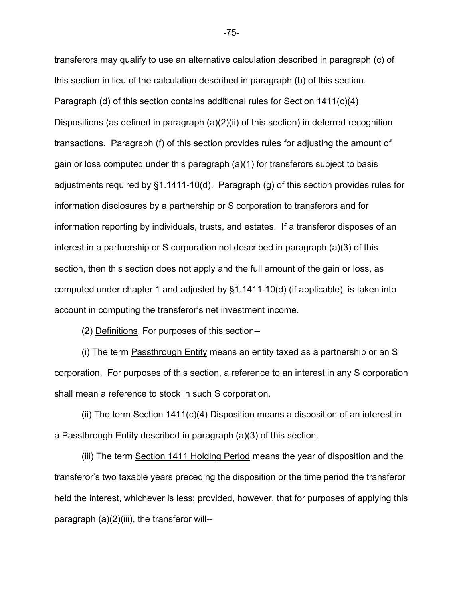transferors may qualify to use an alternative calculation described in paragraph (c) of this section in lieu of the calculation described in paragraph (b) of this section. Paragraph (d) of this section contains additional rules for Section 1411(c)(4) Dispositions (as defined in paragraph (a)(2)(ii) of this section) in deferred recognition transactions. Paragraph (f) of this section provides rules for adjusting the amount of gain or loss computed under this paragraph (a)(1) for transferors subject to basis adjustments required by §1.1411-10(d). Paragraph (g) of this section provides rules for information disclosures by a partnership or S corporation to transferors and for information reporting by individuals, trusts, and estates. If a transferor disposes of an interest in a partnership or S corporation not described in paragraph (a)(3) of this section, then this section does not apply and the full amount of the gain or loss, as computed under chapter 1 and adjusted by §1.1411-10(d) (if applicable), is taken into account in computing the transferor's net investment income.

(2) Definitions. For purposes of this section--

 (i) The term Passthrough Entity means an entity taxed as a partnership or an S corporation. For purposes of this section, a reference to an interest in any S corporation shall mean a reference to stock in such S corporation.

 (ii) The term Section 1411(c)(4) Disposition means a disposition of an interest in a Passthrough Entity described in paragraph (a)(3) of this section.

(iii) The term Section 1411 Holding Period means the year of disposition and the transferor's two taxable years preceding the disposition or the time period the transferor held the interest, whichever is less; provided, however, that for purposes of applying this paragraph (a)(2)(iii), the transferor will--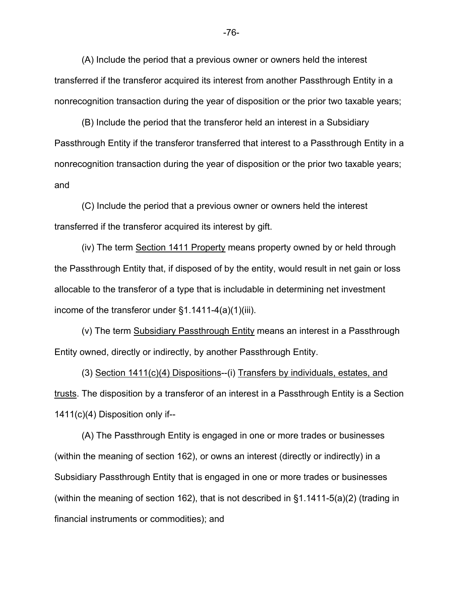(A) Include the period that a previous owner or owners held the interest transferred if the transferor acquired its interest from another Passthrough Entity in a nonrecognition transaction during the year of disposition or the prior two taxable years;

(B) Include the period that the transferor held an interest in a Subsidiary Passthrough Entity if the transferor transferred that interest to a Passthrough Entity in a nonrecognition transaction during the year of disposition or the prior two taxable years; and

(C) Include the period that a previous owner or owners held the interest transferred if the transferor acquired its interest by gift.

(iv) The term Section 1411 Property means property owned by or held through the Passthrough Entity that, if disposed of by the entity, would result in net gain or loss allocable to the transferor of a type that is includable in determining net investment income of the transferor under  $\S1.1411-4(a)(1)(iii)$ .

(v) The term Subsidiary Passthrough Entity means an interest in a Passthrough Entity owned, directly or indirectly, by another Passthrough Entity.

(3) Section 1411(c)(4) Dispositions--(i) Transfers by individuals, estates, and trusts. The disposition by a transferor of an interest in a Passthrough Entity is a Section 1411(c)(4) Disposition only if--

(A) The Passthrough Entity is engaged in one or more trades or businesses (within the meaning of section 162), or owns an interest (directly or indirectly) in a Subsidiary Passthrough Entity that is engaged in one or more trades or businesses (within the meaning of section 162), that is not described in  $\S$ 1.1411-5(a)(2) (trading in financial instruments or commodities); and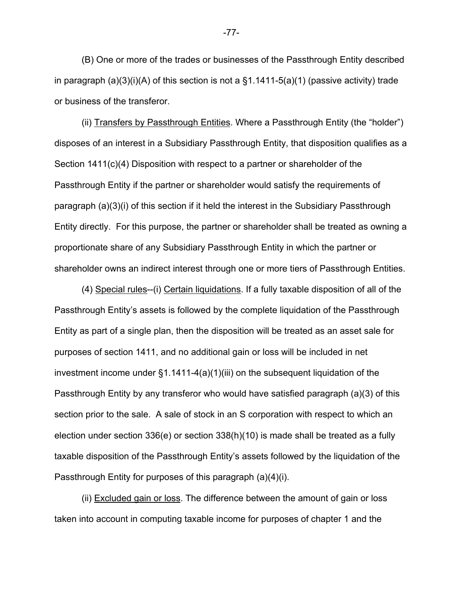(B) One or more of the trades or businesses of the Passthrough Entity described in paragraph  $(a)(3)(i)(A)$  of this section is not a  $§1.1411-5(a)(1)$  (passive activity) trade or business of the transferor.

(ii) Transfers by Passthrough Entities. Where a Passthrough Entity (the "holder") disposes of an interest in a Subsidiary Passthrough Entity, that disposition qualifies as a Section 1411(c)(4) Disposition with respect to a partner or shareholder of the Passthrough Entity if the partner or shareholder would satisfy the requirements of paragraph (a)(3)(i) of this section if it held the interest in the Subsidiary Passthrough Entity directly. For this purpose, the partner or shareholder shall be treated as owning a proportionate share of any Subsidiary Passthrough Entity in which the partner or shareholder owns an indirect interest through one or more tiers of Passthrough Entities.

(4) Special rules--(i) Certain liquidations. If a fully taxable disposition of all of the Passthrough Entity's assets is followed by the complete liquidation of the Passthrough Entity as part of a single plan, then the disposition will be treated as an asset sale for purposes of section 1411, and no additional gain or loss will be included in net investment income under §1.1411-4(a)(1)(iii) on the subsequent liquidation of the Passthrough Entity by any transferor who would have satisfied paragraph (a)(3) of this section prior to the sale. A sale of stock in an S corporation with respect to which an election under section 336(e) or section 338(h)(10) is made shall be treated as a fully taxable disposition of the Passthrough Entity's assets followed by the liquidation of the Passthrough Entity for purposes of this paragraph (a)(4)(i).

(ii) Excluded gain or loss. The difference between the amount of gain or loss taken into account in computing taxable income for purposes of chapter 1 and the

-77-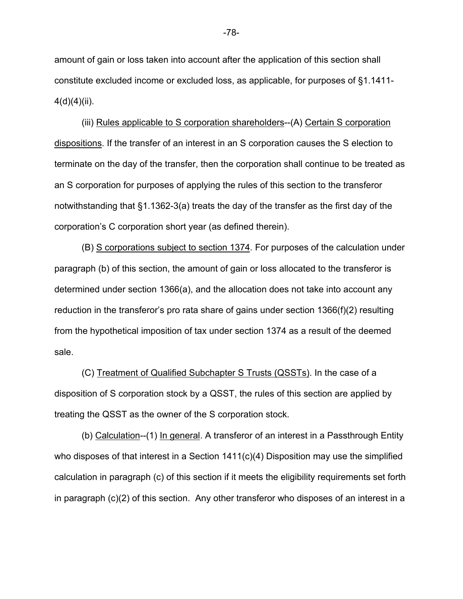amount of gain or loss taken into account after the application of this section shall constitute excluded income or excluded loss, as applicable, for purposes of §1.1411-  $4(d)(4)(ii)$ .

(iii) Rules applicable to S corporation shareholders--(A) Certain S corporation dispositions. If the transfer of an interest in an S corporation causes the S election to terminate on the day of the transfer, then the corporation shall continue to be treated as an S corporation for purposes of applying the rules of this section to the transferor notwithstanding that §1.1362-3(a) treats the day of the transfer as the first day of the corporation's C corporation short year (as defined therein).

(B) S corporations subject to section 1374. For purposes of the calculation under paragraph (b) of this section, the amount of gain or loss allocated to the transferor is determined under section 1366(a), and the allocation does not take into account any reduction in the transferor's pro rata share of gains under section 1366(f)(2) resulting from the hypothetical imposition of tax under section 1374 as a result of the deemed sale.

(C) Treatment of Qualified Subchapter S Trusts (QSSTs). In the case of a disposition of S corporation stock by a QSST, the rules of this section are applied by treating the QSST as the owner of the S corporation stock.

(b) Calculation--(1) In general. A transferor of an interest in a Passthrough Entity who disposes of that interest in a Section 1411(c)(4) Disposition may use the simplified calculation in paragraph (c) of this section if it meets the eligibility requirements set forth in paragraph (c)(2) of this section. Any other transferor who disposes of an interest in a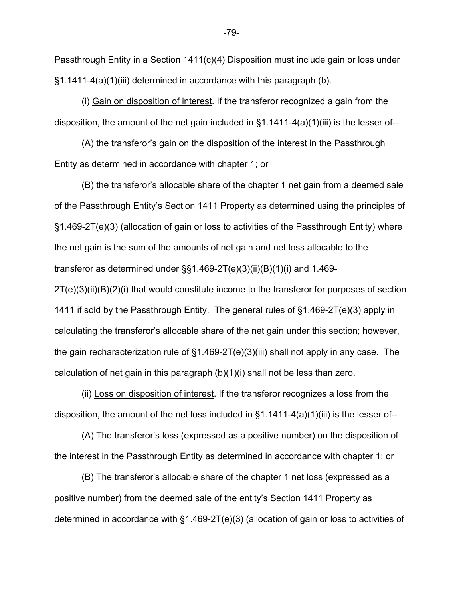Passthrough Entity in a Section 1411(c)(4) Disposition must include gain or loss under §1.1411-4(a)(1)(iii) determined in accordance with this paragraph (b).

(i) Gain on disposition of interest. If the transferor recognized a gain from the disposition, the amount of the net gain included in §1.1411-4(a)(1)(iii) is the lesser of--

(A) the transferor's gain on the disposition of the interest in the Passthrough Entity as determined in accordance with chapter 1; or

(B) the transferor's allocable share of the chapter 1 net gain from a deemed sale of the Passthrough Entity's Section 1411 Property as determined using the principles of §1.469-2T(e)(3) (allocation of gain or loss to activities of the Passthrough Entity) where the net gain is the sum of the amounts of net gain and net loss allocable to the transferor as determined under  $\S$ §1.469-2T(e)(3)(ii)(B)(1)(i) and 1.469-

 $2T(e)(3)(ii)(B)(2)(i)$  that would constitute income to the transferor for purposes of section 1411 if sold by the Passthrough Entity. The general rules of §1.469-2T(e)(3) apply in calculating the transferor's allocable share of the net gain under this section; however, the gain recharacterization rule of §1.469-2T(e)(3)(iii) shall not apply in any case. The calculation of net gain in this paragraph  $(b)(1)(i)$  shall not be less than zero.

 (ii) Loss on disposition of interest. If the transferor recognizes a loss from the disposition, the amount of the net loss included in  $\S1.1411-4(a)(1)(iii)$  is the lesser of--

 (A) The transferor's loss (expressed as a positive number) on the disposition of the interest in the Passthrough Entity as determined in accordance with chapter 1; or

(B) The transferor's allocable share of the chapter 1 net loss (expressed as a positive number) from the deemed sale of the entity's Section 1411 Property as determined in accordance with §1.469-2T(e)(3) (allocation of gain or loss to activities of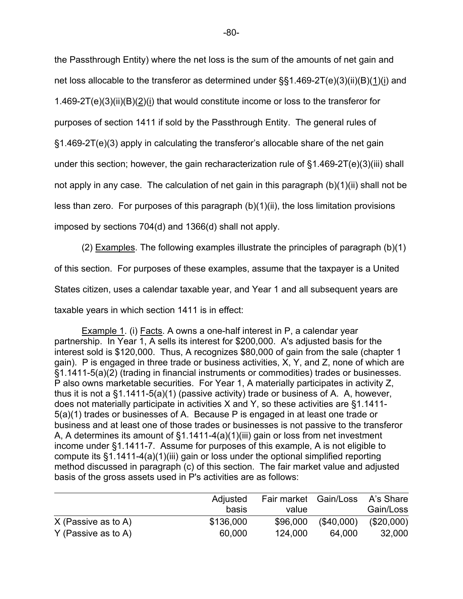the Passthrough Entity) where the net loss is the sum of the amounts of net gain and net loss allocable to the transferor as determined under §§1.469-2T(e)(3)(ii)(B)(1)(i) and 1.469-2T(e)(3)(ii)(B)(2)(i) that would constitute income or loss to the transferor for purposes of section 1411 if sold by the Passthrough Entity. The general rules of §1.469-2T(e)(3) apply in calculating the transferor's allocable share of the net gain under this section; however, the gain recharacterization rule of §1.469-2T(e)(3)(iii) shall not apply in any case. The calculation of net gain in this paragraph (b)(1)(ii) shall not be less than zero. For purposes of this paragraph (b)(1)(ii), the loss limitation provisions imposed by sections 704(d) and 1366(d) shall not apply.

(2) Examples. The following examples illustrate the principles of paragraph (b)(1) of this section. For purposes of these examples, assume that the taxpayer is a United States citizen, uses a calendar taxable year, and Year 1 and all subsequent years are taxable years in which section 1411 is in effect:

Example 1. (i) Facts. A owns a one-half interest in P, a calendar year partnership. In Year 1, A sells its interest for \$200,000. A's adjusted basis for the interest sold is \$120,000. Thus, A recognizes \$80,000 of gain from the sale (chapter 1 gain). P is engaged in three trade or business activities, X, Y, and Z, none of which are §1.1411-5(a)(2) (trading in financial instruments or commodities) trades or businesses. P also owns marketable securities. For Year 1, A materially participates in activity Z, thus it is not a §1.1411-5(a)(1) (passive activity) trade or business of A. A, however, does not materially participate in activities X and Y, so these activities are §1.1411- 5(a)(1) trades or businesses of A. Because P is engaged in at least one trade or business and at least one of those trades or businesses is not passive to the transferor A, A determines its amount of §1.1411-4(a)(1)(iii) gain or loss from net investment income under §1.1411-7. Assume for purposes of this example, A is not eligible to compute its §1.1411-4(a)(1)(iii) gain or loss under the optional simplified reporting method discussed in paragraph (c) of this section. The fair market value and adjusted basis of the gross assets used in P's activities are as follows:

|                       | Adjusted<br>basis | Fair market Gain/Loss<br>value |           | A's Share<br>Gain/Loss |
|-----------------------|-------------------|--------------------------------|-----------|------------------------|
| $X$ (Passive as to A) | \$136,000         | \$96,000                       | (S40,000) | $(\$20,000)$           |
| Y (Passive as to A)   | 60,000            | 124,000                        | 64.000    | 32,000                 |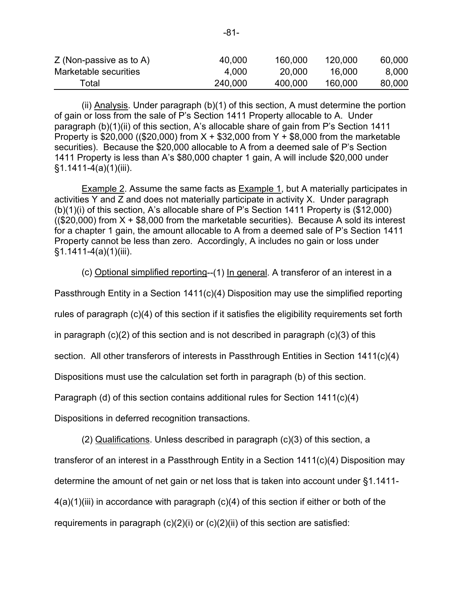| Total                     | 240,000 | 400,000 | 160,000 | 80,000 |
|---------------------------|---------|---------|---------|--------|
| Marketable securities     | 4.000   | 20,000  | 16.000  | 8,000  |
| $Z$ (Non-passive as to A) | 40,000  | 160,000 | 120,000 | 60,000 |

(ii) Analysis. Under paragraph (b)(1) of this section, A must determine the portion of gain or loss from the sale of P's Section 1411 Property allocable to A. Under paragraph (b)(1)(ii) of this section, A's allocable share of gain from P's Section 1411 Property is \$20,000 ((\$20,000) from  $X + $32,000$  from  $Y + $8,000$  from the marketable securities). Because the \$20,000 allocable to A from a deemed sale of P's Section 1411 Property is less than A's \$80,000 chapter 1 gain, A will include \$20,000 under §1.1411-4(a)(1)(iii).

Example 2. Assume the same facts as Example 1, but A materially participates in activities Y and Z and does not materially participate in activity X. Under paragraph (b)(1)(i) of this section, A's allocable share of P's Section 1411 Property is (\$12,000) ( $($20,000)$  from  $X + $8,000$  from the marketable securities). Because A sold its interest for a chapter 1 gain, the amount allocable to A from a deemed sale of P's Section 1411 Property cannot be less than zero. Accordingly, A includes no gain or loss under §1.1411-4(a)(1)(iii).

(c) Optional simplified reporting--(1) In general. A transferor of an interest in a

Passthrough Entity in a Section  $1411(c)(4)$  Disposition may use the simplified reporting

rules of paragraph (c)(4) of this section if it satisfies the eligibility requirements set forth

in paragraph  $(c)(2)$  of this section and is not described in paragraph  $(c)(3)$  of this

section. All other transferors of interests in Passthrough Entities in Section 1411(c)(4)

Dispositions must use the calculation set forth in paragraph (b) of this section.

Paragraph (d) of this section contains additional rules for Section 1411(c)(4)

Dispositions in deferred recognition transactions.

(2) Qualifications. Unless described in paragraph (c)(3) of this section, a

transferor of an interest in a Passthrough Entity in a Section 1411(c)(4) Disposition may

determine the amount of net gain or net loss that is taken into account under §1.1411-

 $4(a)(1)(iii)$  in accordance with paragraph  $(c)(4)$  of this section if either or both of the

requirements in paragraph  $(c)(2)(i)$  or  $(c)(2)(ii)$  of this section are satisfied: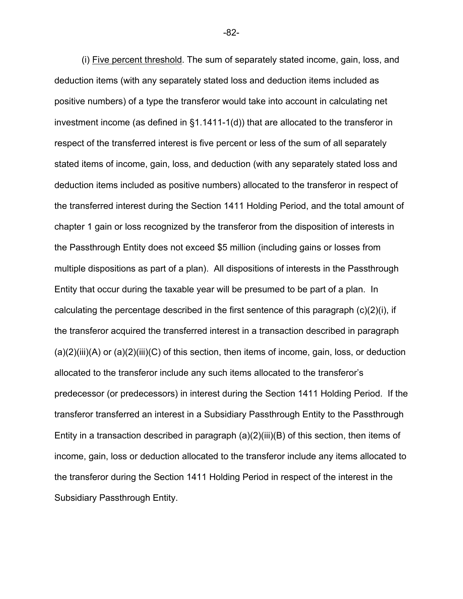(i) Five percent threshold. The sum of separately stated income, gain, loss, and deduction items (with any separately stated loss and deduction items included as positive numbers) of a type the transferor would take into account in calculating net investment income (as defined in §1.1411-1(d)) that are allocated to the transferor in respect of the transferred interest is five percent or less of the sum of all separately stated items of income, gain, loss, and deduction (with any separately stated loss and deduction items included as positive numbers) allocated to the transferor in respect of the transferred interest during the Section 1411 Holding Period, and the total amount of chapter 1 gain or loss recognized by the transferor from the disposition of interests in the Passthrough Entity does not exceed \$5 million (including gains or losses from multiple dispositions as part of a plan). All dispositions of interests in the Passthrough Entity that occur during the taxable year will be presumed to be part of a plan. In calculating the percentage described in the first sentence of this paragraph (c)(2)(i), if the transferor acquired the transferred interest in a transaction described in paragraph  $(a)(2)(iii)(A)$  or  $(a)(2)(iii)(C)$  of this section, then items of income, gain, loss, or deduction allocated to the transferor include any such items allocated to the transferor's predecessor (or predecessors) in interest during the Section 1411 Holding Period. If the transferor transferred an interest in a Subsidiary Passthrough Entity to the Passthrough Entity in a transaction described in paragraph (a)(2)(iii)(B) of this section, then items of income, gain, loss or deduction allocated to the transferor include any items allocated to the transferor during the Section 1411 Holding Period in respect of the interest in the Subsidiary Passthrough Entity.

-82-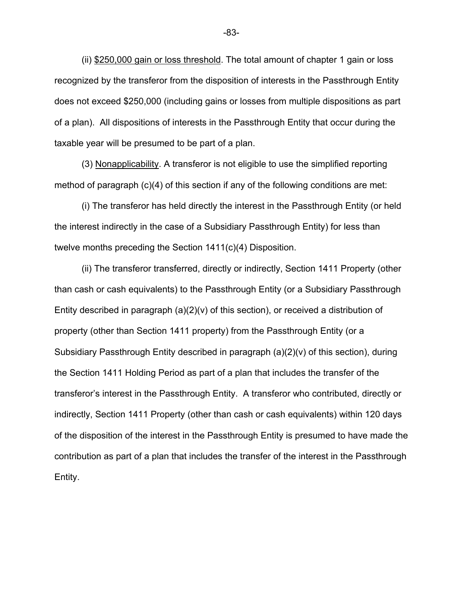(ii) \$250,000 gain or loss threshold. The total amount of chapter 1 gain or loss recognized by the transferor from the disposition of interests in the Passthrough Entity does not exceed \$250,000 (including gains or losses from multiple dispositions as part of a plan). All dispositions of interests in the Passthrough Entity that occur during the taxable year will be presumed to be part of a plan.

(3) Nonapplicability. A transferor is not eligible to use the simplified reporting method of paragraph (c)(4) of this section if any of the following conditions are met:

(i) The transferor has held directly the interest in the Passthrough Entity (or held the interest indirectly in the case of a Subsidiary Passthrough Entity) for less than twelve months preceding the Section 1411(c)(4) Disposition.

(ii) The transferor transferred, directly or indirectly, Section 1411 Property (other than cash or cash equivalents) to the Passthrough Entity (or a Subsidiary Passthrough Entity described in paragraph  $(a)(2)(v)$  of this section), or received a distribution of property (other than Section 1411 property) from the Passthrough Entity (or a Subsidiary Passthrough Entity described in paragraph (a)(2)(v) of this section), during the Section 1411 Holding Period as part of a plan that includes the transfer of the transferor's interest in the Passthrough Entity. A transferor who contributed, directly or indirectly, Section 1411 Property (other than cash or cash equivalents) within 120 days of the disposition of the interest in the Passthrough Entity is presumed to have made the contribution as part of a plan that includes the transfer of the interest in the Passthrough Entity.

-83-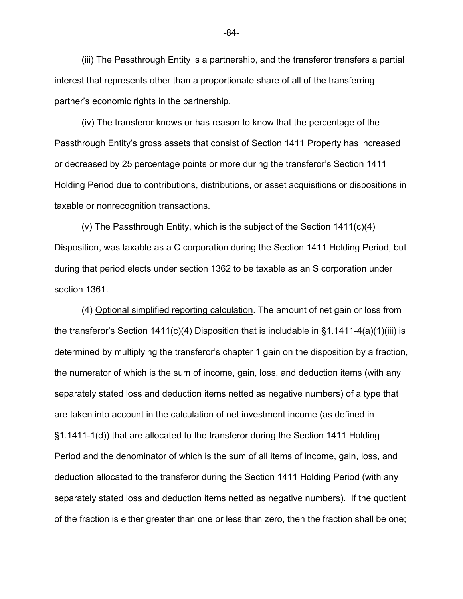(iii) The Passthrough Entity is a partnership, and the transferor transfers a partial interest that represents other than a proportionate share of all of the transferring partner's economic rights in the partnership.

(iv) The transferor knows or has reason to know that the percentage of the Passthrough Entity's gross assets that consist of Section 1411 Property has increased or decreased by 25 percentage points or more during the transferor's Section 1411 Holding Period due to contributions, distributions, or asset acquisitions or dispositions in taxable or nonrecognition transactions.

(v) The Passthrough Entity, which is the subject of the Section 1411(c)(4) Disposition, was taxable as a C corporation during the Section 1411 Holding Period, but during that period elects under section 1362 to be taxable as an S corporation under section 1361.

(4) Optional simplified reporting calculation. The amount of net gain or loss from the transferor's Section 1411(c)(4) Disposition that is includable in §1.1411-4(a)(1)(iii) is determined by multiplying the transferor's chapter 1 gain on the disposition by a fraction, the numerator of which is the sum of income, gain, loss, and deduction items (with any separately stated loss and deduction items netted as negative numbers) of a type that are taken into account in the calculation of net investment income (as defined in §1.1411-1(d)) that are allocated to the transferor during the Section 1411 Holding Period and the denominator of which is the sum of all items of income, gain, loss, and deduction allocated to the transferor during the Section 1411 Holding Period (with any separately stated loss and deduction items netted as negative numbers). If the quotient of the fraction is either greater than one or less than zero, then the fraction shall be one;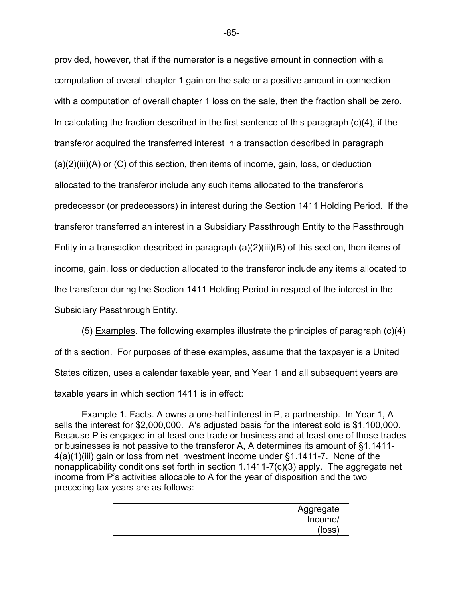provided, however, that if the numerator is a negative amount in connection with a computation of overall chapter 1 gain on the sale or a positive amount in connection with a computation of overall chapter 1 loss on the sale, then the fraction shall be zero. In calculating the fraction described in the first sentence of this paragraph (c)(4), if the transferor acquired the transferred interest in a transaction described in paragraph  $(a)(2)(iii)(A)$  or  $(C)$  of this section, then items of income, gain, loss, or deduction allocated to the transferor include any such items allocated to the transferor's predecessor (or predecessors) in interest during the Section 1411 Holding Period. If the transferor transferred an interest in a Subsidiary Passthrough Entity to the Passthrough Entity in a transaction described in paragraph (a)(2)(iii)(B) of this section, then items of income, gain, loss or deduction allocated to the transferor include any items allocated to the transferor during the Section 1411 Holding Period in respect of the interest in the Subsidiary Passthrough Entity.

(5) Examples. The following examples illustrate the principles of paragraph (c)(4) of this section. For purposes of these examples, assume that the taxpayer is a United States citizen, uses a calendar taxable year, and Year 1 and all subsequent years are taxable years in which section 1411 is in effect:

Example 1. Facts. A owns a one-half interest in P, a partnership. In Year 1, A sells the interest for \$2,000,000. A's adjusted basis for the interest sold is \$1,100,000. Because P is engaged in at least one trade or business and at least one of those trades or businesses is not passive to the transferor A, A determines its amount of §1.1411- 4(a)(1)(iii) gain or loss from net investment income under §1.1411-7. None of the nonapplicability conditions set forth in section 1.1411-7(c)(3) apply. The aggregate net income from P's activities allocable to A for the year of disposition and the two preceding tax years are as follows:

| Aggregate |
|-----------|
| Income/   |
| (loss)    |
|           |

-85-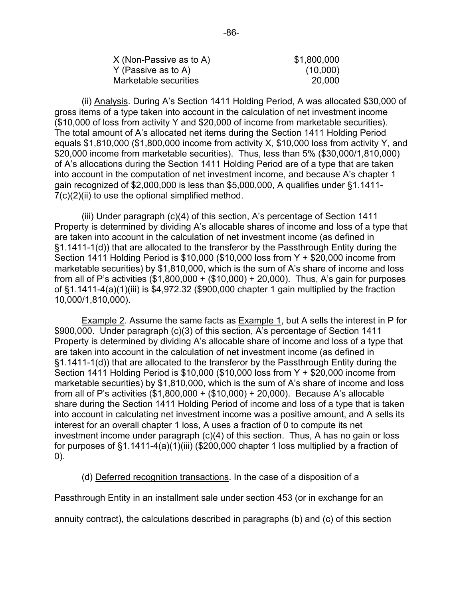| $X$ (Non-Passive as to A) | \$1,800,000 |
|---------------------------|-------------|
| Y (Passive as to A)       | (10,000)    |
| Marketable securities     | 20,000      |

(ii) Analysis. During A's Section 1411 Holding Period, A was allocated \$30,000 of gross items of a type taken into account in the calculation of net investment income (\$10,000 of loss from activity Y and \$20,000 of income from marketable securities). The total amount of A's allocated net items during the Section 1411 Holding Period equals \$1,810,000 (\$1,800,000 income from activity X, \$10,000 loss from activity Y, and \$20,000 income from marketable securities). Thus, less than 5% (\$30,000/1,810,000) of A's allocations during the Section 1411 Holding Period are of a type that are taken into account in the computation of net investment income, and because A's chapter 1 gain recognized of \$2,000,000 is less than \$5,000,000, A qualifies under §1.1411-  $7(c)(2)(ii)$  to use the optional simplified method.

(iii) Under paragraph (c)(4) of this section, A's percentage of Section 1411 Property is determined by dividing A's allocable shares of income and loss of a type that are taken into account in the calculation of net investment income (as defined in §1.1411-1(d)) that are allocated to the transferor by the Passthrough Entity during the Section 1411 Holding Period is \$10,000 (\$10,000 loss from Y + \$20,000 income from marketable securities) by \$1,810,000, which is the sum of A's share of income and loss from all of P's activities (\$1,800,000 + (\$10,000) + 20,000). Thus, A's gain for purposes of §1.1411-4(a)(1)(iii) is \$4,972.32 (\$900,000 chapter 1 gain multiplied by the fraction 10,000/1,810,000).

Example 2. Assume the same facts as Example 1, but A sells the interest in P for \$900,000. Under paragraph (c)(3) of this section, A's percentage of Section 1411 Property is determined by dividing A's allocable share of income and loss of a type that are taken into account in the calculation of net investment income (as defined in §1.1411-1(d)) that are allocated to the transferor by the Passthrough Entity during the Section 1411 Holding Period is \$10,000 (\$10,000 loss from Y + \$20,000 income from marketable securities) by \$1,810,000, which is the sum of A's share of income and loss from all of P's activities (\$1,800,000 + (\$10,000) + 20,000). Because A's allocable share during the Section 1411 Holding Period of income and loss of a type that is taken into account in calculating net investment income was a positive amount, and A sells its interest for an overall chapter 1 loss, A uses a fraction of 0 to compute its net investment income under paragraph (c)(4) of this section. Thus, A has no gain or loss for purposes of §1.1411-4(a)(1)(iii) (\$200,000 chapter 1 loss multiplied by a fraction of 0).

(d) Deferred recognition transactions. In the case of a disposition of a

Passthrough Entity in an installment sale under section 453 (or in exchange for an

annuity contract), the calculations described in paragraphs (b) and (c) of this section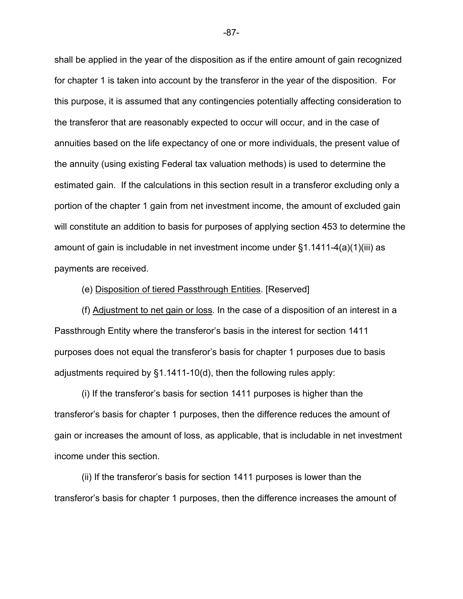shall be applied in the year of the disposition as if the entire amount of gain recognized for chapter 1 is taken into account by the transferor in the year of the disposition. For this purpose, it is assumed that any contingencies potentially affecting consideration to the transferor that are reasonably expected to occur will occur, and in the case of annuities based on the life expectancy of one or more individuals, the present value of the annuity (using existing Federal tax valuation methods) is used to determine the estimated gain. If the calculations in this section result in a transferor excluding only a portion of the chapter 1 gain from net investment income, the amount of excluded gain will constitute an addition to basis for purposes of applying section 453 to determine the amount of gain is includable in net investment income under §1.1411-4(a)(1)(iii) as payments are received.

## (e) Disposition of tiered Passthrough Entities. [Reserved]

(f) Adjustment to net gain or loss. In the case of a disposition of an interest in a Passthrough Entity where the transferor's basis in the interest for section 1411 purposes does not equal the transferor's basis for chapter 1 purposes due to basis adjustments required by §1.1411-10(d), then the following rules apply:

(i) If the transferor's basis for section 1411 purposes is higher than the transferor's basis for chapter 1 purposes, then the difference reduces the amount of gain or increases the amount of loss, as applicable, that is includable in net investment income under this section.

(ii) If the transferor's basis for section 1411 purposes is lower than the transferor's basis for chapter 1 purposes, then the difference increases the amount of

-87-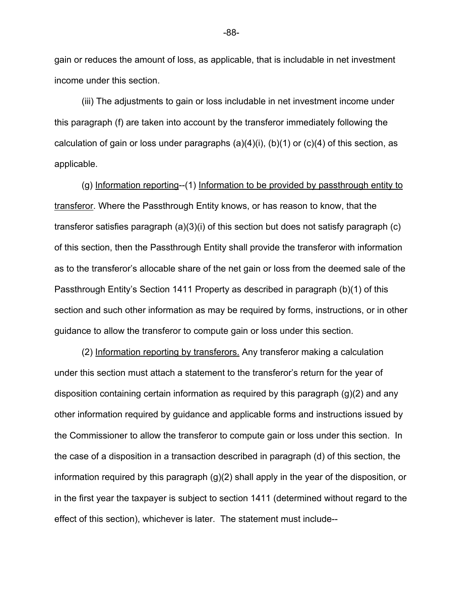gain or reduces the amount of loss, as applicable, that is includable in net investment income under this section.

(iii) The adjustments to gain or loss includable in net investment income under this paragraph (f) are taken into account by the transferor immediately following the calculation of gain or loss under paragraphs  $(a)(4)(i)$ ,  $(b)(1)$  or  $(c)(4)$  of this section, as applicable.

(g) Information reporting--(1) Information to be provided by passthrough entity to transferor. Where the Passthrough Entity knows, or has reason to know, that the transferor satisfies paragraph (a)(3)(i) of this section but does not satisfy paragraph (c) of this section, then the Passthrough Entity shall provide the transferor with information as to the transferor's allocable share of the net gain or loss from the deemed sale of the Passthrough Entity's Section 1411 Property as described in paragraph (b)(1) of this section and such other information as may be required by forms, instructions, or in other guidance to allow the transferor to compute gain or loss under this section.

(2) Information reporting by transferors. Any transferor making a calculation under this section must attach a statement to the transferor's return for the year of disposition containing certain information as required by this paragraph (g)(2) and any other information required by guidance and applicable forms and instructions issued by the Commissioner to allow the transferor to compute gain or loss under this section. In the case of a disposition in a transaction described in paragraph (d) of this section, the information required by this paragraph (g)(2) shall apply in the year of the disposition, or in the first year the taxpayer is subject to section 1411 (determined without regard to the effect of this section), whichever is later. The statement must include--

-88-